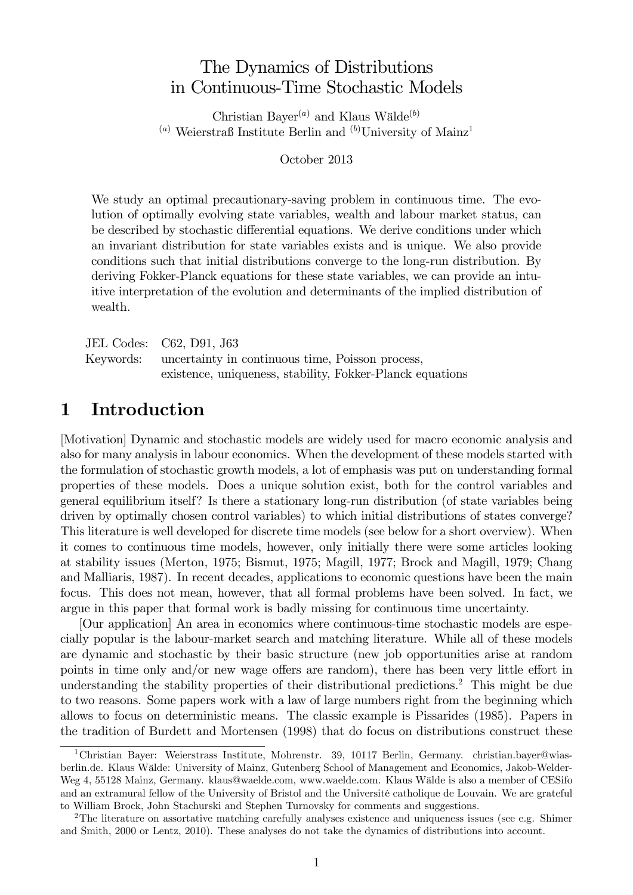# The Dynamics of Distributions in Continuous-Time Stochastic Models

Christian Bayer<sup>(a)</sup> and Klaus Wälde<sup>(b)</sup> (a) Weierstraß Institute Berlin and  $(b)$ University of Mainz<sup>1</sup>

October 2013

We study an optimal precautionary-saving problem in continuous time. The evolution of optimally evolving state variables, wealth and labour market status, can be described by stochastic differential equations. We derive conditions under which an invariant distribution for state variables exists and is unique. We also provide conditions such that initial distributions converge to the long-run distribution. By deriving Fokker-Planck equations for these state variables, we can provide an intuitive interpretation of the evolution and determinants of the implied distribution of wealth.

| JEL Codes: C62, D91, J63                                   |
|------------------------------------------------------------|
| Keywords: uncertainty in continuous time, Poisson process, |
| existence, uniqueness, stability, Fokker-Planck equations  |

## 1 Introduction

[Motivation] Dynamic and stochastic models are widely used for macro economic analysis and also for many analysis in labour economics. When the development of these models started with the formulation of stochastic growth models, a lot of emphasis was put on understanding formal properties of these models. Does a unique solution exist, both for the control variables and general equilibrium itself? Is there a stationary long-run distribution (of state variables being driven by optimally chosen control variables) to which initial distributions of states converge? This literature is well developed for discrete time models (see below for a short overview). When it comes to continuous time models, however, only initially there were some articles looking at stability issues (Merton, 1975; Bismut, 1975; Magill, 1977; Brock and Magill, 1979; Chang and Malliaris, 1987). In recent decades, applications to economic questions have been the main focus. This does not mean, however, that all formal problems have been solved. In fact, we argue in this paper that formal work is badly missing for continuous time uncertainty.

[Our application] An area in economics where continuous-time stochastic models are especially popular is the labour-market search and matching literature. While all of these models are dynamic and stochastic by their basic structure (new job opportunities arise at random points in time only and/or new wage offers are random), there has been very little effort in understanding the stability properties of their distributional predictions.<sup>2</sup> This might be due to two reasons. Some papers work with a law of large numbers right from the beginning which allows to focus on deterministic means. The classic example is Pissarides (1985). Papers in the tradition of Burdett and Mortensen (1998) that do focus on distributions construct these

<sup>1</sup>Christian Bayer: Weierstrass Institute, Mohrenstr. 39, 10117 Berlin, Germany. christian.bayer@wiasberlin.de. Klaus Wälde: University of Mainz, Gutenberg School of Management and Economics, Jakob-Welder-Weg 4, 55128 Mainz, Germany. klaus@waelde.com, www.waelde.com. Klaus Wälde is also a member of CESifo and an extramural fellow of the University of Bristol and the Université catholique de Louvain. We are grateful to William Brock, John Stachurski and Stephen Turnovsky for comments and suggestions.

<sup>&</sup>lt;sup>2</sup>The literature on assortative matching carefully analyses existence and uniqueness issues (see e.g. Shimer and Smith, 2000 or Lentz, 2010). These analyses do not take the dynamics of distributions into account.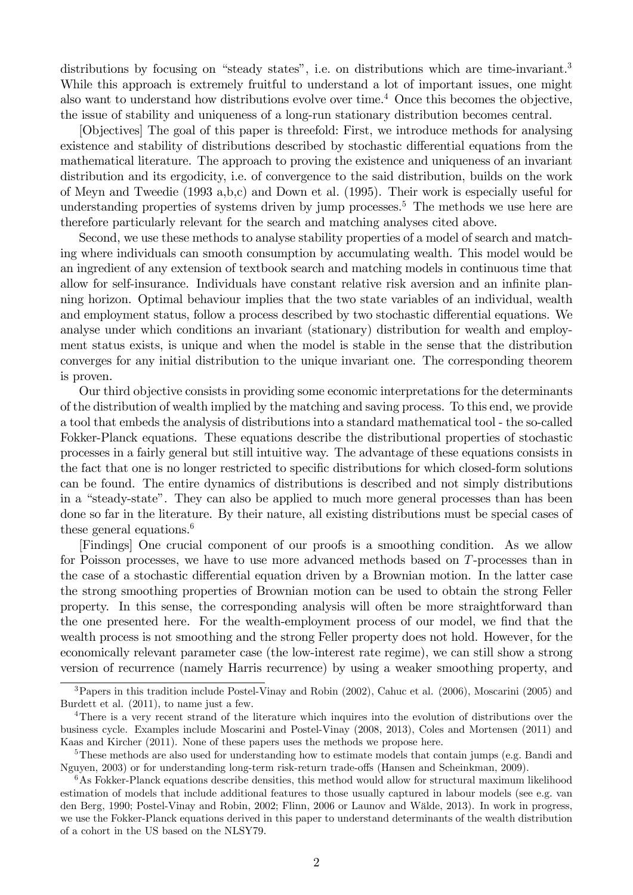distributions by focusing on "steady states", i.e. on distributions which are time-invariant.<sup>3</sup> While this approach is extremely fruitful to understand a lot of important issues, one might also want to understand how distributions evolve over time.<sup>4</sup> Once this becomes the objective, the issue of stability and uniqueness of a long-run stationary distribution becomes central.

[Objectives] The goal of this paper is threefold: First, we introduce methods for analysing existence and stability of distributions described by stochastic differential equations from the mathematical literature. The approach to proving the existence and uniqueness of an invariant distribution and its ergodicity, i.e. of convergence to the said distribution, builds on the work of Meyn and Tweedie (1993 a,b,c) and Down et al. (1995). Their work is especially useful for understanding properties of systems driven by jump processes.<sup>5</sup> The methods we use here are therefore particularly relevant for the search and matching analyses cited above.

Second, we use these methods to analyse stability properties of a model of search and matching where individuals can smooth consumption by accumulating wealth. This model would be an ingredient of any extension of textbook search and matching models in continuous time that allow for self-insurance. Individuals have constant relative risk aversion and an infinite planning horizon. Optimal behaviour implies that the two state variables of an individual, wealth and employment status, follow a process described by two stochastic differential equations. We analyse under which conditions an invariant (stationary) distribution for wealth and employment status exists, is unique and when the model is stable in the sense that the distribution converges for any initial distribution to the unique invariant one. The corresponding theorem is proven.

Our third objective consists in providing some economic interpretations for the determinants of the distribution of wealth implied by the matching and saving process. To this end, we provide a tool that embeds the analysis of distributions into a standard mathematical tool - the so-called Fokker-Planck equations. These equations describe the distributional properties of stochastic processes in a fairly general but still intuitive way. The advantage of these equations consists in the fact that one is no longer restricted to specific distributions for which closed-form solutions can be found. The entire dynamics of distributions is described and not simply distributions in a "steady-state". They can also be applied to much more general processes than has been done so far in the literature. By their nature, all existing distributions must be special cases of these general equations. $6$ 

[Findings] One crucial component of our proofs is a smoothing condition. As we allow for Poisson processes, we have to use more advanced methods based on T-processes than in the case of a stochastic differential equation driven by a Brownian motion. In the latter case the strong smoothing properties of Brownian motion can be used to obtain the strong Feller property. In this sense, the corresponding analysis will often be more straightforward than the one presented here. For the wealth-employment process of our model, we find that the wealth process is not smoothing and the strong Feller property does not hold. However, for the economically relevant parameter case (the low-interest rate regime), we can still show a strong version of recurrence (namely Harris recurrence) by using a weaker smoothing property, and

<sup>3</sup>Papers in this tradition include Postel-Vinay and Robin (2002), Cahuc et al. (2006), Moscarini (2005) and Burdett et al. (2011), to name just a few.

<sup>4</sup>There is a very recent strand of the literature which inquires into the evolution of distributions over the business cycle. Examples include Moscarini and Postel-Vinay (2008, 2013), Coles and Mortensen (2011) and Kaas and Kircher (2011). None of these papers uses the methods we propose here.

<sup>5</sup>These methods are also used for understanding how to estimate models that contain jumps (e.g. Bandi and Nguyen, 2003) or for understanding long-term risk-return trade-offs (Hansen and Scheinkman, 2009).

 $6$ As Fokker-Planck equations describe densities, this method would allow for structural maximum likelihood estimation of models that include additional features to those usually captured in labour models (see e.g. van den Berg, 1990; Postel-Vinay and Robin, 2002; Flinn, 2006 or Launov and Wälde, 2013). In work in progress, we use the Fokker-Planck equations derived in this paper to understand determinants of the wealth distribution of a cohort in the US based on the NLSY79.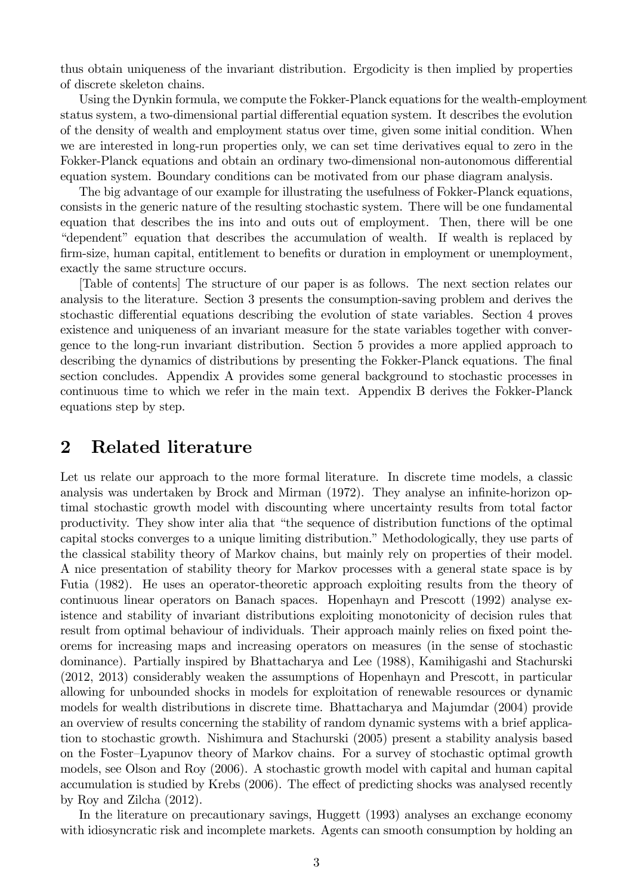thus obtain uniqueness of the invariant distribution. Ergodicity is then implied by properties of discrete skeleton chains.

Using the Dynkin formula, we compute the Fokker-Planck equations for the wealth-employment status system, a two-dimensional partial differential equation system. It describes the evolution of the density of wealth and employment status over time, given some initial condition. When we are interested in long-run properties only, we can set time derivatives equal to zero in the Fokker-Planck equations and obtain an ordinary two-dimensional non-autonomous differential equation system. Boundary conditions can be motivated from our phase diagram analysis.

The big advantage of our example for illustrating the usefulness of Fokker-Planck equations, consists in the generic nature of the resulting stochastic system. There will be one fundamental equation that describes the ins into and outs out of employment. Then, there will be one "dependent" equation that describes the accumulation of wealth. If wealth is replaced by firm-size, human capital, entitlement to benefits or duration in employment or unemployment, exactly the same structure occurs.

[Table of contents] The structure of our paper is as follows. The next section relates our analysis to the literature. Section 3 presents the consumption-saving problem and derives the stochastic differential equations describing the evolution of state variables. Section 4 proves existence and uniqueness of an invariant measure for the state variables together with convergence to the long-run invariant distribution. Section 5 provides a more applied approach to describing the dynamics of distributions by presenting the Fokker-Planck equations. The final section concludes. Appendix A provides some general background to stochastic processes in continuous time to which we refer in the main text. Appendix B derives the Fokker-Planck equations step by step.

## 2 Related literature

Let us relate our approach to the more formal literature. In discrete time models, a classic analysis was undertaken by Brock and Mirman (1972). They analyse an infinite-horizon optimal stochastic growth model with discounting where uncertainty results from total factor productivity. They show inter alia that "the sequence of distribution functions of the optimal capital stocks converges to a unique limiting distribution." Methodologically, they use parts of the classical stability theory of Markov chains, but mainly rely on properties of their model. A nice presentation of stability theory for Markov processes with a general state space is by Futia (1982). He uses an operator-theoretic approach exploiting results from the theory of continuous linear operators on Banach spaces. Hopenhayn and Prescott (1992) analyse existence and stability of invariant distributions exploiting monotonicity of decision rules that result from optimal behaviour of individuals. Their approach mainly relies on fixed point theorems for increasing maps and increasing operators on measures (in the sense of stochastic dominance). Partially inspired by Bhattacharya and Lee (1988), Kamihigashi and Stachurski (2012, 2013) considerably weaken the assumptions of Hopenhayn and Prescott, in particular allowing for unbounded shocks in models for exploitation of renewable resources or dynamic models for wealth distributions in discrete time. Bhattacharya and Majumdar (2004) provide an overview of results concerning the stability of random dynamic systems with a brief application to stochastic growth. Nishimura and Stachurski (2005) present a stability analysis based on the Foster–Lyapunov theory of Markov chains. For a survey of stochastic optimal growth models, see Olson and Roy (2006). A stochastic growth model with capital and human capital accumulation is studied by Krebs (2006). The effect of predicting shocks was analysed recently by Roy and Zilcha (2012).

In the literature on precautionary savings, Huggett (1993) analyses an exchange economy with idiosyncratic risk and incomplete markets. Agents can smooth consumption by holding an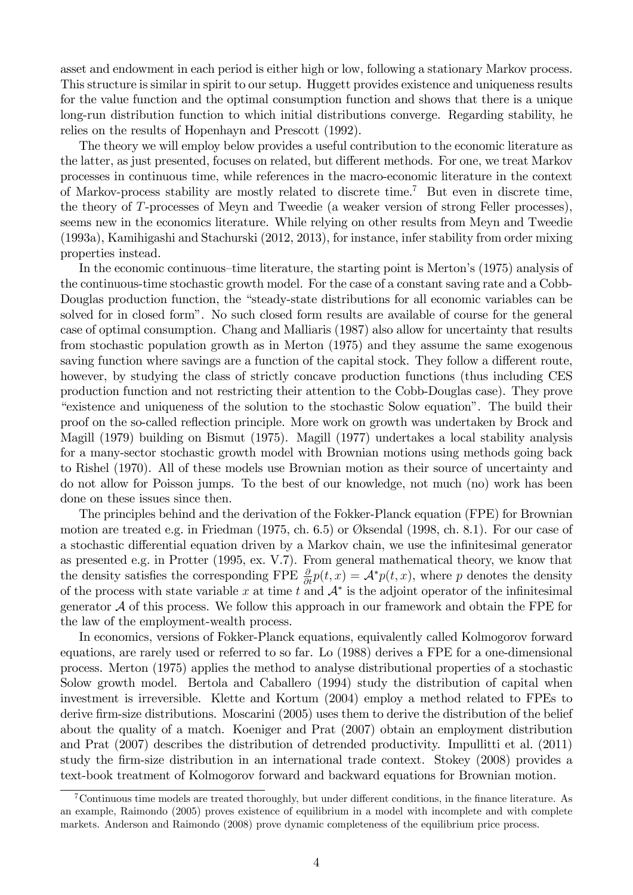asset and endowment in each period is either high or low, following a stationary Markov process. This structure is similar in spirit to our setup. Huggett provides existence and uniqueness results for the value function and the optimal consumption function and shows that there is a unique long-run distribution function to which initial distributions converge. Regarding stability, he relies on the results of Hopenhayn and Prescott (1992).

The theory we will employ below provides a useful contribution to the economic literature as the latter, as just presented, focuses on related, but different methods. For one, we treat Markov processes in continuous time, while references in the macro-economic literature in the context of Markov-process stability are mostly related to discrete time.<sup>7</sup> But even in discrete time, the theory of T-processes of Meyn and Tweedie (a weaker version of strong Feller processes), seems new in the economics literature. While relying on other results from Meyn and Tweedie (1993a), Kamihigashi and Stachurski (2012, 2013), for instance, infer stability from order mixing properties instead.

In the economic continuous-time literature, the starting point is Merton's (1975) analysis of the continuous-time stochastic growth model. For the case of a constant saving rate and a Cobb-Douglas production function, the "steady-state distributions for all economic variables can be solved for in closed formî. No such closed form results are available of course for the general case of optimal consumption. Chang and Malliaris (1987) also allow for uncertainty that results from stochastic population growth as in Merton (1975) and they assume the same exogenous saving function where savings are a function of the capital stock. They follow a different route, however, by studying the class of strictly concave production functions (thus including CES production function and not restricting their attention to the Cobb-Douglas case). They prove ìexistence and uniqueness of the solution to the stochastic Solow equationî. The build their proof on the so-called reflection principle. More work on growth was undertaken by Brock and Magill (1979) building on Bismut (1975). Magill (1977) undertakes a local stability analysis for a many-sector stochastic growth model with Brownian motions using methods going back to Rishel (1970). All of these models use Brownian motion as their source of uncertainty and do not allow for Poisson jumps. To the best of our knowledge, not much (no) work has been done on these issues since then.

The principles behind and the derivation of the Fokker-Planck equation (FPE) for Brownian motion are treated e.g. in Friedman  $(1975, ch. 6.5)$  or Øksendal  $(1998, ch. 8.1)$ . For our case of a stochastic differential equation driven by a Markov chain, we use the infinitesimal generator as presented e.g. in Protter (1995, ex. V.7). From general mathematical theory, we know that the density satisfies the corresponding FPE  $\frac{\partial}{\partial t}p(t, x) = A^*p(t, x)$ , where p denotes the density of the process with state variable x at time t and  $A^*$  is the adjoint operator of the infinitesimal generator  $A$  of this process. We follow this approach in our framework and obtain the FPE for the law of the employment-wealth process.

In economics, versions of Fokker-Planck equations, equivalently called Kolmogorov forward equations, are rarely used or referred to so far. Lo (1988) derives a FPE for a one-dimensional process. Merton (1975) applies the method to analyse distributional properties of a stochastic Solow growth model. Bertola and Caballero (1994) study the distribution of capital when investment is irreversible. Klette and Kortum (2004) employ a method related to FPEs to derive firm-size distributions. Moscarini (2005) uses them to derive the distribution of the belief about the quality of a match. Koeniger and Prat (2007) obtain an employment distribution and Prat (2007) describes the distribution of detrended productivity. Impullitti et al. (2011) study the Örm-size distribution in an international trade context. Stokey (2008) provides a text-book treatment of Kolmogorov forward and backward equations for Brownian motion.

<sup>&</sup>lt;sup>7</sup>Continuous time models are treated thoroughly, but under different conditions, in the finance literature. As an example, Raimondo (2005) proves existence of equilibrium in a model with incomplete and with complete markets. Anderson and Raimondo (2008) prove dynamic completeness of the equilibrium price process.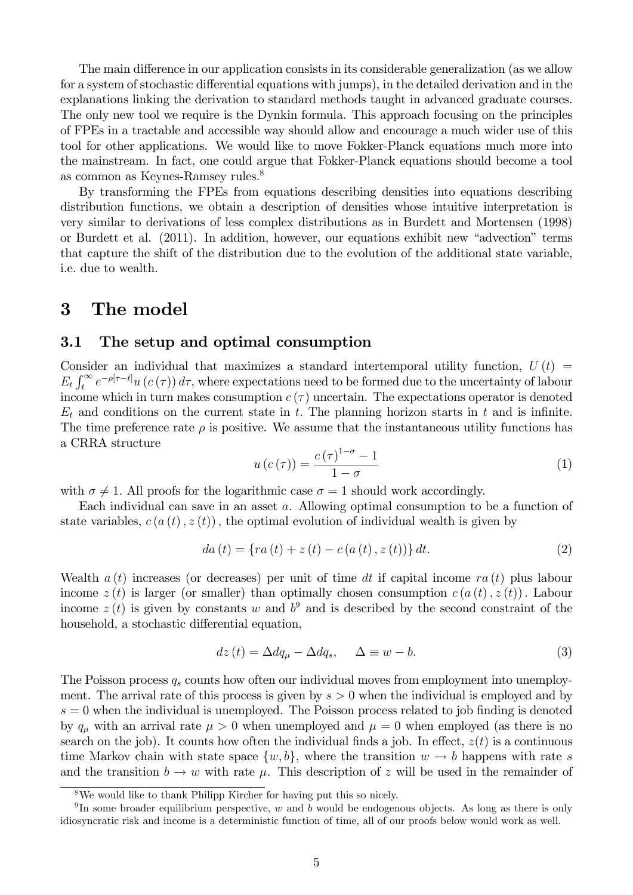The main difference in our application consists in its considerable generalization (as we allow for a system of stochastic differential equations with jumps), in the detailed derivation and in the explanations linking the derivation to standard methods taught in advanced graduate courses. The only new tool we require is the Dynkin formula. This approach focusing on the principles of FPEs in a tractable and accessible way should allow and encourage a much wider use of this tool for other applications. We would like to move Fokker-Planck equations much more into the mainstream. In fact, one could argue that Fokker-Planck equations should become a tool as common as Keynes-Ramsey rules.<sup>8</sup>

By transforming the FPEs from equations describing densities into equations describing distribution functions, we obtain a description of densities whose intuitive interpretation is very similar to derivations of less complex distributions as in Burdett and Mortensen (1998) or Burdett et al. (2011). In addition, however, our equations exhibit new "advection" terms that capture the shift of the distribution due to the evolution of the additional state variable, i.e. due to wealth.

## 3 The model

## 3.1 The setup and optimal consumption

Consider an individual that maximizes a standard intertemporal utility function,  $U(t)$  =  $E_t \int_t^{\infty} e^{-\rho[\tau-t]} u(c(\tau)) d\tau$ , where expectations need to be formed due to the uncertainty of labour income which in turn makes consumption  $c(\tau)$  uncertain. The expectations operator is denoted  $E_t$  and conditions on the current state in t. The planning horizon starts in t and is infinite. The time preference rate  $\rho$  is positive. We assume that the instantaneous utility functions has a CRRA structure

$$
u\left(c\left(\tau\right)\right) = \frac{c\left(\tau\right)^{1-\sigma} - 1}{1-\sigma} \tag{1}
$$

with  $\sigma \neq 1$ . All proofs for the logarithmic case  $\sigma = 1$  should work accordingly.

Each individual can save in an asset a. Allowing optimal consumption to be a function of state variables,  $c(a(t), z(t))$ , the optimal evolution of individual wealth is given by

$$
da(t) = \{ra(t) + z(t) - c(a(t), z(t))\} dt.
$$
 (2)

Wealth  $a(t)$  increases (or decreases) per unit of time dt if capital income  $ra(t)$  plus labour income  $z(t)$  is larger (or smaller) than optimally chosen consumption  $c(a(t), z(t))$ . Labour income  $z(t)$  is given by constants w and  $b^9$  and is described by the second constraint of the household, a stochastic differential equation,

$$
dz(t) = \Delta dq_{\mu} - \Delta dq_{s}, \quad \Delta \equiv w - b. \tag{3}
$$

The Poisson process  $q_s$  counts how often our individual moves from employment into unemployment. The arrival rate of this process is given by  $s > 0$  when the individual is employed and by  $s = 0$  when the individual is unemployed. The Poisson process related to job finding is denoted by  $q_{\mu}$  with an arrival rate  $\mu > 0$  when unemployed and  $\mu = 0$  when employed (as there is no search on the job). It counts how often the individual finds a job. In effect,  $z(t)$  is a continuous time Markov chain with state space  $\{w, b\}$ , where the transition  $w \to b$  happens with rate s and the transition  $b \to w$  with rate  $\mu$ . This description of z will be used in the remainder of

<sup>8</sup>We would like to thank Philipp Kircher for having put this so nicely.

<sup>&</sup>lt;sup>9</sup>In some broader equilibrium perspective, w and b would be endogenous objects. As long as there is only idiosyncratic risk and income is a deterministic function of time, all of our proofs below would work as well.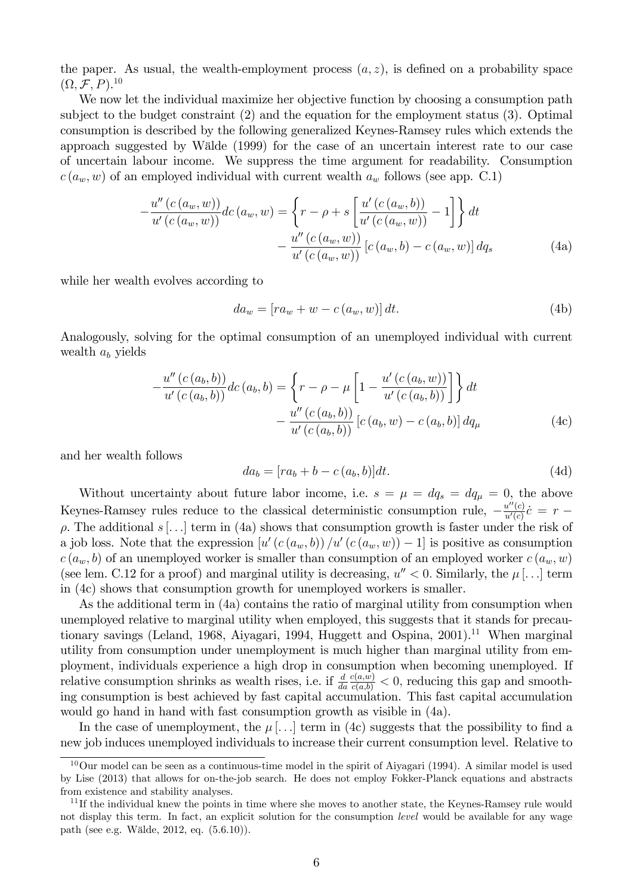the paper. As usual, the wealth-employment process  $(a, z)$ , is defined on a probability space  $(\Omega, \mathcal{F}, P)^{10}$ 

We now let the individual maximize her objective function by choosing a consumption path subject to the budget constraint (2) and the equation for the employment status (3). Optimal consumption is described by the following generalized Keynes-Ramsey rules which extends the approach suggested by W‰lde (1999) for the case of an uncertain interest rate to our case of uncertain labour income. We suppress the time argument for readability. Consumption  $c(a_w, w)$  of an employed individual with current wealth  $a_w$  follows (see app. C.1)

$$
-\frac{u''(c(a_w, w))}{u'(c(a_w, w))}dc(a_w, w) = \left\{r - \rho + s \left[\frac{u'(c(a_w, b))}{u'(c(a_w, w))} - 1\right]\right\}dt - \frac{u''(c(a_w, w))}{u'(c(a_w, w))}[c(a_w, b) - c(a_w, w)]dq_s
$$
(4a)

while her wealth evolves according to

$$
da_w = [ra_w + w - c(a_w, w)] dt.
$$
\n(4b)

Analogously, solving for the optimal consumption of an unemployed individual with current wealth  $a<sub>b</sub>$  yields

$$
-\frac{u''(c(a_b, b))}{u'(c(a_b, b))}dc(a_b, b) = \left\{r - \rho - \mu \left[1 - \frac{u'(c(a_b, w))}{u'(c(a_b, b))}\right]\right\}dt - \frac{u''(c(a_b, b))}{u'(c(a_b, b))}[c(a_b, w) - c(a_b, b)]dq_{\mu}
$$
(4c)

and her wealth follows

$$
da_b = [ra_b + b - c(a_b, b)]dt.
$$
\n(4d)

Without uncertainty about future labor income, i.e.  $s = \mu = dq_s = dq_\mu = 0$ , the above Keynes-Ramsey rules reduce to the classical deterministic consumption rule,  $-\frac{u''(c)}{u'(c)}$  $\frac{u^{\alpha}(c)}{u'(c)}\dot{c} = r \rho$ . The additional s [...] term in (4a) shows that consumption growth is faster under the risk of a job loss. Note that the expression  $[u'(c(a_w, b)) / u'(c(a_w, w)) - 1]$  is positive as consumption  $c(a_w, b)$  of an unemployed worker is smaller than consumption of an employed worker  $c(a_w, w)$ (see lem. C.12 for a proof) and marginal utility is decreasing,  $u'' < 0$ . Similarly, the  $\mu$ [...] term in (4c) shows that consumption growth for unemployed workers is smaller.

As the additional term in (4a) contains the ratio of marginal utility from consumption when unemployed relative to marginal utility when employed, this suggests that it stands for precautionary savings (Leland, 1968, Aiyagari, 1994, Huggett and Ospina,  $2001$ ).<sup>11</sup> When marginal utility from consumption under unemployment is much higher than marginal utility from employment, individuals experience a high drop in consumption when becoming unemployed. If relative consumption shrinks as wealth rises, i.e. if  $\frac{d}{da}$  $\frac{c(a,w)}{c(a,b)} < 0$ , reducing this gap and smoothing consumption is best achieved by fast capital accumulation. This fast capital accumulation would go hand in hand with fast consumption growth as visible in (4a).

In the case of unemployment, the  $\mu$ [...] term in (4c) suggests that the possibility to find a new job induces unemployed individuals to increase their current consumption level. Relative to

 $10$ Our model can be seen as a continuous-time model in the spirit of Aiyagari (1994). A similar model is used by Lise (2013) that allows for on-the-job search. He does not employ Fokker-Planck equations and abstracts from existence and stability analyses.

 $11$  If the individual knew the points in time where she moves to another state, the Keynes-Ramsey rule would not display this term. In fact, an explicit solution for the consumption *level* would be available for any wage path (see e.g. Wälde, 2012, eq.  $(5.6.10)$ ).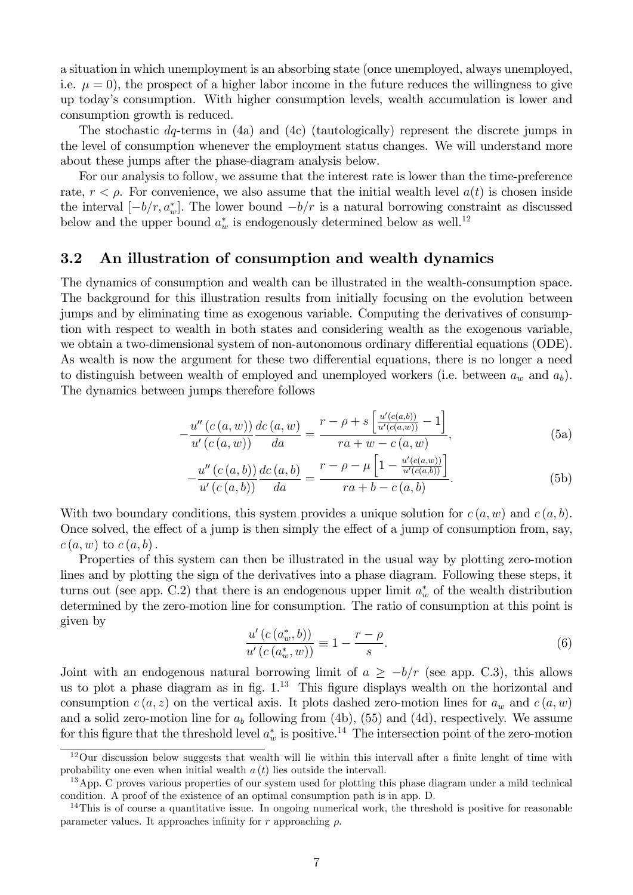a situation in which unemployment is an absorbing state (once unemployed, always unemployed, i.e.  $\mu = 0$ , the prospect of a higher labor income in the future reduces the willingness to give up todayís consumption. With higher consumption levels, wealth accumulation is lower and consumption growth is reduced.

The stochastic dq-terms in (4a) and (4c) (tautologically) represent the discrete jumps in the level of consumption whenever the employment status changes. We will understand more about these jumps after the phase-diagram analysis below.

For our analysis to follow, we assume that the interest rate is lower than the time-preference rate,  $r < \rho$ . For convenience, we also assume that the initial wealth level  $a(t)$  is chosen inside the interval  $[-b/r, a^*_{w}]$ . The lower bound  $-b/r$  is a natural borrowing constraint as discussed below and the upper bound  $a_w^*$  is endogenously determined below as well.<sup>12</sup>

## 3.2 An illustration of consumption and wealth dynamics

The dynamics of consumption and wealth can be illustrated in the wealth-consumption space. The background for this illustration results from initially focusing on the evolution between jumps and by eliminating time as exogenous variable. Computing the derivatives of consumption with respect to wealth in both states and considering wealth as the exogenous variable, we obtain a two-dimensional system of non-autonomous ordinary differential equations (ODE). As wealth is now the argument for these two differential equations, there is no longer a need to distinguish between wealth of employed and unemployed workers (i.e. between  $a_w$  and  $a_b$ ). The dynamics between jumps therefore follows

$$
-\frac{u''(c(a, w))}{u'(c(a, w))}\frac{dc(a, w)}{da} = \frac{r - \rho + s\left[\frac{u'(c(a, b))}{u'(c(a, w))} - 1\right]}{ra + w - c(a, w)},
$$
(5a)

$$
-\frac{u''(c(a,b))}{u'(c(a,b))}\frac{dc(a,b)}{da} = \frac{r-\rho-\mu\left[1-\frac{u'(c(a,w))}{u'(c(a,b))}\right]}{ra+b-c(a,b)}.
$$
(5b)

With two boundary conditions, this system provides a unique solution for  $c(a, w)$  and  $c(a, b)$ . Once solved, the effect of a jump is then simply the effect of a jump of consumption from, say,  $c(a, w)$  to  $c(a, b)$ .

Properties of this system can then be illustrated in the usual way by plotting zero-motion lines and by plotting the sign of the derivatives into a phase diagram. Following these steps, it turns out (see app. C.2) that there is an endogenous upper limit  $a_w^*$  of the wealth distribution determined by the zero-motion line for consumption. The ratio of consumption at this point is given by

$$
\frac{u'(c(a_w^*,b))}{u'(c(a_w^*,w))} \equiv 1 - \frac{r-\rho}{s}.\tag{6}
$$

Joint with an endogenous natural borrowing limit of  $a \ge -b/r$  (see app. C.3), this allows us to plot a phase diagram as in fig.  $1<sup>13</sup>$  This figure displays wealth on the horizontal and consumption  $c(a, z)$  on the vertical axis. It plots dashed zero-motion lines for  $a_w$  and  $c(a, w)$ and a solid zero-motion line for  $a<sub>b</sub>$  following from (4b), (55) and (4d), respectively. We assume for this figure that the threshold level  $a_w^*$  is positive.<sup>14</sup> The intersection point of the zero-motion

 $12$ Our discussion below suggests that wealth will lie within this intervall after a finite lenght of time with probability one even when initial wealth  $a(t)$  lies outside the intervall.

<sup>&</sup>lt;sup>13</sup>App. C proves various properties of our system used for plotting this phase diagram under a mild technical condition. A proof of the existence of an optimal consumption path is in app. D.

<sup>&</sup>lt;sup>14</sup>This is of course a quantitative issue. In ongoing numerical work, the threshold is positive for reasonable parameter values. It approaches infinity for r approaching  $\rho$ .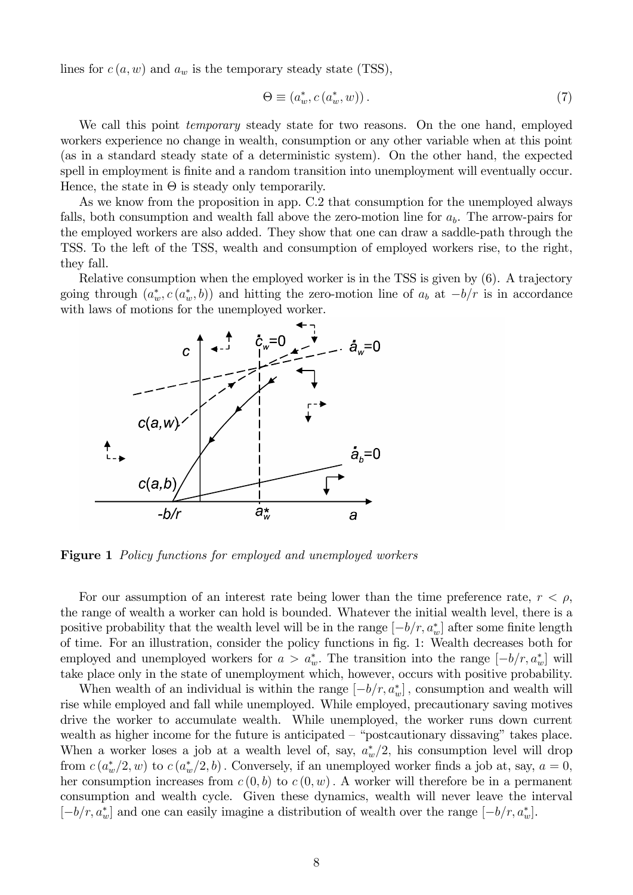lines for  $c(a, w)$  and  $a_w$  is the temporary steady state (TSS),

$$
\Theta \equiv (a_w^*, c(a_w^*, w)). \tag{7}
$$

We call this point temporary steady state for two reasons. On the one hand, employed workers experience no change in wealth, consumption or any other variable when at this point (as in a standard steady state of a deterministic system). On the other hand, the expected spell in employment is finite and a random transition into unemployment will eventually occur. Hence, the state in  $\Theta$  is steady only temporarily.

As we know from the proposition in app. C.2 that consumption for the unemployed always falls, both consumption and wealth fall above the zero-motion line for  $a<sub>b</sub>$ . The arrow-pairs for the employed workers are also added. They show that one can draw a saddle-path through the TSS. To the left of the TSS, wealth and consumption of employed workers rise, to the right, they fall.

Relative consumption when the employed worker is in the TSS is given by (6). A trajectory going through  $(a_w^*, c(a_w^*, b))$  and hitting the zero-motion line of  $a_b$  at  $-b/r$  is in accordance with laws of motions for the unemployed worker.



Figure 1 Policy functions for employed and unemployed workers

For our assumption of an interest rate being lower than the time preference rate,  $r < \rho$ , the range of wealth a worker can hold is bounded. Whatever the initial wealth level, there is a positive probability that the wealth level will be in the range  $[-b/r, a_w^*]$  after some finite length of time. For an illustration, consider the policy functions in fig. 1: Wealth decreases both for employed and unemployed workers for  $a > a_w^*$ . The transition into the range  $[-b/r, a_w^*]$  will take place only in the state of unemployment which, however, occurs with positive probability.

When wealth of an individual is within the range  $[-b/r, a_w^*]$ , consumption and wealth will rise while employed and fall while unemployed. While employed, precautionary saving motives drive the worker to accumulate wealth. While unemployed, the worker runs down current wealth as higher income for the future is anticipated  $-$  "postcautionary dissaving" takes place. When a worker loses a job at a wealth level of, say,  $a_w^*/2$ , his consumption level will drop from  $c(a_w^*/2, w)$  to  $c(a_w^*/2, b)$ . Conversely, if an unemployed worker finds a job at, say,  $a = 0$ , her consumption increases from  $c(0, b)$  to  $c(0, w)$ . A worker will therefore be in a permanent consumption and wealth cycle. Given these dynamics, wealth will never leave the interval  $[-b/r, a^*_{w}]$  and one can easily imagine a distribution of wealth over the range  $[-b/r, a^*_{w}]$ .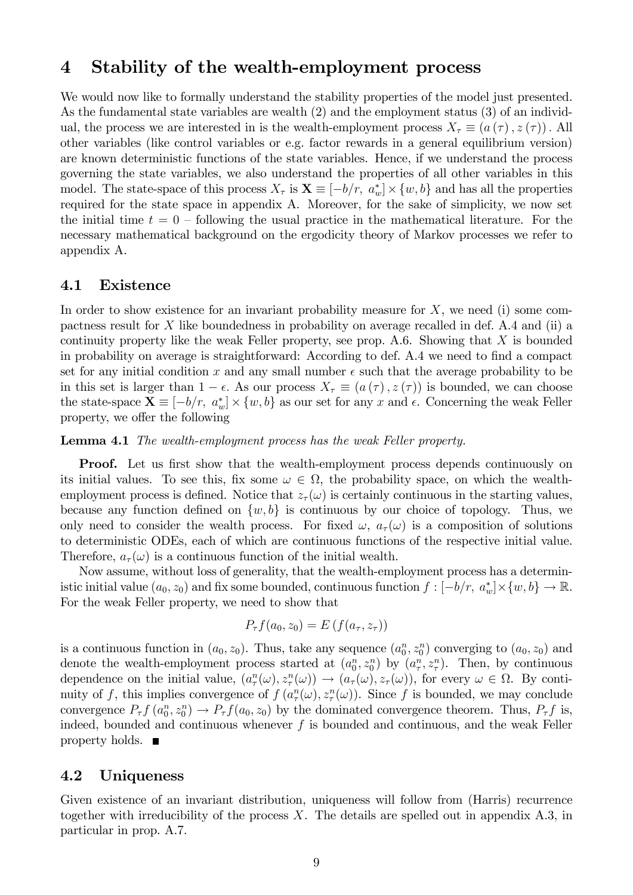## 4 Stability of the wealth-employment process

We would now like to formally understand the stability properties of the model just presented. As the fundamental state variables are wealth (2) and the employment status (3) of an individual, the process we are interested in is the wealth-employment process  $X_{\tau} \equiv (a(\tau), z(\tau))$ . All other variables (like control variables or e.g. factor rewards in a general equilibrium version) are known deterministic functions of the state variables. Hence, if we understand the process governing the state variables, we also understand the properties of all other variables in this model. The state-space of this process  $X_{\tau}$  is  $\mathbf{X} \equiv [-b/r, a_w^*] \times \{w, b\}$  and has all the properties required for the state space in appendix A. Moreover, for the sake of simplicity, we now set the initial time  $t = 0$  – following the usual practice in the mathematical literature. For the necessary mathematical background on the ergodicity theory of Markov processes we refer to appendix A.

## 4.1 Existence

In order to show existence for an invariant probability measure for  $X$ , we need (i) some compactness result for X like boundedness in probability on average recalled in def. A.4 and (ii) a continuity property like the weak Feller property, see prop. A.6. Showing that  $X$  is bounded in probability on average is straightforward: According to def. A.4 we need to find a compact set for any initial condition x and any small number  $\epsilon$  such that the average probability to be in this set is larger than  $1 - \epsilon$ . As our process  $X_{\tau} \equiv (a(\tau), z(\tau))$  is bounded, we can choose the state-space  $\mathbf{X} \equiv [-b/r, a_w^*] \times \{w, b\}$  as our set for any x and  $\epsilon$ . Concerning the weak Feller property, we offer the following

Lemma 4.1 The wealth-employment process has the weak Feller property.

**Proof.** Let us first show that the wealth-employment process depends continuously on its initial values. To see this, fix some  $\omega \in \Omega$ , the probability space, on which the wealthemployment process is defined. Notice that  $z<sub>\tau</sub>(\omega)$  is certainly continuous in the starting values, because any function defined on  $\{w, b\}$  is continuous by our choice of topology. Thus, we only need to consider the wealth process. For fixed  $\omega$ ,  $a_{\tau}(\omega)$  is a composition of solutions to deterministic ODEs, each of which are continuous functions of the respective initial value. Therefore,  $a_{\tau}(\omega)$  is a continuous function of the initial wealth.

Now assume, without loss of generality, that the wealth-employment process has a deterministic initial value  $(a_0, z_0)$  and fix some bounded, continuous function  $f: [-b/r, a_w^*] \times \{w, b\} \to \mathbb{R}$ . For the weak Feller property, we need to show that

$$
P_{\tau}f(a_0, z_0) = E\left(f(a_{\tau}, z_{\tau})\right)
$$

is a continuous function in  $(a_0, z_0)$ . Thus, take any sequence  $(a_0^n, z_0^n)$  converging to  $(a_0, z_0)$  and denote the wealth-employment process started at  $(a_0^n, z_0^n)$  by  $(a_\tau^n, z_\tau^n)$ . Then, by continuous dependence on the initial value,  $(a_\tau^n(\omega), z_\tau^n(\omega)) \to (a_\tau(\omega), z_\tau(\omega))$ , for every  $\omega \in \Omega$ . By continuity of f, this implies convergence of  $f(a_\tau^n(\omega), z_\tau^n(\omega))$ . Since f is bounded, we may conclude convergence  $P_{\tau} f(a_0^n, z_0^n) \to P_{\tau} f(a_0, z_0)$  by the dominated convergence theorem. Thus,  $P_{\tau} f$  is, indeed, bounded and continuous whenever  $f$  is bounded and continuous, and the weak Feller property holds.  $\blacksquare$ 

## 4.2 Uniqueness

Given existence of an invariant distribution, uniqueness will follow from (Harris) recurrence together with irreducibility of the process  $X$ . The details are spelled out in appendix  $A.3$ , in particular in prop. A.7.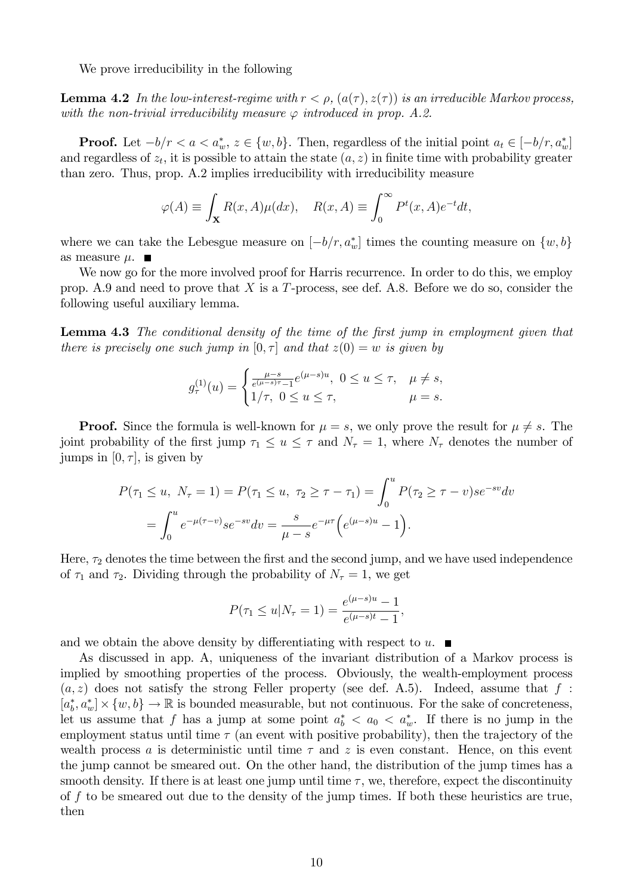We prove irreducibility in the following

**Lemma 4.2** In the low-interest-regime with  $r < \rho$ ,  $(a(\tau), z(\tau))$  is an irreducible Markov process, with the non-trivial irreducibility measure  $\varphi$  introduced in prop. A.2.

**Proof.** Let  $-b/r < a < a_w^*$ ,  $z \in \{w, b\}$ . Then, regardless of the initial point  $a_t \in [-b/r, a_w^*]$ and regardless of  $z_t$ , it is possible to attain the state  $(a, z)$  in finite time with probability greater than zero. Thus, prop. A.2 implies irreducibility with irreducibility measure

$$
\varphi(A) \equiv \int_{\mathbf{X}} R(x, A)\mu(dx), \quad R(x, A) \equiv \int_0^\infty P^t(x, A)e^{-t}dt,
$$

where we can take the Lebesgue measure on  $[-b/r, a_w^*]$  times the counting measure on  $\{w, b\}$ as measure  $\mu$ .

We now go for the more involved proof for Harris recurrence. In order to do this, we employ prop. A.9 and need to prove that  $X$  is a T-process, see def. A.8. Before we do so, consider the following useful auxiliary lemma.

Lemma 4.3 The conditional density of the time of the first jump in employment given that there is precisely one such jump in  $[0, \tau]$  and that  $z(0) = w$  is given by

$$
g_{\tau}^{(1)}(u) = \begin{cases} \frac{\mu - s}{e^{(\mu - s)\tau} - 1} e^{(\mu - s)u}, & 0 \le u \le \tau, & \mu \ne s, \\ 1/\tau, & 0 \le u \le \tau, & \mu = s. \end{cases}
$$

**Proof.** Since the formula is well-known for  $\mu = s$ , we only prove the result for  $\mu \neq s$ . The joint probability of the first jump  $\tau_1 \leq u \leq \tau$  and  $N_{\tau} = 1$ , where  $N_{\tau}$  denotes the number of jumps in  $[0, \tau]$ , is given by

$$
P(\tau_1 \le u, N_\tau = 1) = P(\tau_1 \le u, \tau_2 \ge \tau - \tau_1) = \int_0^u P(\tau_2 \ge \tau - v)se^{-sv}dv
$$
  
= 
$$
\int_0^u e^{-\mu(\tau - v)}se^{-sv}dv = \frac{s}{\mu - s}e^{-\mu\tau}\Big(e^{(\mu - s)u} - 1\Big).
$$

Here,  $\tau_2$  denotes the time between the first and the second jump, and we have used independence of  $\tau_1$  and  $\tau_2$ . Dividing through the probability of  $N_\tau = 1$ , we get

$$
P(\tau_1 \le u | N_\tau = 1) = \frac{e^{(\mu - s)u} - 1}{e^{(\mu - s)t} - 1},
$$

and we obtain the above density by differentiating with respect to u.  $\blacksquare$ 

As discussed in app. A, uniqueness of the invariant distribution of a Markov process is implied by smoothing properties of the process. Obviously, the wealth-employment process  $(a, z)$  does not satisfy the strong Feller property (see def. A.5). Indeed, assume that f :  $[a_b^*, a_w^*] \times \{w, b\} \to \mathbb{R}$  is bounded measurable, but not continuous. For the sake of concreteness, let us assume that f has a jump at some point  $a_b^* < a_0 < a_w^*$ . If there is no jump in the employment status until time  $\tau$  (an event with positive probability), then the trajectory of the wealth process a is deterministic until time  $\tau$  and z is even constant. Hence, on this event the jump cannot be smeared out. On the other hand, the distribution of the jump times has a smooth density. If there is at least one jump until time  $\tau$ , we, therefore, expect the discontinuity of f to be smeared out due to the density of the jump times. If both these heuristics are true, then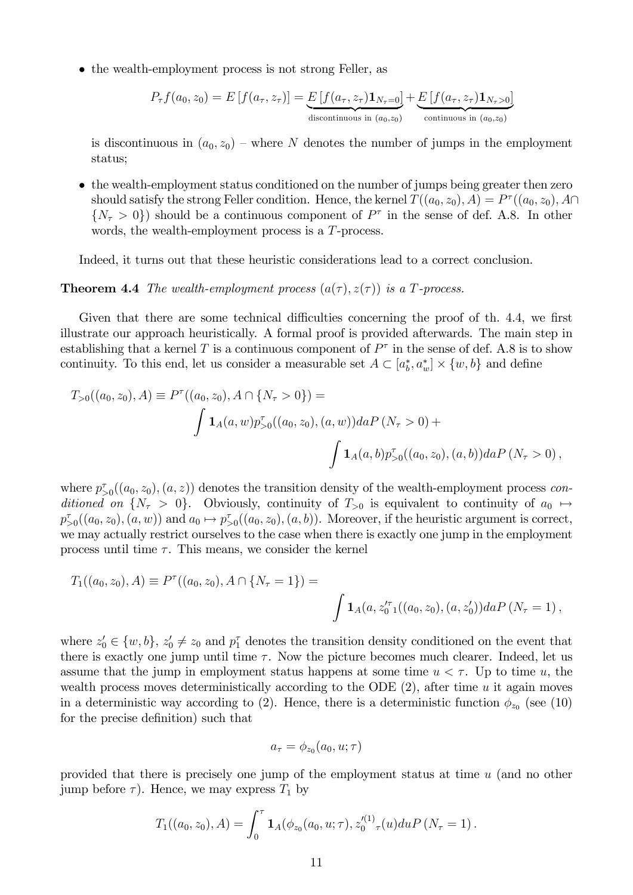• the wealth-employment process is not strong Feller, as

$$
P_{\tau}f(a_0, z_0) = E\left[f(a_{\tau}, z_{\tau})\right] = \underbrace{E\left[f(a_{\tau}, z_{\tau})\mathbf{1}_{N_{\tau}=0}\right]}_{\text{discontinuous in } (a_0, z_0)} + \underbrace{E\left[f(a_{\tau}, z_{\tau})\mathbf{1}_{N_{\tau}>0}\right]}_{\text{continuous in } (a_0, z_0)}
$$

is discontinuous in  $(a_0, z_0)$  – where N denotes the number of jumps in the employment status;

 the wealth-employment status conditioned on the number of jumps being greater then zero should satisfy the strong Feller condition. Hence, the kernel  $T((a_0, z_0), A) = P^{\tau}((a_0, z_0), A \cap$  $\{N_{\tau} > 0\}$  should be a continuous component of  $P^{\tau}$  in the sense of def. A.8. In other words, the wealth-employment process is a T-process.

Indeed, it turns out that these heuristic considerations lead to a correct conclusion.

#### **Theorem 4.4** The wealth-employment process  $(a(\tau), z(\tau))$  is a T-process.

Given that there are some technical difficulties concerning the proof of th. 4.4, we first illustrate our approach heuristically. A formal proof is provided afterwards. The main step in establishing that a kernel T is a continuous component of  $P^{\tau}$  in the sense of def. A.8 is to show continuity. To this end, let us consider a measurable set  $A \subset [a_b^*, a_w^*] \times \{w, b\}$  and define

$$
T_{>0}((a_0, z_0), A) \equiv P^{\tau}((a_0, z_0), A \cap \{N_{\tau} > 0\}) =
$$
  

$$
\int \mathbf{1}_A(a, w) p^{\tau}_{>0}((a_0, z_0), (a, w)) da P (N_{\tau} > 0) +
$$
  

$$
\int \mathbf{1}_A(a, b) p^{\tau}_{>0}((a_0, z_0), (a, b)) da P (N_{\tau} > 0),
$$

where  $p_{>0}^{\tau}((a_0, z_0), (a, z))$  denotes the transition density of the wealth-employment process conditioned on  $\{N_\tau > 0\}$ . Obviously, continuity of  $T_{>0}$  is equivalent to continuity of  $a_0 \mapsto$  $p_{>0}^{\tau}((a_0, z_0), (a, w))$  and  $a_0 \mapsto p_{>0}^{\tau}((a_0, z_0), (a, b))$ . Moreover, if the heuristic argument is correct, we may actually restrict ourselves to the case when there is exactly one jump in the employment process until time  $\tau$ . This means, we consider the kernel

$$
T_1((a_0, z_0), A) \equiv P^{\tau}((a_0, z_0), A \cap \{N_{\tau} = 1\}) =
$$
  

$$
\int \mathbf{1}_A(a, z_{0}^{\prime \tau}(\alpha_0, z_0), (a, z_0^{\prime})) da P (N_{\tau} = 1),
$$

where  $z'_0 \in \{w, b\}$ ,  $z'_0 \neq z_0$  and  $p_1^{\tau}$  denotes the transition density conditioned on the event that there is exactly one jump until time  $\tau$ . Now the picture becomes much clearer. Indeed, let us assume that the jump in employment status happens at some time  $u < \tau$ . Up to time u, the wealth process moves deterministically according to the ODE  $(2)$ , after time u it again moves in a deterministic way according to (2). Hence, there is a deterministic function  $\phi_{z_0}$  (see (10) for the precise definition) such that

$$
a_{\tau} = \phi_{z_0}(a_0, u; \tau)
$$

provided that there is precisely one jump of the employment status at time u (and no other jump before  $\tau$ ). Hence, we may express  $T_1$  by

$$
T_1((a_0, z_0), A) = \int_0^{\tau} \mathbf{1}_A(\phi_{z_0}(a_0, u; \tau), z_0^{\prime(1)}(\tau(u)) du P\left(N_{\tau} = 1\right).
$$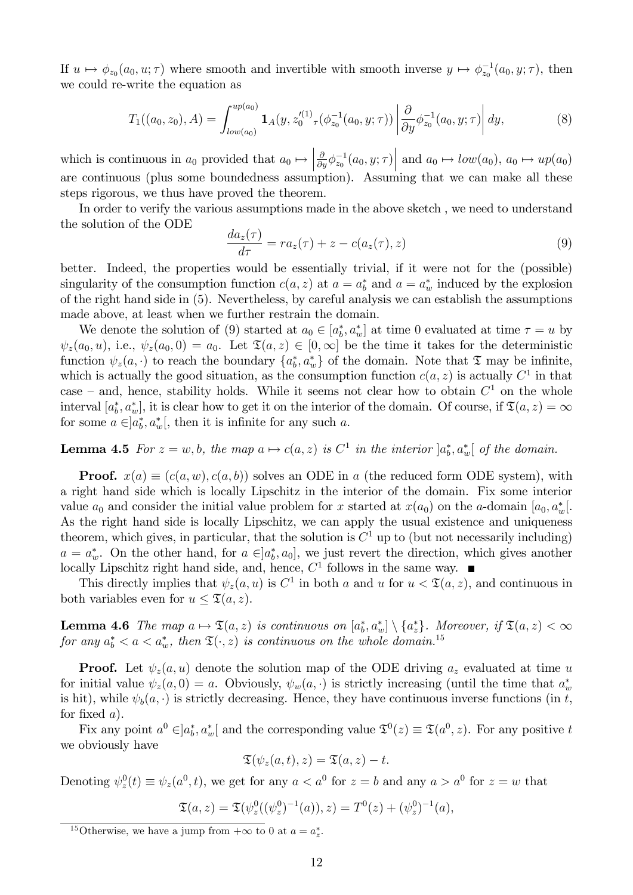If  $u \mapsto \phi_{z_0}(a_0, u; \tau)$  where smooth and invertible with smooth inverse  $y \mapsto \phi_{z_0}^{-1}(a_0, y; \tau)$ , then we could re-write the equation as

$$
T_1((a_0, z_0), A) = \int_{low(a_0)}^{up(a_0)} \mathbf{1}_A(y, z_0'^{(1)} \tau(\phi_{z_0}^{-1}(a_0, y; \tau)) \left| \frac{\partial}{\partial y} \phi_{z_0}^{-1}(a_0, y; \tau) \right| dy,
$$
 (8)

which is continuous in  $a_0$  provided that  $a_0 \mapsto$  $\frac{\partial}{\partial y}\phi_{z_0}^{-1}(a_0, y; \tau)$  and  $a_0 \mapsto low(a_0), a_0 \mapsto up(a_0)$ are continuous (plus some boundedness assumption). Assuming that we can make all these steps rigorous, we thus have proved the theorem.

In order to verify the various assumptions made in the above sketch , we need to understand the solution of the ODE

$$
\frac{da_z(\tau)}{d\tau} = ra_z(\tau) + z - c(a_z(\tau), z)
$$
\n(9)

better. Indeed, the properties would be essentially trivial, if it were not for the (possible) singularity of the consumption function  $c(a, z)$  at  $a = a_b^*$  and  $a = a_w^*$  induced by the explosion of the right hand side in (5). Nevertheless, by careful analysis we can establish the assumptions made above, at least when we further restrain the domain.

We denote the solution of (9) started at  $a_0 \in [a_b^*, a_w^*]$  at time 0 evaluated at time  $\tau = u$  by  $\psi_z(a_0, u)$ , i.e.,  $\psi_z(a_0, 0) = a_0$ . Let  $\mathfrak{T}(a, z) \in [0, \infty]$  be the time it takes for the deterministic function  $\psi_z(a, \cdot)$  to reach the boundary  $\{a_b^*, a_w^*\}$  of the domain. Note that  $\mathfrak T$  may be infinite, which is actually the good situation, as the consumption function  $c(a, z)$  is actually  $C<sup>1</sup>$  in that case – and, hence, stability holds. While it seems not clear how to obtain  $C<sup>1</sup>$  on the whole interval  $[a_b^*, a_w^*]$ , it is clear how to get it on the interior of the domain. Of course, if  $\mathfrak{T}(a, z) = \infty$ for some  $a \in ]a_b^*, a_w^*[$ , then it is infinite for any such a.

# **Lemma 4.5** For  $z = w, b$ , the map  $a \mapsto c(a, z)$  is  $C^1$  in the interior  $]a_b^*, a_w^*[$  of the domain.

**Proof.**  $x(a) \equiv (c(a, w), c(a, b))$  solves an ODE in a (the reduced form ODE system), with a right hand side which is locally Lipschitz in the interior of the domain. Fix some interior value  $a_0$  and consider the initial value problem for x started at  $x(a_0)$  on the a-domain  $[a_0, a_w^*]$ . As the right hand side is locally Lipschitz, we can apply the usual existence and uniqueness theorem, which gives, in particular, that the solution is  $C^1$  up to (but not necessarily including)  $a = a_w^*$ . On the other hand, for  $a \in ]a_b^*, a_0]$ , we just revert the direction, which gives another locally Lipschitz right hand side, and, hence,  $C<sup>1</sup>$  follows in the same way.

This directly implies that  $\psi_z(a, u)$  is  $C^1$  in both a and u for  $u < \mathfrak{T}(a, z)$ , and continuous in both variables even for  $u \leq \mathfrak{T}(a, z)$ .

**Lemma 4.6** The map  $a \mapsto \mathfrak{T}(a, z)$  is continuous on  $[a_b^*, a_w^*] \setminus \{a_z^*\}$ . Moreover, if  $\mathfrak{T}(a, z) < \infty$ for any  $a_b^* < a < a_w^*$ , then  $\mathfrak{T}(\cdot, z)$  is continuous on the whole domain.<sup>15</sup>

**Proof.** Let  $\psi_z(a, u)$  denote the solution map of the ODE driving  $a_z$  evaluated at time u for initial value  $\psi_z(a,0) = a$ . Obviously,  $\psi_w(a, \cdot)$  is strictly increasing (until the time that  $a_w^*$ is hit), while  $\psi_b(a, \cdot)$  is strictly decreasing. Hence, they have continuous inverse functions (in t, for fixed  $a$ ).

Fix any point  $a^0 \in ]a_b^*, a_w^*[$  and the corresponding value  $\mathfrak{T}^0(z) \equiv \mathfrak{T}(a^0, z)$ . For any positive t we obviously have

$$
\mathfrak{T}(\psi_z(a,t),z)=\mathfrak{T}(a,z)-t.
$$

Denoting  $\psi_z^0(t) \equiv \psi_z(a^0, t)$ , we get for any  $a < a^0$  for  $z = b$  and any  $a > a^0$  for  $z = w$  that

$$
\mathfrak{T}(a, z) = \mathfrak{T}(\psi_z^0((\psi_z^0)^{-1}(a)), z) = T^0(z) + (\psi_z^0)^{-1}(a),
$$

<sup>&</sup>lt;sup>15</sup>Otherwise, we have a jump from  $+\infty$  to 0 at  $a = a_z^*$ .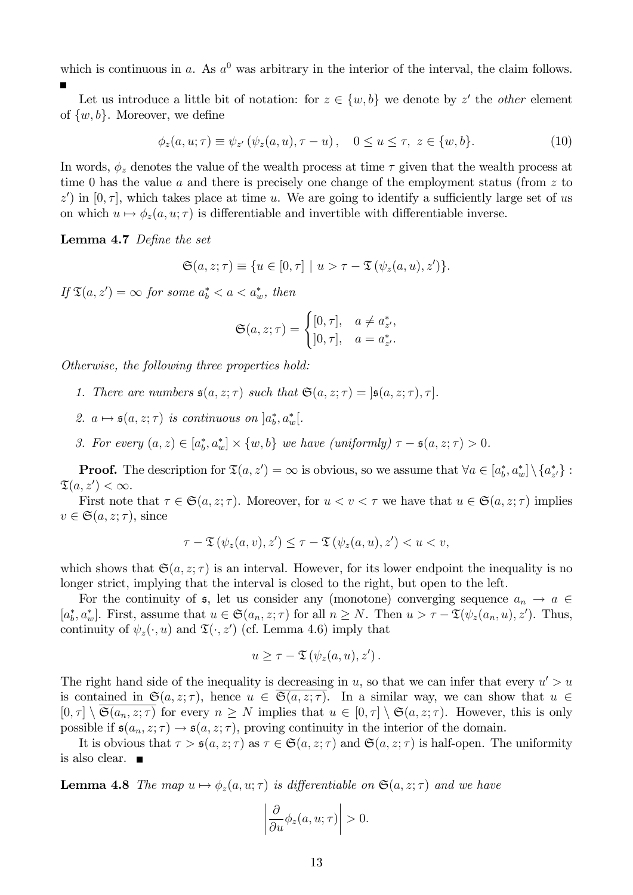which is continuous in a. As  $a^0$  was arbitrary in the interior of the interval, the claim follows.

Let us introduce a little bit of notation: for  $z \in \{w, b\}$  we denote by z' the *other* element of  $\{w, b\}$ . Moreover, we define

$$
\phi_z(a, u; \tau) \equiv \psi_{z'}(\psi_z(a, u), \tau - u), \quad 0 \le u \le \tau, \ z \in \{w, b\}. \tag{10}
$$

In words,  $\phi_z$  denotes the value of the wealth process at time  $\tau$  given that the wealth process at time 0 has the value a and there is precisely one change of the employment status (from  $z$  to z') in  $[0, \tau]$ , which takes place at time u. We are going to identify a sufficiently large set of us on which  $u \mapsto \phi_z(a, u; \tau)$  is differentiable and invertible with differentiable inverse.

Lemma 4.7 Define the set

$$
\mathfrak{S}(a, z; \tau) \equiv \{ u \in [0, \tau] \mid u > \tau - \mathfrak{T}(\psi_z(a, u), z') \}.
$$

If  $\mathfrak{T}(a, z') = \infty$  for some  $a_b^* < a < a_w^*$ , then

$$
\mathfrak{S}(a,z;\tau) = \begin{cases} [0,\tau], & a \neq a^*_{z'}, \\ [0,\tau], & a = a^*_{z'}.\end{cases}
$$

Otherwise, the following three properties hold:

- 1. There are numbers  $\mathfrak{s}(a, z; \tau)$  such that  $\mathfrak{S}(a, z; \tau) = |\mathfrak{s}(a, z; \tau), \tau|$ .
- 2.  $a \mapsto \mathfrak{s}(a, z; \tau)$  is continuous on  $]a_b^*, a_w^*[$ .
- 3. For every  $(a, z) \in [a_b^*, a_w^*] \times \{w, b\}$  we have (uniformly)  $\tau \mathfrak{s}(a, z; \tau) > 0$ .

**Proof.** The description for  $\mathfrak{T}(a, z') = \infty$  is obvious, so we assume that  $\forall a \in [a_b^*, a_w^*] \setminus \{a_{z'}^*\}$ :  $\mathfrak{T}(a, z') < \infty.$ 

First note that  $\tau \in \mathfrak{S}(a, z; \tau)$ . Moreover, for  $u < v < \tau$  we have that  $u \in \mathfrak{S}(a, z; \tau)$  implies  $v \in \mathfrak{S}(a, z; \tau)$ , since

$$
\tau-\mathfrak{T}\left(\psi_z(a,v),z'\right)\leq\tau-\mathfrak{T}\left(\psi_z(a,u),z'\right)
$$

which shows that  $\mathfrak{S}(a, z; \tau)$  is an interval. However, for its lower endpoint the inequality is no longer strict, implying that the interval is closed to the right, but open to the left.

For the continuity of  $\epsilon$ , let us consider any (monotone) converging sequence  $a_n \to a \in$  $[a_b^*, a_w^*]$ . First, assume that  $u \in \mathfrak{S}(a_n, z; \tau)$  for all  $n \geq N$ . Then  $u > \tau - \mathfrak{T}(\psi_z(a_n, u), z')$ . Thus, continuity of  $\psi_z(\cdot, u)$  and  $\mathfrak{T}(\cdot, z')$  (cf. Lemma 4.6) imply that

$$
u \geq \tau - \mathfrak{T}\left(\psi_z(a, u), z'\right).
$$

The right hand side of the inequality is decreasing in u, so that we can infer that every  $u' > u$ is contained in  $\mathfrak{S}(a, z; \tau)$ , hence  $u \in \overline{\mathfrak{S}(a, z; \tau)}$ . In a similar way, we can show that  $u \in$  $[0, \tau] \setminus \overline{\mathfrak{S}(a_n, z; \tau)}$  for every  $n \geq N$  implies that  $u \in [0, \tau] \setminus \mathfrak{S}(a, z; \tau)$ . However, this is only possible if  $\mathfrak{s}(a_n, z; \tau) \to \mathfrak{s}(a, z; \tau)$ , proving continuity in the interior of the domain.

It is obvious that  $\tau > \mathfrak{s}(a, z; \tau)$  as  $\tau \in \mathfrak{S}(a, z; \tau)$  and  $\mathfrak{S}(a, z; \tau)$  is half-open. The uniformity is also clear.

**Lemma 4.8** The map  $u \mapsto \phi_z(a, u; \tau)$  is differentiable on  $\mathfrak{S}(a, z; \tau)$  and we have

$$
\left|\frac{\partial}{\partial u}\phi_z(a, u; \tau)\right| > 0.
$$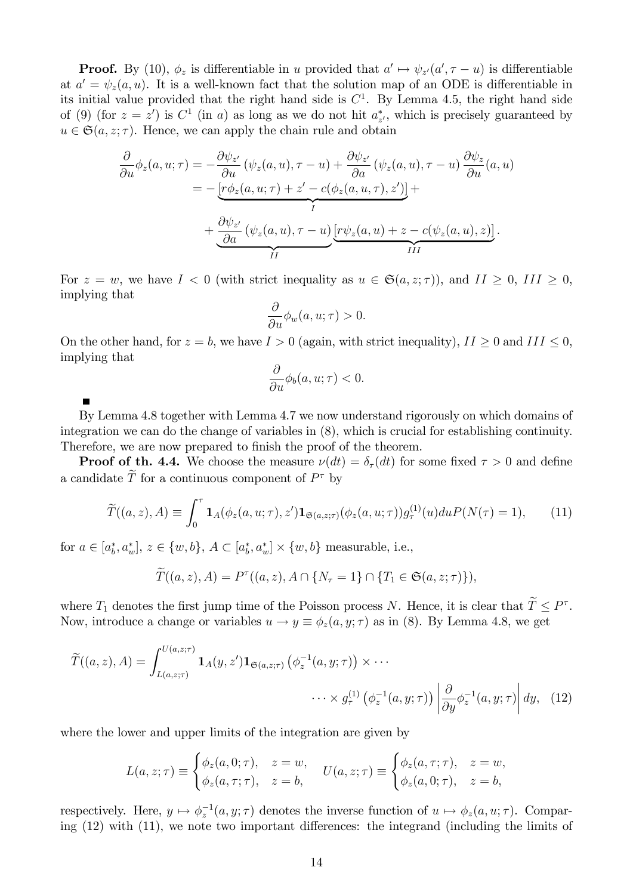**Proof.** By (10),  $\phi_z$  is differentiable in u provided that  $a' \mapsto \psi_{z'}(a', \tau - u)$  is differentiable at  $a' = \psi_z(a, u)$ . It is a well-known fact that the solution map of an ODE is differentiable in its initial value provided that the right hand side is  $C<sup>1</sup>$ . By Lemma 4.5, the right hand side of (9) (for  $z = z'$ ) is  $C^1$  (in a) as long as we do not hit  $a_{z'}^*$ , which is precisely guaranteed by  $u\in \mathfrak{S}(a,z;\tau).$  Hence, we can apply the chain rule and obtain

$$
\frac{\partial}{\partial u}\phi_z(a, u; \tau) = -\frac{\partial \psi_{z'}}{\partial u} (\psi_z(a, u), \tau - u) + \frac{\partial \psi_{z'}}{\partial a} (\psi_z(a, u), \tau - u) \frac{\partial \psi_z}{\partial u}(a, u) \n= -\underbrace{[r\phi_z(a, u; \tau) + z' - c(\phi_z(a, u, \tau), z')]}_{I} + \underbrace{\frac{\partial \psi_{z'}}{\partial a} (\psi_z(a, u), \tau - u) \underbrace{[r\psi_z(a, u) + z - c(\psi_z(a, u), z)]}_{III}.
$$

For  $z = w$ , we have  $I < 0$  (with strict inequality as  $u \in \mathfrak{S}(a, z; \tau)$ ), and  $II \geq 0$ ,  $III \geq 0$ , implying that

$$
\frac{\partial}{\partial u}\phi_w(a, u; \tau) > 0.
$$

On the other hand, for  $z = b$ , we have  $I > 0$  (again, with strict inequality),  $II \ge 0$  and  $III \le 0$ , implying that

$$
\frac{\partial}{\partial u}\phi_b(a, u; \tau) < 0.
$$

By Lemma 4.8 together with Lemma 4.7 we now understand rigorously on which domains of integration we can do the change of variables in (8), which is crucial for establishing continuity. Therefore, we are now prepared to finish the proof of the theorem.

**Proof of th. 4.4.** We choose the measure  $\nu(dt) = \delta_{\tau}(dt)$  for some fixed  $\tau > 0$  and define a candidate  $\overline{T}$  for a continuous component of  $P^{\tau}$  by

$$
\widetilde{T}((a,z),A) \equiv \int_0^\tau \mathbf{1}_A(\phi_z(a,u;\tau),z') \mathbf{1}_{\mathfrak{S}(a,z;\tau)}(\phi_z(a,u;\tau)) g_\tau^{(1)}(u) du P(N(\tau) = 1), \qquad (11)
$$

for  $a \in [a_b^*, a_w^*], z \in \{w, b\}, A \subset [a_b^*, a_w^*] \times \{w, b\}$  measurable, i.e.,

$$
\widetilde{T}((a,z),A) = P^{\tau}((a,z),A \cap \{N_{\tau}=1\} \cap \{T_1 \in \mathfrak{S}(a,z;\tau)\}),
$$

where  $T_1$  denotes the first jump time of the Poisson process N. Hence, it is clear that  $T \leq P^{\tau}$ . Now, introduce a change or variables  $u \to y \equiv \phi_z(a, y; \tau)$  as in (8). By Lemma 4.8, we get

$$
\widetilde{T}((a,z),A) = \int_{L(a,z;\tau)}^{U(a,z;\tau)} \mathbf{1}_A(y,z') \mathbf{1}_{\mathfrak{S}(a,z;\tau)} \left( \phi_z^{-1}(a,y;\tau) \right) \times \cdots \times g_\tau^{(1)} \left( \phi_z^{-1}(a,y;\tau) \right) \left| \frac{\partial}{\partial y} \phi_z^{-1}(a,y;\tau) \right| dy, \tag{12}
$$

where the lower and upper limits of the integration are given by

$$
L(a, z; \tau) \equiv \begin{cases} \phi_z(a, 0; \tau), & z = w, \\ \phi_z(a, \tau; \tau), & z = b, \end{cases} \quad U(a, z; \tau) \equiv \begin{cases} \phi_z(a, \tau; \tau), & z = w, \\ \phi_z(a, 0; \tau), & z = b, \end{cases}
$$

respectively. Here,  $y \mapsto \phi_z^{-1}(a, y; \tau)$  denotes the inverse function of  $u \mapsto \phi_z(a, u; \tau)$ . Comparing  $(12)$  with  $(11)$ , we note two important differences: the integrand (including the limits of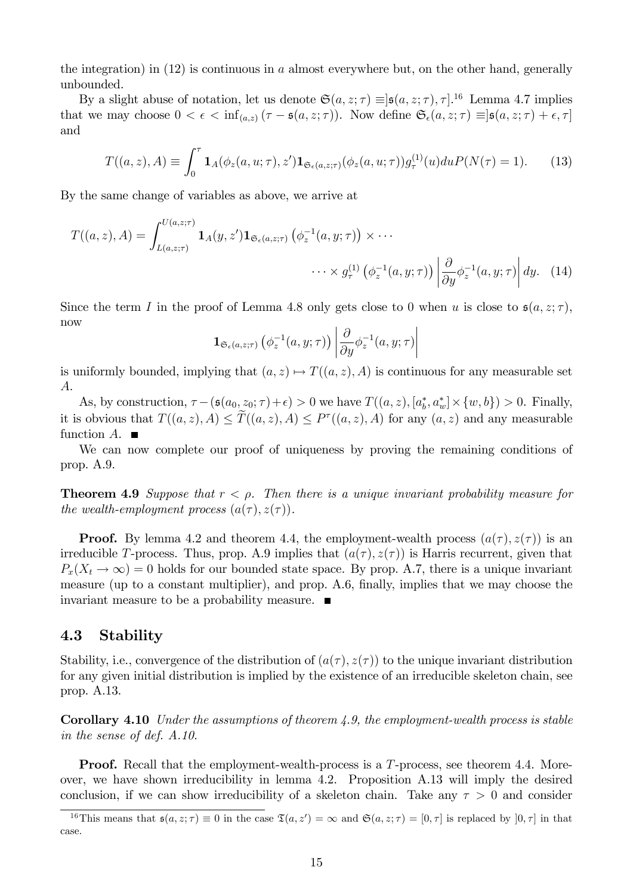the integration) in  $(12)$  is continuous in a almost everywhere but, on the other hand, generally unbounded.

By a slight abuse of notation, let us denote  $\mathfrak{S}(a, z; \tau) \equiv ]\mathfrak{s}(a, z; \tau), \tau]$ .<sup>16</sup> Lemma 4.7 implies that we may choose  $0 < \epsilon < \inf_{(a,z)} (\tau - \mathfrak{s}(a,z;\tau))$ . Now define  $\mathfrak{S}_{\epsilon}(a,z;\tau) \equiv |\mathfrak{s}(a,z;\tau) + \epsilon, \tau|$ and

$$
T((a, z), A) \equiv \int_0^{\tau} \mathbf{1}_A(\phi_z(a, u; \tau), z') \mathbf{1}_{\mathfrak{S}_{\epsilon}(a, z; \tau)}(\phi_z(a, u; \tau)) g_{\tau}^{(1)}(u) du P(N(\tau) = 1).
$$
 (13)

By the same change of variables as above, we arrive at

$$
T((a, z), A) = \int_{L(a, z; \tau)}^{U(a, z; \tau)} \mathbf{1}_A(y, z') \mathbf{1}_{\mathfrak{S}_{\epsilon}(a, z; \tau)} \left( \phi_z^{-1}(a, y; \tau) \right) \times \cdots
$$

$$
\cdots \times g_{\tau}^{(1)} \left( \phi_z^{-1}(a, y; \tau) \right) \left| \frac{\partial}{\partial y} \phi_z^{-1}(a, y; \tau) \right| dy. \tag{14}
$$

Since the term I in the proof of Lemma 4.8 only gets close to 0 when u is close to  $\mathfrak{s}(a, z; \tau)$ , now

$$
\mathbf{1}_{\mathfrak{S}_{\epsilon}(a,z;\tau)}\left(\phi_z^{-1}(a,y;\tau)\right)\left|\frac{\partial}{\partial y}\phi_z^{-1}(a,y;\tau)\right|
$$

is uniformly bounded, implying that  $(a, z) \mapsto T((a, z), A)$  is continuous for any measurable set A.

As, by construction,  $\tau - (\mathfrak{s}(a_0, z_0; \tau) + \epsilon) > 0$  we have  $T((a, z), [a_b^*, a_w^*] \times \{w, b\}) > 0$ . Finally, it is obvious that  $T((a, z), A) \leq T((a, z), A) \leq P^{\tau}((a, z), A)$  for any  $(a, z)$  and any measurable function  $A$ .  $\blacksquare$ 

We can now complete our proof of uniqueness by proving the remaining conditions of prop. A.9.

**Theorem 4.9** Suppose that  $r < \rho$ . Then there is a unique invariant probability measure for the wealth-employment process  $(a(\tau), z(\tau))$ .

**Proof.** By lemma 4.2 and theorem 4.4, the employment-wealth process  $(a(\tau), z(\tau))$  is an irreducible T-process. Thus, prop. A.9 implies that  $(a(\tau), z(\tau))$  is Harris recurrent, given that  $P_x(X_t \to \infty) = 0$  holds for our bounded state space. By prop. A.7, there is a unique invariant measure (up to a constant multiplier), and prop. A.6, finally, implies that we may choose the invariant measure to be a probability measure.

## 4.3 Stability

Stability, i.e., convergence of the distribution of  $(a(\tau), z(\tau))$  to the unique invariant distribution for any given initial distribution is implied by the existence of an irreducible skeleton chain, see prop. A.13.

**Corollary 4.10** Under the assumptions of theorem 4.9, the employment-wealth process is stable in the sense of def. A.10.

**Proof.** Recall that the employment-wealth-process is a T-process, see theorem 4.4. Moreover, we have shown irreducibility in lemma 4.2. Proposition A.13 will imply the desired conclusion, if we can show irreducibility of a skeleton chain. Take any  $\tau > 0$  and consider

<sup>&</sup>lt;sup>16</sup>This means that  $\mathfrak{s}(a, z; \tau) \equiv 0$  in the case  $\mathfrak{T}(a, z') = \infty$  and  $\mathfrak{S}(a, z; \tau) = [0, \tau]$  is replaced by  $]0, \tau]$  in that case.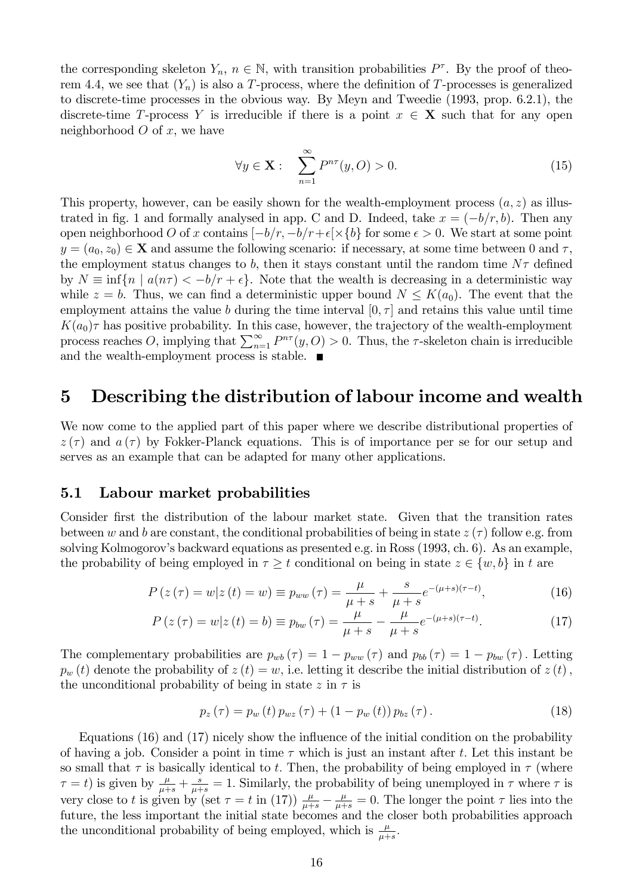the corresponding skeleton  $Y_n$ ,  $n \in \mathbb{N}$ , with transition probabilities  $P^{\tau}$ . By the proof of theorem 4.4, we see that  $(Y_n)$  is also a T-process, where the definition of T-processes is generalized to discrete-time processes in the obvious way. By Meyn and Tweedie (1993, prop. 6.2.1), the discrete-time T-process Y is irreducible if there is a point  $x \in X$  such that for any open neighborhood  $O$  of  $x$ , we have

$$
\forall y \in \mathbf{X}: \quad \sum_{n=1}^{\infty} P^{n\tau}(y, O) > 0. \tag{15}
$$

This property, however, can be easily shown for the wealth-employment process  $(a, z)$  as illustrated in fig. 1 and formally analysed in app. C and D. Indeed, take  $x = (-b/r, b)$ . Then any open neighborhood O of x contains  $[-b/r, -b/r+\epsilon[\times\{b\}]$  for some  $\epsilon > 0$ . We start at some point  $y = (a_0, z_0) \in \mathbf{X}$  and assume the following scenario: if necessary, at some time between 0 and  $\tau$ , the employment status changes to b, then it stays constant until the random time  $N\tau$  defined by  $N \equiv \inf \{ n \mid a(n\tau) < -b/r + \epsilon \}.$  Note that the wealth is decreasing in a deterministic way while  $z = b$ . Thus, we can find a deterministic upper bound  $N \leq K(a_0)$ . The event that the employment attains the value b during the time interval  $[0, \tau]$  and retains this value until time  $K(a_0)\tau$  has positive probability. In this case, however, the trajectory of the wealth-employment process reaches O, implying that  $\sum_{n=1}^{\infty} P^{n\tau}(y, O) > 0$ . Thus, the  $\tau$ -skeleton chain is irreducible and the wealth-employment process is stable.  $\blacksquare$ 

## 5 Describing the distribution of labour income and wealth

We now come to the applied part of this paper where we describe distributional properties of  $z(\tau)$  and  $a(\tau)$  by Fokker-Planck equations. This is of importance per se for our setup and serves as an example that can be adapted for many other applications.

## 5.1 Labour market probabilities

Consider first the distribution of the labour market state. Given that the transition rates between w and b are constant, the conditional probabilities of being in state  $z(\tau)$  follow e.g. from solving Kolmogorov's backward equations as presented e.g. in Ross (1993, ch. 6). As an example, the probability of being employed in  $\tau \geq t$  conditional on being in state  $z \in \{w, b\}$  in t are

$$
P(z(\tau) = w | z(t) = w) \equiv p_{ww}(\tau) = \frac{\mu}{\mu + s} + \frac{s}{\mu + s} e^{-(\mu + s)(\tau - t)},
$$
\n(16)

$$
P(z(\tau) = w | z(t) = b) \equiv p_{bw}(\tau) = \frac{\mu}{\mu + s} - \frac{\mu}{\mu + s} e^{-(\mu + s)(\tau - t)}.
$$
 (17)

The complementary probabilities are  $p_{wb}(\tau) = 1 - p_{ww}(\tau)$  and  $p_{bb}(\tau) = 1 - p_{bw}(\tau)$ . Letting  $p_w(t)$  denote the probability of  $z(t) = w$ , i.e. letting it describe the initial distribution of  $z(t)$ , the unconditional probability of being in state  $z$  in  $\tau$  is

$$
p_z(\tau) = p_w(t) p_{wz}(\tau) + (1 - p_w(t)) p_{bz}(\tau).
$$
 (18)

Equations  $(16)$  and  $(17)$  nicely show the influence of the initial condition on the probability of having a job. Consider a point in time  $\tau$  which is just an instant after t. Let this instant be so small that  $\tau$  is basically identical to t. Then, the probability of being employed in  $\tau$  (where  $\tau = t$ ) is given by  $\frac{\mu}{\mu+s} + \frac{s}{\mu+s} = 1$ . Similarly, the probability of being unemployed in  $\tau$  where  $\tau$  is very close to t is given by (set  $\tau = t$  in (17))  $\frac{\mu}{\mu+s} - \frac{\mu}{\mu+s} = 0$ . The longer the point  $\tau$  lies into the future, the less important the initial state becomes and the closer both probabilities approach the unconditional probability of being employed, which is  $\frac{\mu}{\mu+s}$ .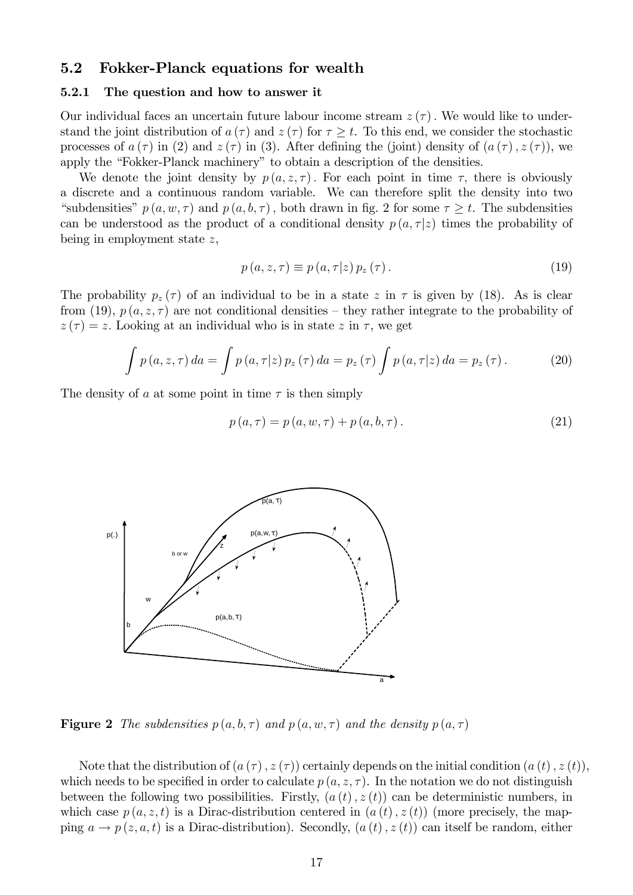### 5.2 Fokker-Planck equations for wealth

#### 5.2.1 The question and how to answer it

Our individual faces an uncertain future labour income stream  $z(\tau)$ . We would like to understand the joint distribution of  $a(\tau)$  and  $z(\tau)$  for  $\tau \geq t$ . To this end, we consider the stochastic processes of  $a(\tau)$  in (2) and  $z(\tau)$  in (3). After defining the (joint) density of  $(a(\tau), z(\tau))$ , we apply the "Fokker-Planck machinery" to obtain a description of the densities.

We denote the joint density by  $p(a, z, \tau)$ . For each point in time  $\tau$ , there is obviously a discrete and a continuous random variable. We can therefore split the density into two "subdensities"  $p(a, w, \tau)$  and  $p(a, b, \tau)$ , both drawn in fig. 2 for some  $\tau \geq t$ . The subdensities can be understood as the product of a conditional density  $p(a, \tau|z)$  times the probability of being in employment state  $z$ ,

$$
p(a, z, \tau) \equiv p(a, \tau|z) p_z(\tau).
$$
 (19)

The probability  $p_z(\tau)$  of an individual to be in a state z in  $\tau$  is given by (18). As is clear from (19),  $p(a, z, \tau)$  are not conditional densities – they rather integrate to the probability of  $z(\tau) = z$ . Looking at an individual who is in state z in  $\tau$ , we get

$$
\int p(a, z, \tau) da = \int p(a, \tau|z) p_z(\tau) da = p_z(\tau) \int p(a, \tau|z) da = p_z(\tau).
$$
 (20)

The density of a at some point in time  $\tau$  is then simply

$$
p(a, \tau) = p(a, w, \tau) + p(a, b, \tau).
$$
\n(21)



**Figure 2** The subdensities  $p(a, b, \tau)$  and  $p(a, w, \tau)$  and the density  $p(a, \tau)$ 

Note that the distribution of  $(a(\tau), z(\tau))$  certainly depends on the initial condition  $(a(t), z(t))$ , which needs to be specified in order to calculate  $p(a, z, \tau)$ . In the notation we do not distinguish between the following two possibilities. Firstly,  $(a(t), z(t))$  can be deterministic numbers, in which case  $p(a, z, t)$  is a Dirac-distribution centered in  $(a(t), z(t))$  (more precisely, the mapping  $a \to p(z, a, t)$  is a Dirac-distribution). Secondly,  $(a(t), z(t))$  can itself be random, either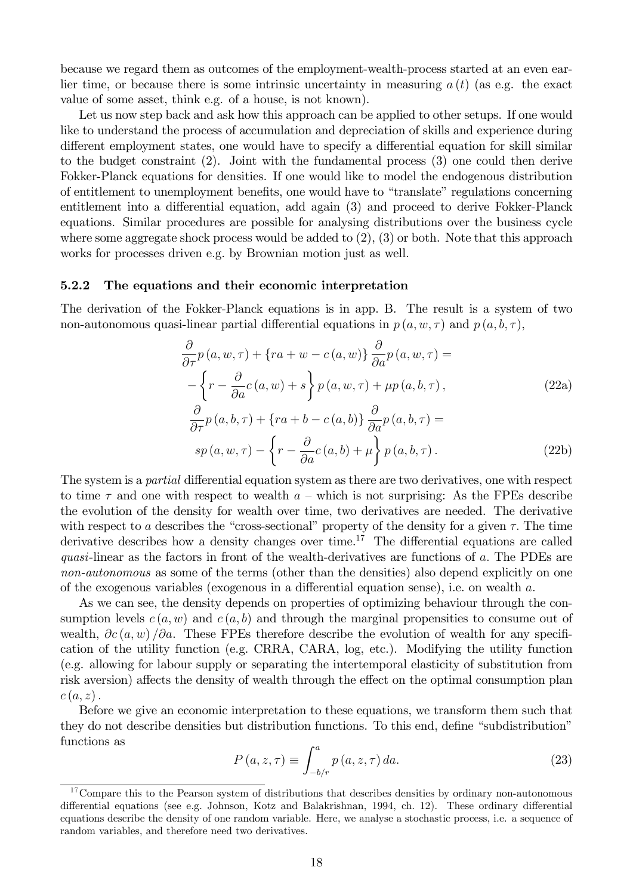because we regard them as outcomes of the employment-wealth-process started at an even earlier time, or because there is some intrinsic uncertainty in measuring  $a(t)$  (as e.g. the exact value of some asset, think e.g. of a house, is not known).

Let us now step back and ask how this approach can be applied to other setups. If one would like to understand the process of accumulation and depreciation of skills and experience during different employment states, one would have to specify a differential equation for skill similar to the budget constraint (2). Joint with the fundamental process (3) one could then derive Fokker-Planck equations for densities. If one would like to model the endogenous distribution of entitlement to unemployment benefits, one would have to "translate" regulations concerning entitlement into a differential equation, add again (3) and proceed to derive Fokker-Planck equations. Similar procedures are possible for analysing distributions over the business cycle where some aggregate shock process would be added to  $(2)$ ,  $(3)$  or both. Note that this approach works for processes driven e.g. by Brownian motion just as well.

#### 5.2.2 The equations and their economic interpretation

The derivation of the Fokker-Planck equations is in app. B. The result is a system of two non-autonomous quasi-linear partial differential equations in  $p(a, w, \tau)$  and  $p(a, b, \tau)$ ,

$$
\frac{\partial}{\partial \tau} p(a, w, \tau) + \{ra + w - c(a, w)\} \frac{\partial}{\partial a} p(a, w, \tau) =
$$
\n
$$
- \left\{r - \frac{\partial}{\partial a} c(a, w) + s\right\} p(a, w, \tau) + \mu p(a, b, \tau),
$$
\n
$$
\frac{\partial}{\partial \tau} p(a, b, \tau) + \{ra + b - c(a, b)\} \frac{\partial}{\partial a} p(a, b, \tau) =
$$
\n
$$
sp(a, w, \tau) - \left\{r - \frac{\partial}{\partial a} c(a, b) + \mu\right\} p(a, b, \tau).
$$
\n(22b)

The system is a *partial* differential equation system as there are two derivatives, one with respect to time  $\tau$  and one with respect to wealth  $a$  – which is not surprising: As the FPEs describe the evolution of the density for wealth over time, two derivatives are needed. The derivative with respect to a describes the "cross-sectional" property of the density for a given  $\tau$ . The time derivative describes how a density changes over time.<sup>17</sup> The differential equations are called quasi-linear as the factors in front of the wealth-derivatives are functions of  $a$ . The PDEs are non-autonomous as some of the terms (other than the densities) also depend explicitly on one of the exogenous variables (exogenous in a differential equation sense), i.e. on wealth  $a$ .

As we can see, the density depends on properties of optimizing behaviour through the consumption levels  $c(a, w)$  and  $c(a, b)$  and through the marginal propensities to consume out of wealth,  $\partial c(a, w) / \partial a$ . These FPEs therefore describe the evolution of wealth for any specification of the utility function (e.g. CRRA, CARA, log, etc.). Modifying the utility function (e.g. allowing for labour supply or separating the intertemporal elasticity of substitution from risk aversion) affects the density of wealth through the effect on the optimal consumption plan  $c(a, z).$ 

Before we give an economic interpretation to these equations, we transform them such that they do not describe densities but distribution functions. To this end, define "subdistribution" functions as

$$
P(a, z, \tau) \equiv \int_{-b/r}^{a} p(a, z, \tau) da.
$$
 (23)

<sup>&</sup>lt;sup>17</sup>Compare this to the Pearson system of distributions that describes densities by ordinary non-autonomous differential equations (see e.g. Johnson, Kotz and Balakrishnan, 1994, ch. 12). These ordinary differential equations describe the density of one random variable. Here, we analyse a stochastic process, i.e. a sequence of random variables, and therefore need two derivatives.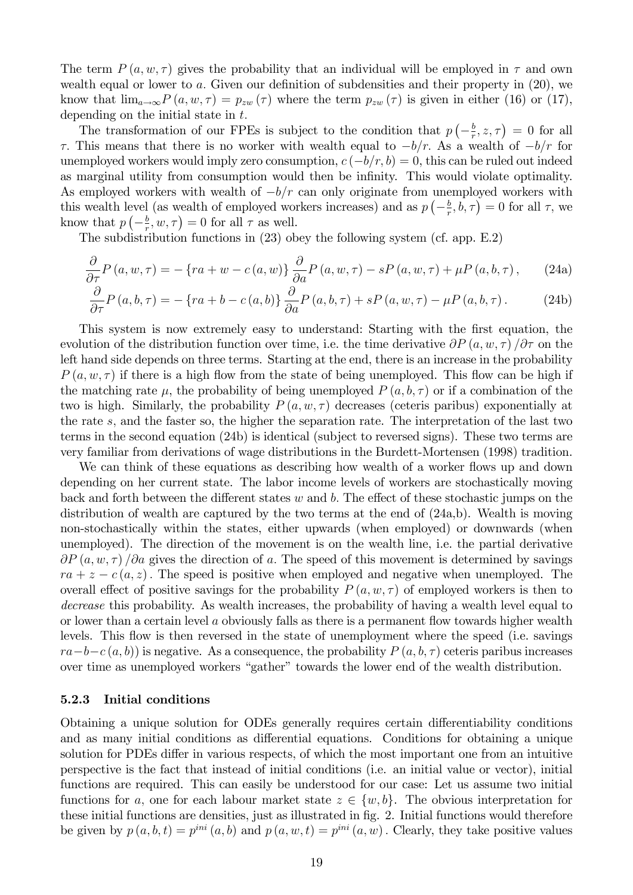The term  $P(a, w, \tau)$  gives the probability that an individual will be employed in  $\tau$  and own wealth equal or lower to  $a$ . Given our definition of subdensities and their property in  $(20)$ , we know that  $\lim_{a\to\infty} P(a, w, \tau) = p_{zw}(\tau)$  where the term  $p_{zw}(\tau)$  is given in either (16) or (17), depending on the initial state in  $t$ .

The transformation of our FPEs is subject to the condition that  $p\left(-\frac{b}{r}\right)$  $(\frac{b}{r}, z, \tau) = 0$  for all  $\tau$ . This means that there is no worker with wealth equal to  $-b/r$ . As a wealth of  $-b/r$  for unemployed workers would imply zero consumption,  $c(-b/r, b) = 0$ , this can be ruled out indeed as marginal utility from consumption would then be infinity. This would violate optimality. As employed workers with wealth of  $-b/r$  can only originate from unemployed workers with this wealth level (as wealth of employed workers increases) and as  $p\left(-\frac{b}{r}\right)$  $(\frac{b}{r}, b, \tau) = 0$  for all  $\tau$ , we know that  $p\left(-\frac{b}{r}\right)$  $(\frac{b}{r}, w, \tau) = 0$  for all  $\tau$  as well.

The subdistribution functions in (23) obey the following system (cf. app. E.2)

$$
\frac{\partial}{\partial \tau} P(a, w, \tau) = -\left\{ra + w - c(a, w)\right\} \frac{\partial}{\partial a} P(a, w, \tau) - sP(a, w, \tau) + \mu P(a, b, \tau), \tag{24a}
$$

$$
\frac{\partial}{\partial \tau} P\left(a, b, \tau\right) = -\left\{ra + b - c\left(a, b\right)\right\} \frac{\partial}{\partial a} P\left(a, b, \tau\right) + sP\left(a, w, \tau\right) - \mu P\left(a, b, \tau\right). \tag{24b}
$$

This system is now extremely easy to understand: Starting with the first equation, the evolution of the distribution function over time, i.e. the time derivative  $\partial P(a, w, \tau)$  / $\partial \tau$  on the left hand side depends on three terms. Starting at the end, there is an increase in the probability  $P(a, w, \tau)$  if there is a high flow from the state of being unemployed. This flow can be high if the matching rate  $\mu$ , the probability of being unemployed  $P(a, b, \tau)$  or if a combination of the two is high. Similarly, the probability  $P(a, w, \tau)$  decreases (ceteris paribus) exponentially at the rate s; and the faster so, the higher the separation rate. The interpretation of the last two terms in the second equation (24b) is identical (subject to reversed signs). These two terms are very familiar from derivations of wage distributions in the Burdett-Mortensen (1998) tradition.

We can think of these equations as describing how wealth of a worker flows up and down depending on her current state. The labor income levels of workers are stochastically moving back and forth between the different states  $w$  and  $b$ . The effect of these stochastic jumps on the distribution of wealth are captured by the two terms at the end of (24a,b). Wealth is moving non-stochastically within the states, either upwards (when employed) or downwards (when unemployed). The direction of the movement is on the wealth line, i.e. the partial derivative  $\partial P(a, w, \tau)$  / $\partial a$  gives the direction of a. The speed of this movement is determined by savings  $ra + z - c(a, z)$ . The speed is positive when employed and negative when unemployed. The overall effect of positive savings for the probability  $P(a, w, \tau)$  of employed workers is then to decrease this probability. As wealth increases, the probability of having a wealth level equal to or lower than a certain level  $a$  obviously falls as there is a permanent flow towards higher wealth levels. This flow is then reversed in the state of unemployment where the speed (i.e. savings  $ra-b-c(a, b)$  is negative. As a consequence, the probability  $P(a, b, \tau)$  ceteris paribus increases over time as unemployed workers "gather" towards the lower end of the wealth distribution.

#### 5.2.3 Initial conditions

Obtaining a unique solution for ODEs generally requires certain differentiability conditions and as many initial conditions as differential equations. Conditions for obtaining a unique solution for PDEs differ in various respects, of which the most important one from an intuitive perspective is the fact that instead of initial conditions (i.e. an initial value or vector), initial functions are required. This can easily be understood for our case: Let us assume two initial functions for a, one for each labour market state  $z \in \{w, b\}$ . The obvious interpretation for these initial functions are densities, just as illustrated in fig. 2. Initial functions would therefore be given by  $p(a, b, t) = p^{ini}(a, b)$  and  $p(a, w, t) = p^{ini}(a, w)$ . Clearly, they take positive values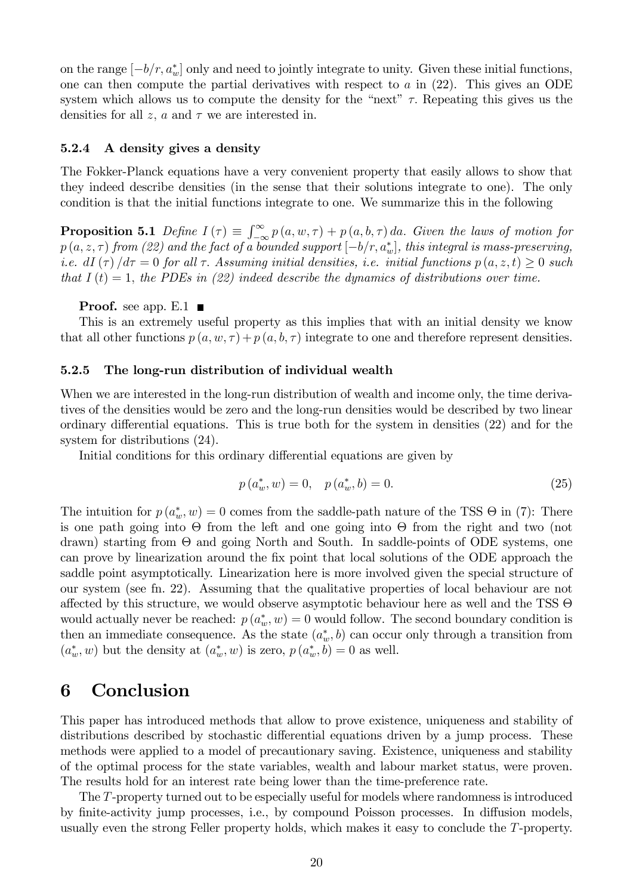on the range  $[-b/r, a_w^*]$  only and need to jointly integrate to unity. Given these initial functions, one can then compute the partial derivatives with respect to  $a$  in  $(22)$ . This gives an ODE system which allows us to compute the density for the "next"  $\tau$ . Repeating this gives us the densities for all z, a and  $\tau$  we are interested in.

#### 5.2.4 A density gives a density

The Fokker-Planck equations have a very convenient property that easily allows to show that they indeed describe densities (in the sense that their solutions integrate to one). The only condition is that the initial functions integrate to one. We summarize this in the following

**Proposition 5.1** Define  $I(\tau) \equiv \int_{-\infty}^{\infty} p(a, w, \tau) + p(a, b, \tau) da$ . Given the laws of motion for  $p(a,z,\tau)$  from (22) and the fact of a bounded support  $[-b/r, a_w^*]$ , this integral is mass-preserving, i.e. dI  $(\tau)/d\tau = 0$  for all  $\tau$ . Assuming initial densities, i.e. initial functions  $p(a, z, t) \geq 0$  such that  $I(t) = 1$ , the PDEs in (22) indeed describe the dynamics of distributions over time.

#### **Proof.** see app.  $E.1$

This is an extremely useful property as this implies that with an initial density we know that all other functions  $p(a, w, \tau) + p(a, b, \tau)$  integrate to one and therefore represent densities.

#### 5.2.5 The long-run distribution of individual wealth

When we are interested in the long-run distribution of wealth and income only, the time derivatives of the densities would be zero and the long-run densities would be described by two linear ordinary differential equations. This is true both for the system in densities  $(22)$  and for the system for distributions (24).

Initial conditions for this ordinary differential equations are given by

$$
p(a_w^*, w) = 0, \quad p(a_w^*, b) = 0.
$$
\n(25)

The intuition for  $p(a_w^*, w) = 0$  comes from the saddle-path nature of the TSS  $\Theta$  in (7): There is one path going into  $\Theta$  from the left and one going into  $\Theta$  from the right and two (not drawn) starting from  $\Theta$  and going North and South. In saddle-points of ODE systems, one can prove by linearization around the Öx point that local solutions of the ODE approach the saddle point asymptotically. Linearization here is more involved given the special structure of our system (see fn. 22). Assuming that the qualitative properties of local behaviour are not affected by this structure, we would observe asymptotic behaviour here as well and the TSS  $\Theta$ would actually never be reached:  $p(a_w^*, w) = 0$  would follow. The second boundary condition is then an immediate consequence. As the state  $(a_w^*, b)$  can occur only through a transition from  $(a_w^*, w)$  but the density at  $(a_w^*, w)$  is zero,  $p(a_w^*, b) = 0$  as well.

## 6 Conclusion

This paper has introduced methods that allow to prove existence, uniqueness and stability of distributions described by stochastic differential equations driven by a jump process. These methods were applied to a model of precautionary saving. Existence, uniqueness and stability of the optimal process for the state variables, wealth and labour market status, were proven. The results hold for an interest rate being lower than the time-preference rate.

The T-property turned out to be especially useful for models where randomness is introduced by finite-activity jump processes, i.e., by compound Poisson processes. In diffusion models, usually even the strong Feller property holds, which makes it easy to conclude the T-property.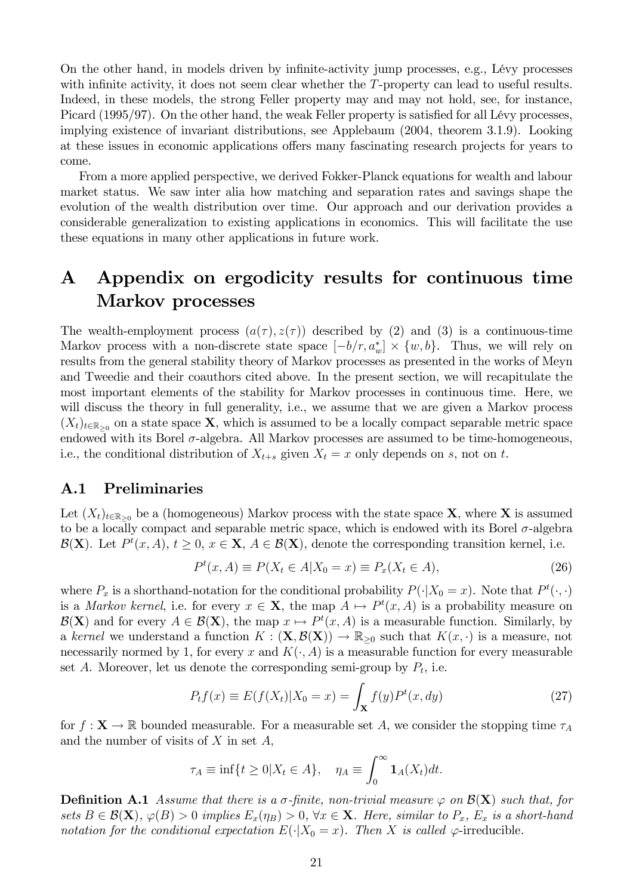On the other hand, in models driven by infinite-activity jump processes, e.g., Lévy processes with infinite activity, it does not seem clear whether the  $T$ -property can lead to useful results. Indeed, in these models, the strong Feller property may and may not hold, see, for instance, Picard  $(1995/97)$ . On the other hand, the weak Feller property is satisfied for all Lévy processes, implying existence of invariant distributions, see Applebaum (2004, theorem 3.1.9). Looking at these issues in economic applications offers many fascinating research projects for years to come.

From a more applied perspective, we derived Fokker-Planck equations for wealth and labour market status. We saw inter alia how matching and separation rates and savings shape the evolution of the wealth distribution over time. Our approach and our derivation provides a considerable generalization to existing applications in economics. This will facilitate the use these equations in many other applications in future work.

# A Appendix on ergodicity results for continuous time Markov processes

The wealth-employment process  $(a(\tau), z(\tau))$  described by (2) and (3) is a continuous-time Markov process with a non-discrete state space  $[-b/r, a_w^*] \times \{w, b\}$ . Thus, we will rely on results from the general stability theory of Markov processes as presented in the works of Meyn and Tweedie and their coauthors cited above. In the present section, we will recapitulate the most important elements of the stability for Markov processes in continuous time. Here, we will discuss the theory in full generality, i.e., we assume that we are given a Markov process  $(X_t)_{t\in\mathbb{R}_{\geq 0}}$  on a state space **X**, which is assumed to be a locally compact separable metric space endowed with its Borel  $\sigma$ -algebra. All Markov processes are assumed to be time-homogeneous, i.e., the conditional distribution of  $X_{t+s}$  given  $X_t = x$  only depends on s, not on t.

#### A.1 Preliminaries

Let  $(X_t)_{t\in\mathbb{R}_{\geq0}}$  be a (homogeneous) Markov process with the state space **X**, where **X** is assumed to be a locally compact and separable metric space, which is endowed with its Borel  $\sigma$ -algebra  $\mathcal{B}(\mathbf{X})$ . Let  $P^t(x, A), t \geq 0, x \in \mathbf{X}, A \in \mathcal{B}(\mathbf{X})$ , denote the corresponding transition kernel, i.e.

$$
P^{t}(x, A) \equiv P(X_{t} \in A | X_{0} = x) \equiv P_{x}(X_{t} \in A), \tag{26}
$$

where  $P_x$  is a shorthand-notation for the conditional probability  $P(\cdot|X_0 = x)$ . Note that  $P^t(\cdot, \cdot)$ is a *Markov kernel*, i.e. for every  $x \in \mathbf{X}$ , the map  $A \mapsto P^t(x, A)$  is a probability measure on  $\mathcal{B}(\mathbf{X})$  and for every  $A \in \mathcal{B}(\mathbf{X})$ , the map  $x \mapsto P^t(x, A)$  is a measurable function. Similarly, by a kernel we understand a function  $K : (\mathbf{X}, \mathcal{B}(\mathbf{X})) \to \mathbb{R}_{\geq 0}$  such that  $K(x, \cdot)$  is a measure, not necessarily normed by 1, for every x and  $K(\cdot, A)$  is a measurable function for every measurable set A. Moreover, let us denote the corresponding semi-group by  $P_t$ , i.e.

$$
P_t f(x) \equiv E(f(X_t)|X_0 = x) = \int_{\mathbf{X}} f(y)P^t(x, dy)
$$
\n(27)

for  $f: \mathbf{X} \to \mathbb{R}$  bounded measurable. For a measurable set A, we consider the stopping time  $\tau_A$ and the number of visits of  $X$  in set  $A$ ,

$$
\tau_A \equiv \inf\{t \ge 0 | X_t \in A\}, \quad \eta_A \equiv \int_0^\infty \mathbf{1}_A(X_t) dt.
$$

**Definition A.1** Assume that there is a  $\sigma$ -finite, non-trivial measure  $\varphi$  on  $\mathcal{B}(\mathbf{X})$  such that, for sets  $B \in \mathcal{B}(\mathbf{X}), \varphi(B) > 0$  implies  $E_x(\eta_B) > 0, \forall x \in \mathbf{X}$ . Here, similar to  $P_x, E_x$  is a short-hand notation for the conditional expectation  $E(\cdot|X_0 = x)$ . Then X is called  $\varphi$ -irreducible.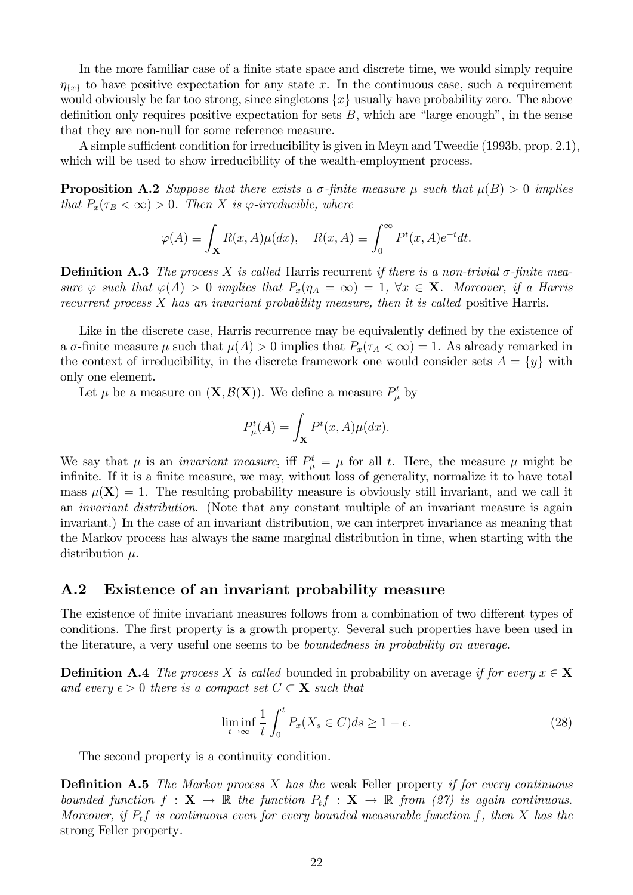In the more familiar case of a finite state space and discrete time, we would simply require  $\eta_{\{x\}}$  to have positive expectation for any state x. In the continuous case, such a requirement would obviously be far too strong, since singletons  $\{x\}$  usually have probability zero. The above definition only requires positive expectation for sets  $B$ , which are "large enough", in the sense that they are non-null for some reference measure.

A simple sufficient condition for irreducibility is given in Meyn and Tweedie (1993b, prop. 2.1), which will be used to show irreducibility of the wealth-employment process.

**Proposition A.2** Suppose that there exists a  $\sigma$ -finite measure  $\mu$  such that  $\mu(B) > 0$  implies that  $P_x(\tau_B < \infty) > 0$ . Then X is  $\varphi$ -irreducible, where

$$
\varphi(A) \equiv \int_{\mathbf{X}} R(x, A)\mu(dx), \quad R(x, A) \equiv \int_0^\infty P^t(x, A)e^{-t}dt.
$$

**Definition A.3** The process X is called Harris recurrent if there is a non-trivial  $\sigma$ -finite measure  $\varphi$  such that  $\varphi(A) > 0$  implies that  $P_x(\eta_A = \infty) = 1$ ,  $\forall x \in \mathbf{X}$ . Moreover, if a Harris recurrent process X has an invariant probability measure, then it is called positive Harris.

Like in the discrete case, Harris recurrence may be equivalently defined by the existence of a  $\sigma$ -finite measure  $\mu$  such that  $\mu(A) > 0$  implies that  $P_x(\tau_A < \infty) = 1$ . As already remarked in the context of irreducibility, in the discrete framework one would consider sets  $A = \{y\}$  with only one element.

Let  $\mu$  be a measure on  $(\mathbf{X}, \mathcal{B}(\mathbf{X}))$ . We define a measure  $P^t_\mu$  by

$$
P_{\mu}^{t}(A) = \int_{\mathbf{X}} P^{t}(x, A)\mu(dx).
$$

We say that  $\mu$  is an *invariant measure*, iff  $P^t_\mu = \mu$  for all t. Here, the measure  $\mu$  might be infinite. If it is a finite measure, we may, without loss of generality, normalize it to have total mass  $\mu(\mathbf{X}) = 1$ . The resulting probability measure is obviously still invariant, and we call it an invariant distribution. (Note that any constant multiple of an invariant measure is again invariant.) In the case of an invariant distribution, we can interpret invariance as meaning that the Markov process has always the same marginal distribution in time, when starting with the distribution  $\mu$ .

### A.2 Existence of an invariant probability measure

The existence of finite invariant measures follows from a combination of two different types of conditions. The first property is a growth property. Several such properties have been used in the literature, a very useful one seems to be boundedness in probability on average.

**Definition A.4** The process X is called bounded in probability on average if for every  $x \in X$ and every  $\epsilon > 0$  there is a compact set  $C \subset \mathbf{X}$  such that

$$
\liminf_{t \to \infty} \frac{1}{t} \int_0^t P_x(X_s \in C) ds \ge 1 - \epsilon.
$$
\n(28)

The second property is a continuity condition.

**Definition A.5** The Markov process  $X$  has the weak Feller property if for every continuous bounded function  $f: \mathbf{X} \to \mathbb{R}$  the function  $P_t f: \mathbf{X} \to \mathbb{R}$  from (27) is again continuous. Moreover, if  $P_t f$  is continuous even for every bounded measurable function f, then X has the strong Feller property.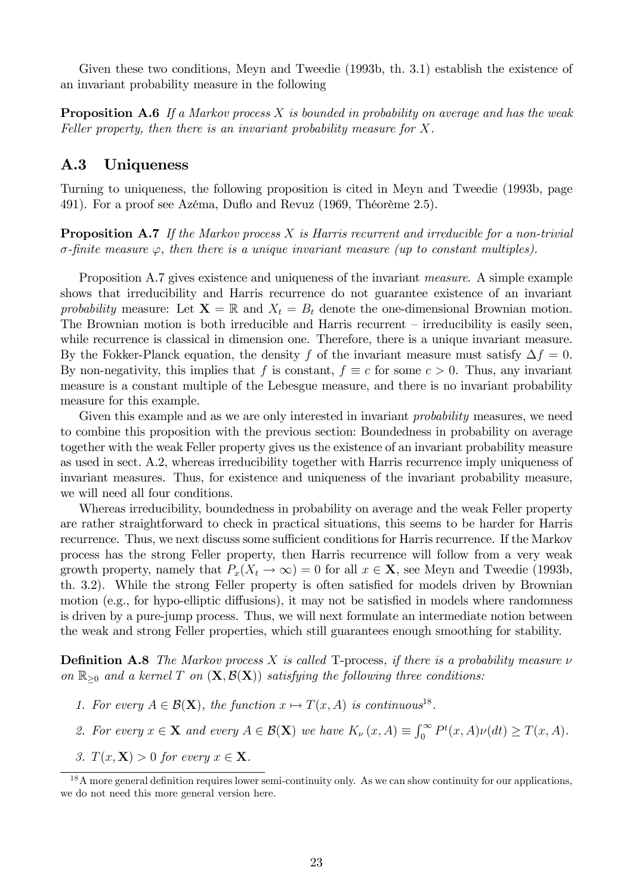Given these two conditions, Meyn and Tweedie (1993b, th. 3.1) establish the existence of an invariant probability measure in the following

**Proposition A.6** If a Markov process X is bounded in probability on average and has the weak Feller property, then there is an invariant probability measure for X.

## A.3 Uniqueness

Turning to uniqueness, the following proposition is cited in Meyn and Tweedie (1993b, page 491). For a proof see Azéma, Duflo and Revuz (1969, Théorème 2.5).

**Proposition A.7** If the Markov process X is Harris recurrent and irreducible for a non-trivial  $\sigma$ -finite measure  $\varphi$ , then there is a unique invariant measure (up to constant multiples).

Proposition A.7 gives existence and uniqueness of the invariant measure. A simple example shows that irreducibility and Harris recurrence do not guarantee existence of an invariant probability measure: Let  $\mathbf{X} = \mathbb{R}$  and  $X_t = B_t$  denote the one-dimensional Brownian motion. The Brownian motion is both irreducible and Harris recurrent  $-$  irreducibility is easily seen, while recurrence is classical in dimension one. Therefore, there is a unique invariant measure. By the Fokker-Planck equation, the density f of the invariant measure must satisfy  $\Delta f = 0$ . By non-negativity, this implies that f is constant,  $f \equiv c$  for some  $c > 0$ . Thus, any invariant measure is a constant multiple of the Lebesgue measure, and there is no invariant probability measure for this example.

Given this example and as we are only interested in invariant *probability* measures, we need to combine this proposition with the previous section: Boundedness in probability on average together with the weak Feller property gives us the existence of an invariant probability measure as used in sect. A.2, whereas irreducibility together with Harris recurrence imply uniqueness of invariant measures. Thus, for existence and uniqueness of the invariant probability measure, we will need all four conditions.

Whereas irreducibility, boundedness in probability on average and the weak Feller property are rather straightforward to check in practical situations, this seems to be harder for Harris recurrence. Thus, we next discuss some sufficient conditions for Harris recurrence. If the Markov process has the strong Feller property, then Harris recurrence will follow from a very weak growth property, namely that  $P_x(X_t \to \infty) = 0$  for all  $x \in \mathbf{X}$ , see Meyn and Tweedie (1993b, th. 3.2). While the strong Feller property is often satisfied for models driven by Brownian motion (e.g., for hypo-elliptic diffusions), it may not be satisfied in models where randomness is driven by a pure-jump process. Thus, we will next formulate an intermediate notion between the weak and strong Feller properties, which still guarantees enough smoothing for stability.

**Definition A.8** The Markov process X is called T-process, if there is a probability measure  $\nu$ on  $\mathbb{R}_{\geq 0}$  and a kernel T on  $(X, \mathcal{B}(X))$  satisfying the following three conditions:

- 1. For every  $A \in \mathcal{B}(\mathbf{X})$ , the function  $x \mapsto T(x, A)$  is continuous<sup>18</sup>.
- 2. For every  $x \in \mathbf{X}$  and every  $A \in \mathcal{B}(\mathbf{X})$  we have  $K_{\nu}(x, A) \equiv \int_0^{\infty} P^t(x, A) \nu(dt) \geq T(x, A)$ .
- 3.  $T(x, \mathbf{X}) > 0$  for every  $x \in \mathbf{X}$ .

 $18$ A more general definition requires lower semi-continuity only. As we can show continuity for our applications, we do not need this more general version here.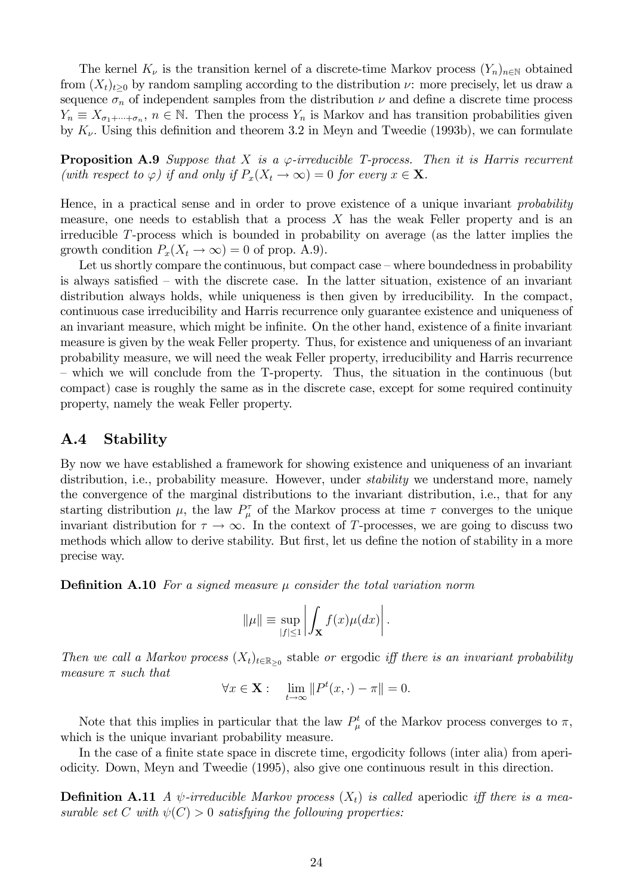The kernel  $K_{\nu}$  is the transition kernel of a discrete-time Markov process  $(Y_n)_{n\in\mathbb{N}}$  obtained from  $(X_t)_{t>0}$  by random sampling according to the distribution  $\nu$ : more precisely, let us draw a sequence  $\sigma_n$  of independent samples from the distribution  $\nu$  and define a discrete time process  $Y_n \equiv X_{\sigma_1 + \dots + \sigma_n}$ ,  $n \in \mathbb{N}$ . Then the process  $Y_n$  is Markov and has transition probabilities given by  $K_{\nu}$ . Using this definition and theorem 3.2 in Meyn and Tweedie (1993b), we can formulate

**Proposition A.9** Suppose that X is a  $\varphi$ -irreducible T-process. Then it is Harris recurrent (with respect to  $\varphi$ ) if and only if  $P_x(X_t \to \infty) = 0$  for every  $x \in \mathbf{X}$ .

Hence, in a practical sense and in order to prove existence of a unique invariant *probability* measure, one needs to establish that a process  $X$  has the weak Feller property and is an irreducible T-process which is bounded in probability on average (as the latter implies the growth condition  $P_x(X_t \to \infty) = 0$  of prop. A.9).

Let us shortly compare the continuous, but compact case  $-\omega$  where boundedness in probability is always satisfied  $-$  with the discrete case. In the latter situation, existence of an invariant distribution always holds, while uniqueness is then given by irreducibility. In the compact, continuous case irreducibility and Harris recurrence only guarantee existence and uniqueness of an invariant measure, which might be infinite. On the other hand, existence of a finite invariant measure is given by the weak Feller property. Thus, for existence and uniqueness of an invariant probability measure, we will need the weak Feller property, irreducibility and Harris recurrence – which we will conclude from the T-property. Thus, the situation in the continuous (but compact) case is roughly the same as in the discrete case, except for some required continuity property, namely the weak Feller property.

## A.4 Stability

By now we have established a framework for showing existence and uniqueness of an invariant distribution, i.e., probability measure. However, under *stability* we understand more, namely the convergence of the marginal distributions to the invariant distribution, i.e., that for any starting distribution  $\mu$ , the law  $P_{\mu}^{\tau}$  of the Markov process at time  $\tau$  converges to the unique invariant distribution for  $\tau \to \infty$ . In the context of T-processes, we are going to discuss two methods which allow to derive stability. But first, let us define the notion of stability in a more precise way.

**Definition A.10** For a signed measure  $\mu$  consider the total variation norm

$$
\|\mu\| \equiv \sup_{|f| \le 1} \left| \int_{\mathbf{X}} f(x) \mu(dx) \right|.
$$

Then we call a Markov process  $(X_t)_{t\in\mathbb{R}_{\geq 0}}$  stable or ergodic iff there is an invariant probability measure  $\pi$  such that

$$
\forall x \in \mathbf{X} : \quad \lim_{t \to \infty} \| P^t(x, \cdot) - \pi \| = 0.
$$

Note that this implies in particular that the law  $P^t_\mu$  of the Markov process converges to  $\pi$ , which is the unique invariant probability measure.

In the case of a finite state space in discrete time, ergodicity follows (inter alia) from aperiodicity. Down, Meyn and Tweedie (1995), also give one continuous result in this direction.

**Definition A.11** A  $\psi$ -irreducible Markov process  $(X_t)$  is called aperiodic iff there is a measurable set C with  $\psi(C) > 0$  satisfying the following properties: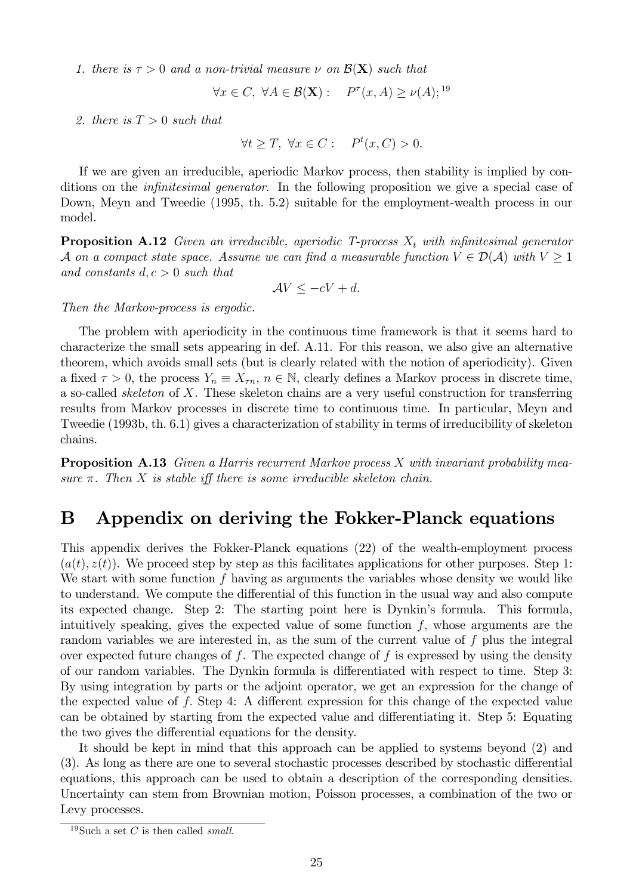1. there is  $\tau > 0$  and a non-trivial measure  $\nu$  on  $\mathcal{B}(\mathbf{X})$  such that

$$
\forall x \in C, \ \forall A \in \mathcal{B}(\mathbf{X}): \quad P^{\tau}(x, A) \ge \nu(A);^{19}
$$

2. there is  $T > 0$  such that

 $\forall t \geq T, \ \forall x \in C: \quad P^t(x, C) > 0.$ 

If we are given an irreducible, aperiodic Markov process, then stability is implied by conditions on the *infinitesimal generator*. In the following proposition we give a special case of Down, Meyn and Tweedie (1995, th. 5.2) suitable for the employment-wealth process in our model.

**Proposition A.12** Given an irreducible, aperiodic T-process  $X_t$  with infinitesimal generator A on a compact state space. Assume we can find a measurable function  $V \in \mathcal{D}(\mathcal{A})$  with  $V \geq 1$ and constants  $d, c > 0$  such that

$$
\mathcal{A}V \le -cV + d.
$$

Then the Markov-process is ergodic.

The problem with aperiodicity in the continuous time framework is that it seems hard to characterize the small sets appearing in def. A.11. For this reason, we also give an alternative theorem, which avoids small sets (but is clearly related with the notion of aperiodicity). Given a fixed  $\tau > 0$ , the process  $Y_n \equiv X_{\tau n}$ ,  $n \in \mathbb{N}$ , clearly defines a Markov process in discrete time, a so-called skeleton of X. These skeleton chains are a very useful construction for transferring results from Markov processes in discrete time to continuous time. In particular, Meyn and Tweedie (1993b, th. 6.1) gives a characterization of stability in terms of irreducibility of skeleton chains.

**Proposition A.13** Given a Harris recurrent Markov process X with invariant probability measure  $\pi$ . Then X is stable iff there is some irreducible skeleton chain.

# B Appendix on deriving the Fokker-Planck equations

This appendix derives the Fokker-Planck equations (22) of the wealth-employment process  $(a(t), z(t))$ . We proceed step by step as this facilitates applications for other purposes. Step 1: We start with some function  $f$  having as arguments the variables whose density we would like to understand. We compute the differential of this function in the usual way and also compute its expected change. Step 2: The starting point here is Dynkin's formula. This formula, intuitively speaking, gives the expected value of some function  $f$ , whose arguments are the random variables we are interested in, as the sum of the current value of f plus the integral over expected future changes of  $f$ . The expected change of  $f$  is expressed by using the density of our random variables. The Dynkin formula is differentiated with respect to time. Step 3: By using integration by parts or the adjoint operator, we get an expression for the change of the expected value of  $f$ . Step 4: A different expression for this change of the expected value can be obtained by starting from the expected value and differentiating it. Step 5: Equating the two gives the differential equations for the density.

It should be kept in mind that this approach can be applied to systems beyond (2) and  $(3)$ . As long as there are one to several stochastic processes described by stochastic differential equations, this approach can be used to obtain a description of the corresponding densities. Uncertainty can stem from Brownian motion, Poisson processes, a combination of the two or Levy processes.

<sup>&</sup>lt;sup>19</sup>Such a set C is then called *small*.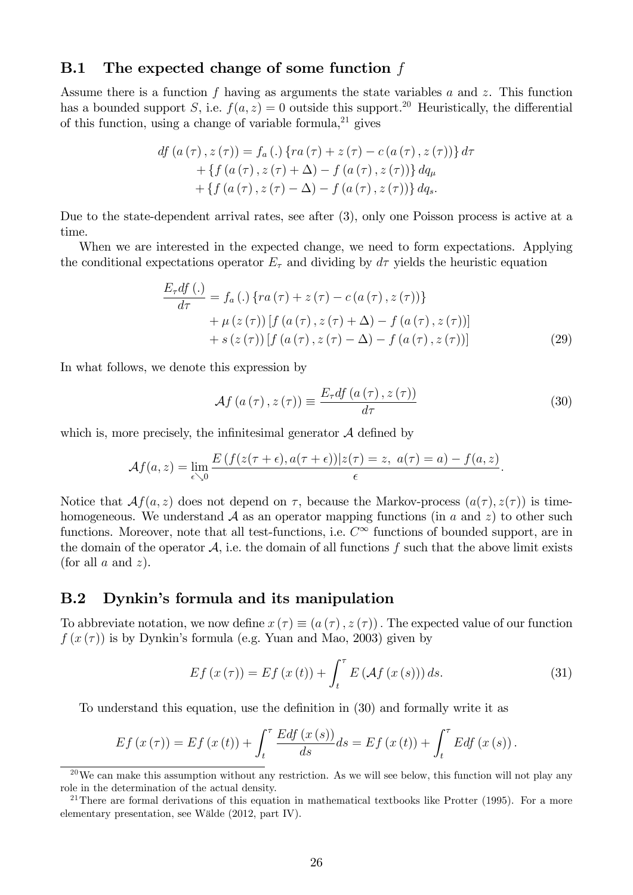## **B.1** The expected change of some function  $f$

Assume there is a function f having as arguments the state variables a and z. This function has a bounded support S, i.e.  $f(a, z) = 0$  outside this support.<sup>20</sup> Heuristically, the differential of this function, using a change of variable formula,  $2^1$  gives

$$
df (a (\tau), z (\tau)) = f_a(.) \{ ra (\tau) + z (\tau) - c (a (\tau), z (\tau)) \} d\tau + \{ f (a (\tau), z (\tau) + \Delta) - f (a (\tau), z (\tau)) \} d q_{\mu} + \{ f (a (\tau), z (\tau) - \Delta) - f (a (\tau), z (\tau)) \} d q_s.
$$

Due to the state-dependent arrival rates, see after (3), only one Poisson process is active at a time.

When we are interested in the expected change, we need to form expectations. Applying the conditional expectations operator  $E_{\tau}$  and dividing by  $d\tau$  yields the heuristic equation

$$
\frac{E_{\tau}df\,(.)}{d\tau} = f_a\,(.)\,\{ra\,(\tau) + z\,(\tau) - c\,(a\,(\tau), z\,(\tau))\}\n+ \mu\,(z\,(\tau))\,[f\,(a\,(\tau), z\,(\tau) + \Delta) - f\,(a\,(\tau), z\,(\tau))]\n+ s\,(z\,(\tau))\,[f\,(a\,(\tau), z\,(\tau) - \Delta) - f\,(a\,(\tau), z\,(\tau))]\n\tag{29}
$$

In what follows, we denote this expression by

$$
\mathcal{A}f\left(a\left(\tau\right),z\left(\tau\right)\right) \equiv \frac{E_{\tau}df\left(a\left(\tau\right),z\left(\tau\right)\right)}{d\tau} \tag{30}
$$

which is, more precisely, the infinitesimal generator  $A$  defined by

$$
\mathcal{A}f(a,z)=\lim_{\epsilon\searrow 0}\frac{E\left(f(z(\tau+\epsilon),a(\tau+\epsilon))|z(\tau)=z,\ a(\tau)=a\right)-f(a,z)}{\epsilon}.
$$

Notice that  $Af(a, z)$  does not depend on  $\tau$ , because the Markov-process  $(a(\tau), z(\tau))$  is timehomogeneous. We understand  $A$  as an operator mapping functions (in a and z) to other such functions. Moreover, note that all test-functions, i.e.  $C^{\infty}$  functions of bounded support, are in the domain of the operator  $A$ , i.e. the domain of all functions f such that the above limit exists (for all  $a$  and  $z$ ).

## B.2 Dynkin's formula and its manipulation

To abbreviate notation, we now define  $x(\tau) \equiv (a(\tau), z(\tau))$ . The expected value of our function  $f(x(\tau))$  is by Dynkin's formula (e.g. Yuan and Mao, 2003) given by

$$
Ef(x(\tau)) = Ef(x(t)) + \int_{t}^{\tau} E(\mathcal{A}f(x(s))) ds.
$$
\n(31)

To understand this equation, use the definition in (30) and formally write it as

$$
Ef(x(\tau)) = Ef(x(t)) + \int_{t}^{\tau} \frac{Edf(x(s))}{ds} ds = Ef(x(t)) + \int_{t}^{\tau} Edf(x(s)).
$$

 $20$ We can make this assumption without any restriction. As we will see below, this function will not play any role in the determination of the actual density.

<sup>&</sup>lt;sup>21</sup>There are formal derivations of this equation in mathematical textbooks like Protter (1995). For a more elementary presentation, see Wälde (2012, part IV).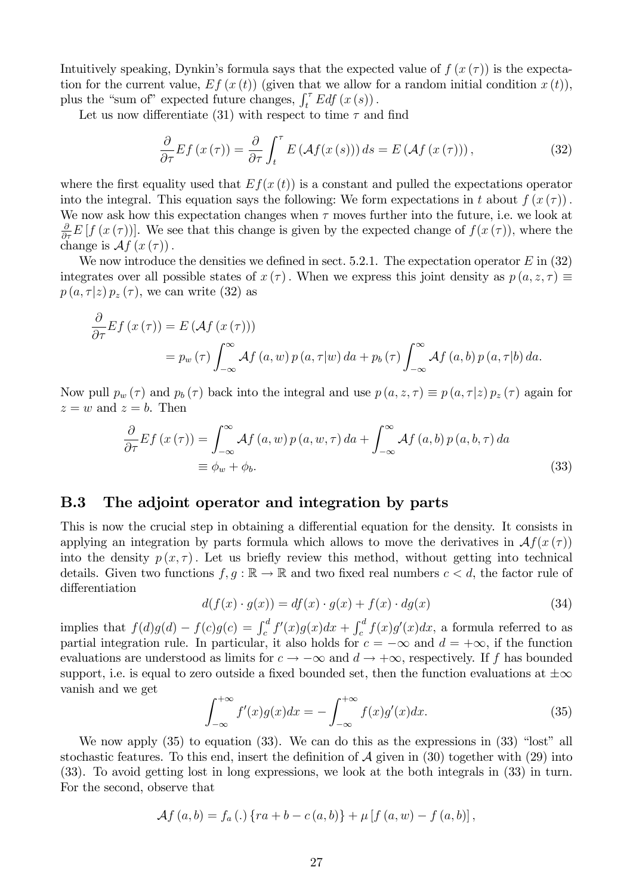Intuitively speaking, Dynkin's formula says that the expected value of  $f(x(\tau))$  is the expectation for the current value,  $Ef(x(t))$  (given that we allow for a random initial condition  $x(t)$ ), plus the "sum of" expected future changes,  $\int_t^\tau E df(x(s))$ .

Let us now differentiate (31) with respect to time  $\tau$  and find

@

$$
\frac{\partial}{\partial \tau} Ef(x(\tau)) = \frac{\partial}{\partial \tau} \int_{t}^{\tau} E\left(\mathcal{A}f(x(s))\right) ds = E\left(\mathcal{A}f(x(\tau))\right),\tag{32}
$$

where the first equality used that  $Ef(x(t))$  is a constant and pulled the expectations operator into the integral. This equation says the following: We form expectations in t about  $f(x(\tau))$ . We now ask how this expectation changes when  $\tau$  moves further into the future, i.e. we look at  $\frac{\partial}{\partial \tau} E[f(x(\tau))]$ . We see that this change is given by the expected change of  $f(x(\tau))$ , where the change is  $\mathcal{A}f(x(\tau))$ .

We now introduce the densities we defined in sect. 5.2.1. The expectation operator  $E$  in (32) integrates over all possible states of  $x(\tau)$ . When we express this joint density as  $p(a, z, \tau) \equiv$  $p(a, \tau | z) p_z(\tau)$ , we can write (32) as

$$
\frac{\partial}{\partial \tau} Ef(x(\tau)) = E(\mathcal{A}f(x(\tau)))
$$
  
=  $p_w(\tau) \int_{-\infty}^{\infty} \mathcal{A}f(a, w) p(a, \tau|w) da + p_b(\tau) \int_{-\infty}^{\infty} \mathcal{A}f(a, b) p(a, \tau|b) da.$ 

Now pull  $p_w(\tau)$  and  $p_b(\tau)$  back into the integral and use  $p(a, z, \tau) \equiv p(a, \tau|z) p_z(\tau)$  again for  $z = w$  and  $z = b$ . Then

$$
\frac{\partial}{\partial \tau} Ef(x(\tau)) = \int_{-\infty}^{\infty} Af(a, w) p(a, w, \tau) da + \int_{-\infty}^{\infty} Af(a, b) p(a, b, \tau) da
$$
  

$$
\equiv \phi_w + \phi_b.
$$
 (33)

#### B.3 The adjoint operator and integration by parts

This is now the crucial step in obtaining a differential equation for the density. It consists in applying an integration by parts formula which allows to move the derivatives in  $\mathcal{A}f(x(\tau))$ into the density  $p(x, \tau)$ . Let us briefly review this method, without getting into technical details. Given two functions  $f, g : \mathbb{R} \to \mathbb{R}$  and two fixed real numbers  $c < d$ , the factor rule of differentiation

$$
d(f(x) \cdot g(x)) = df(x) \cdot g(x) + f(x) \cdot dg(x)
$$
\n(34)

implies that  $f(d)g(d) - f(c)g(c) = \int_c^d f'(x)g(x)dx + \int_c^d f(x)g'(x)dx$ , a formula referred to as partial integration rule. In particular, it also holds for  $c = -\infty$  and  $d = +\infty$ , if the function evaluations are understood as limits for  $c \to -\infty$  and  $d \to +\infty$ , respectively. If f has bounded support, i.e. is equal to zero outside a fixed bounded set, then the function evaluations at  $\pm \infty$ vanish and we get

$$
\int_{-\infty}^{+\infty} f'(x)g(x)dx = -\int_{-\infty}^{+\infty} f(x)g'(x)dx.
$$
 (35)

We now apply  $(35)$  to equation  $(33)$ . We can do this as the expressions in  $(33)$  "lost" all stochastic features. To this end, insert the definition of  $A$  given in (30) together with (29) into (33). To avoid getting lost in long expressions, we look at the both integrals in (33) in turn. For the second, observe that

$$
\mathcal{A}f(a,b) = f_a(.)\left\{ra + b - c(a,b)\right\} + \mu \left[f(a,w) - f(a,b)\right],
$$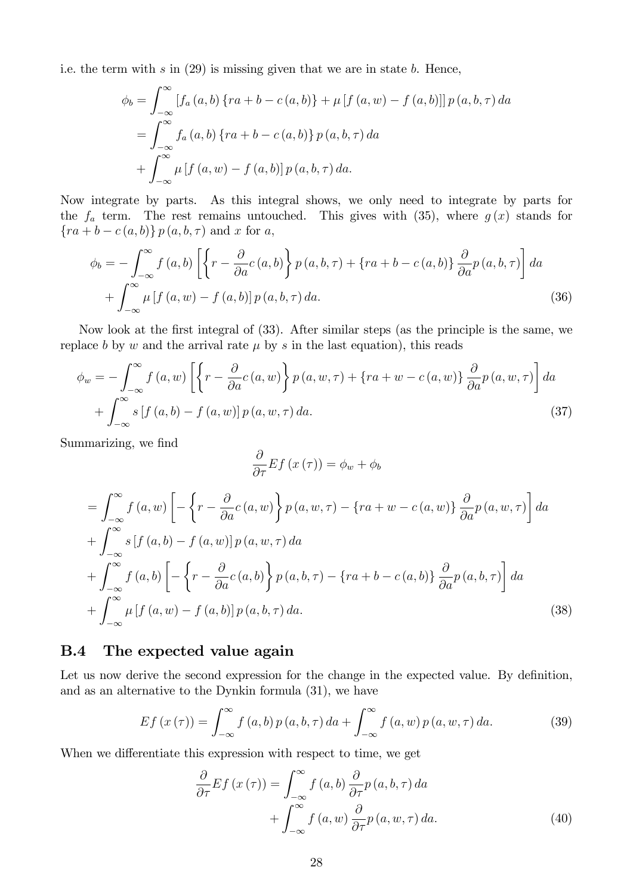i.e. the term with  $s$  in  $(29)$  is missing given that we are in state  $b$ . Hence,

$$
\phi_b = \int_{-\infty}^{\infty} [f_a(a, b) \{ ra + b - c(a, b) \} + \mu [f (a, w) - f (a, b)] ] p (a, b, \tau) da \n= \int_{-\infty}^{\infty} f_a (a, b) \{ ra + b - c (a, b) \} p (a, b, \tau) da \n+ \int_{-\infty}^{\infty} \mu [f (a, w) - f (a, b)] p (a, b, \tau) da.
$$

Now integrate by parts. As this integral shows, we only need to integrate by parts for the  $f_a$  term. The rest remains untouched. This gives with (35), where  $g(x)$  stands for  ${ra + b - c(a, b)} p(a, b, \tau)$  and x for a,

$$
\phi_b = -\int_{-\infty}^{\infty} f(a, b) \left[ \left\{ r - \frac{\partial}{\partial a} c(a, b) \right\} p(a, b, \tau) + \left\{ ra + b - c(a, b) \right\} \frac{\partial}{\partial a} p(a, b, \tau) \right] da + \int_{-\infty}^{\infty} \mu \left[ f(a, w) - f(a, b) \right] p(a, b, \tau) da.
$$
 (36)

Now look at the first integral of  $(33)$ . After similar steps (as the principle is the same, we replace b by w and the arrival rate  $\mu$  by s in the last equation), this reads

$$
\phi_w = -\int_{-\infty}^{\infty} f(a, w) \left[ \left\{ r - \frac{\partial}{\partial a} c(a, w) \right\} p(a, w, \tau) + \left\{ r a + w - c(a, w) \right\} \frac{\partial}{\partial a} p(a, w, \tau) \right] da + \int_{-\infty}^{\infty} s \left[ f(a, b) - f(a, w) \right] p(a, w, \tau) da.
$$
\n(37)

Summarizing, we find

$$
\frac{\partial}{\partial \tau} E f (x(\tau)) = \phi_w + \phi_b
$$
\n
$$
= \int_{-\infty}^{\infty} f (a, w) \left[ - \left\{ r - \frac{\partial}{\partial a} c (a, w) \right\} p (a, w, \tau) - \left\{ r a + w - c (a, w) \right\} \frac{\partial}{\partial a} p (a, w, \tau) \right\} da
$$
\n
$$
+ \int_{-\infty}^{\infty} s \left[ f (a, b) - f (a, w) \right] p (a, w, \tau) da
$$
\n
$$
+ \int_{-\infty}^{\infty} f (a, b) \left[ - \left\{ r - \frac{\partial}{\partial a} c (a, b) \right\} p (a, b, \tau) - \left\{ r a + b - c (a, b) \right\} \frac{\partial}{\partial a} p (a, b, \tau) \right\} da
$$
\n
$$
+ \int_{-\infty}^{\infty} \mu \left[ f (a, w) - f (a, b) \right] p (a, b, \tau) da. \tag{38}
$$

### B.4 The expected value again

Let us now derive the second expression for the change in the expected value. By definition, and as an alternative to the Dynkin formula (31), we have

$$
Ef(x(\tau)) = \int_{-\infty}^{\infty} f(a, b) p(a, b, \tau) da + \int_{-\infty}^{\infty} f(a, w) p(a, w, \tau) da.
$$
 (39)

When we differentiate this expression with respect to time, we get

$$
\frac{\partial}{\partial \tau} Ef(x(\tau)) = \int_{-\infty}^{\infty} f(a, b) \frac{\partial}{\partial \tau} p(a, b, \tau) da \n+ \int_{-\infty}^{\infty} f(a, w) \frac{\partial}{\partial \tau} p(a, w, \tau) da.
$$
\n(40)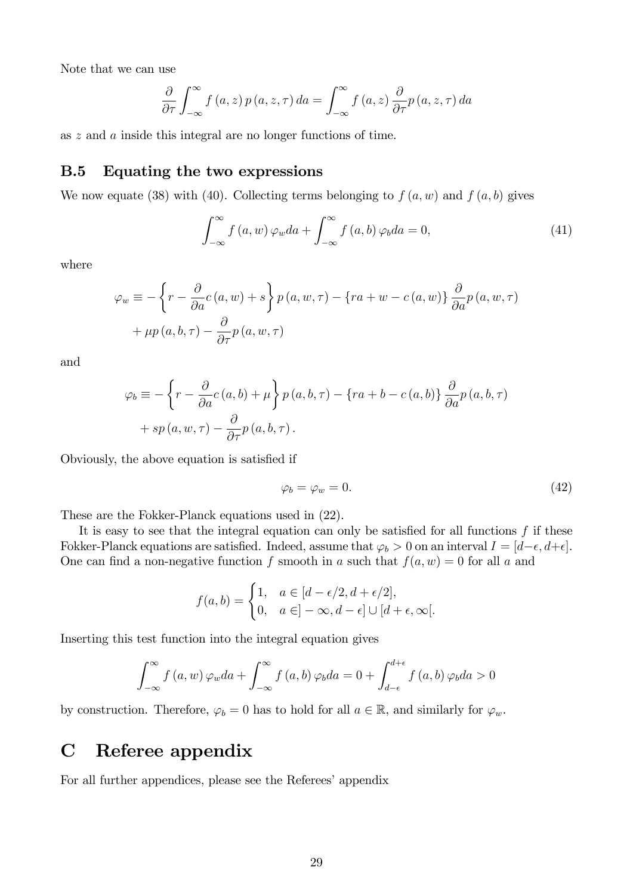Note that we can use

$$
\frac{\partial}{\partial \tau} \int_{-\infty}^{\infty} f(a, z) p(a, z, \tau) da = \int_{-\infty}^{\infty} f(a, z) \frac{\partial}{\partial \tau} p(a, z, \tau) da
$$

as z and a inside this integral are no longer functions of time.

### B.5 Equating the two expressions

We now equate (38) with (40). Collecting terms belonging to  $f(a, w)$  and  $f(a, b)$  gives

$$
\int_{-\infty}^{\infty} f\left(a, w\right) \varphi_w da + \int_{-\infty}^{\infty} f\left(a, b\right) \varphi_b da = 0,\tag{41}
$$

where

$$
\varphi_w \equiv -\left\{r - \frac{\partial}{\partial a}c(a, w) + s\right\} p(a, w, \tau) - \left\{ra + w - c(a, w)\right\} \frac{\partial}{\partial a}p(a, w, \tau) + \mu p(a, b, \tau) - \frac{\partial}{\partial \tau}p(a, w, \tau)
$$

and

$$
\varphi_b \equiv -\left\{r - \frac{\partial}{\partial a}c(a,b) + \mu\right\} p(a,b,\tau) - \left\{ra + b - c(a,b)\right\} \frac{\partial}{\partial a}p(a,b,\tau) + sp(a,w,\tau) - \frac{\partial}{\partial \tau}p(a,b,\tau).
$$

Obviously, the above equation is satisfied if

$$
\varphi_b = \varphi_w = 0. \tag{42}
$$

These are the Fokker-Planck equations used in (22).

It is easy to see that the integral equation can only be satisfied for all functions  $f$  if these Fokker-Planck equations are satisfied. Indeed, assume that  $\varphi_b > 0$  on an interval  $I = [d-\epsilon, d+\epsilon]$ . One can find a non-negative function f smooth in a such that  $f(a, w) = 0$  for all a and

$$
f(a,b) = \begin{cases} 1, & a \in [d-\epsilon/2, d+\epsilon/2], \\ 0, & a \in ]-\infty, d-\epsilon] \cup [d+\epsilon, \infty[]. \end{cases}
$$

Inserting this test function into the integral equation gives

$$
\int_{-\infty}^{\infty} f(a, w) \varphi_w da + \int_{-\infty}^{\infty} f(a, b) \varphi_b da = 0 + \int_{d-\epsilon}^{d+\epsilon} f(a, b) \varphi_b da > 0
$$

by construction. Therefore,  $\varphi_b = 0$  has to hold for all  $a \in \mathbb{R}$ , and similarly for  $\varphi_w$ .

# C Referee appendix

For all further appendices, please see the Referees' appendix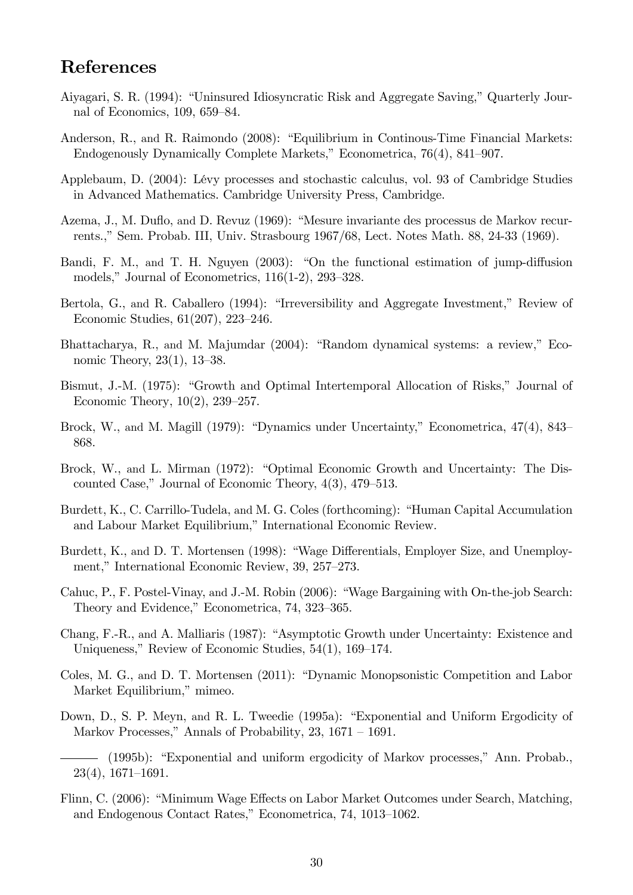# References

- Aiyagari, S. R. (1994): "Uninsured Idiosyncratic Risk and Aggregate Saving," Quarterly Journal of Economics,  $109, 659-84.$
- Anderson, R., and R. Raimondo (2008): "Equilibrium in Continous-Time Financial Markets: Endogenously Dynamically Complete Markets," Econometrica, 76(4), 841–907.
- Applebaum, D. (2004): LÈvy processes and stochastic calculus, vol. 93 of Cambridge Studies in Advanced Mathematics. Cambridge University Press, Cambridge.
- Azema, J., M. Duflo, and D. Revuz (1969): "Mesure invariante des processus de Markov recurrents.," Sem. Probab. III, Univ. Strasbourg 1967/68, Lect. Notes Math. 88, 24-33 (1969).
- Bandi, F. M., and T. H. Nguyen  $(2003)$ : "On the functional estimation of jump-diffusion models," Journal of Econometrics,  $116(1-2)$ ,  $293-328$ .
- Bertola, G., and R. Caballero (1994): "Irreversibility and Aggregate Investment," Review of Economic Studies,  $61(207)$ ,  $223-246$ .
- Bhattacharya, R., and M. Majumdar (2004): "Random dynamical systems: a review," Economic Theory,  $23(1)$ ,  $13-38$ .
- Bismut, J.-M. (1975): "Growth and Optimal Intertemporal Allocation of Risks," Journal of Economic Theory,  $10(2)$ ,  $239-257$ .
- Brock, W., and M. Magill (1979): "Dynamics under Uncertainty," Econometrica, 47(4), 843– 868.
- Brock, W., and L. Mirman (1972): "Optimal Economic Growth and Uncertainty: The Discounted Case," Journal of Economic Theory,  $4(3)$ ,  $479-513$ .
- Burdett, K., C. Carrillo-Tudela, and M. G. Coles (forthcoming): "Human Capital Accumulation and Labour Market Equilibrium," International Economic Review.
- Burdett, K., and D. T. Mortensen (1998): "Wage Differentials, Employer Size, and Unemployment," International Economic Review, 39, 257–273.
- Cahuc, P., F. Postel-Vinay, and J.-M. Robin (2006): "Wage Bargaining with On-the-job Search: Theory and Evidence," Econometrica, 74, 323–365.
- Chang, F.-R., and A. Malliaris (1987): "Asymptotic Growth under Uncertainty: Existence and Uniqueness," Review of Economic Studies,  $54(1)$ ,  $169-174$ .
- Coles, M. G., and D. T. Mortensen (2011): "Dynamic Monopsonistic Competition and Labor Market Equilibrium," mimeo.
- Down, D., S. P. Meyn, and R. L. Tweedie (1995a): "Exponential and Uniform Ergodicity of Markov Processes," Annals of Probability,  $23$ ,  $1671 - 1691$ .
- (1995b): "Exponential and uniform ergodicity of Markov processes," Ann. Probab.,  $23(4)$ , 1671–1691.
- Flinn, C. (2006): "Minimum Wage Effects on Labor Market Outcomes under Search, Matching, and Endogenous Contact Rates," Econometrica, 74, 1013–1062.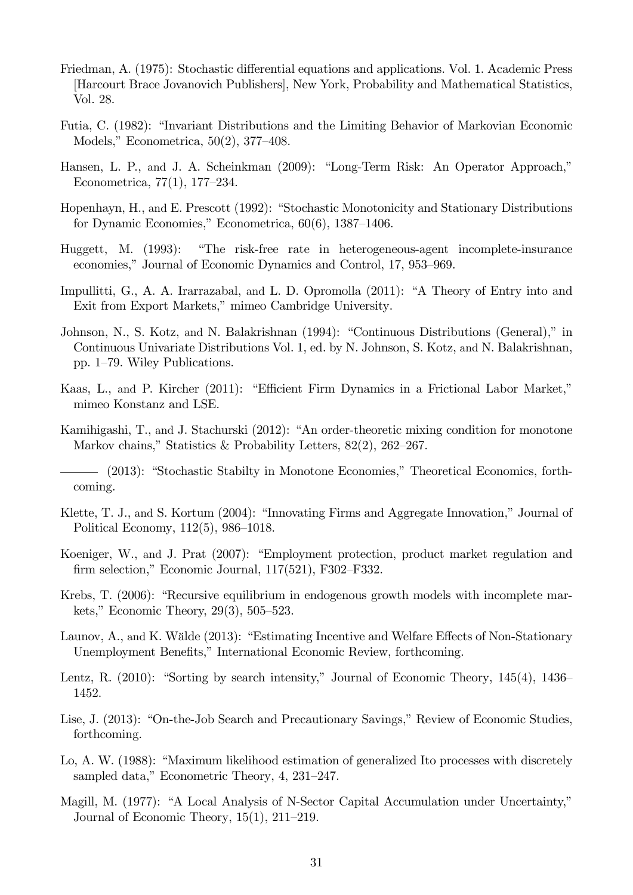- Friedman, A. (1975): Stochastic differential equations and applications. Vol. 1. Academic Press [Harcourt Brace Jovanovich Publishers], New York, Probability and Mathematical Statistics, Vol. 28.
- Futia, C. (1982): "Invariant Distributions and the Limiting Behavior of Markovian Economic Models," Econometrica,  $50(2)$ , 377–408.
- Hansen, L. P., and J. A. Scheinkman (2009): "Long-Term Risk: An Operator Approach," Econometrica,  $77(1)$ ,  $177-234$ .
- Hopenhayn, H., and E. Prescott (1992): "Stochastic Monotonicity and Stationary Distributions for Dynamic Economies," Econometrica,  $60(6)$ , 1387–1406.
- Huggett, M. (1993): "The risk-free rate in heterogeneous-agent incomplete-insurance economies," Journal of Economic Dynamics and Control, 17, 953–969.
- Impullitti, G., A. A. Irarrazabal, and L. D. Opromolla (2011): "A Theory of Entry into and Exit from Export Markets," mimeo Cambridge University.
- Johnson, N., S. Kotz, and N. Balakrishnan (1994): "Continuous Distributions (General)," in Continuous Univariate Distributions Vol. 1, ed. by N. Johnson, S. Kotz, and N. Balakrishnan, pp.  $1-79$ . Wiley Publications.
- Kaas, L., and P. Kircher (2011): "Efficient Firm Dynamics in a Frictional Labor Market," mimeo Konstanz and LSE.
- Kamihigashi, T., and J. Stachurski (2012): "An order-theoretic mixing condition for monotone Markov chains," Statistics & Probability Letters,  $82(2)$ ,  $262-267$ .

- Klette, T. J., and S. Kortum  $(2004)$ : "Innovating Firms and Aggregate Innovation," Journal of Political Economy,  $112(5)$ ,  $986-1018$ .
- Koeniger, W., and J. Prat (2007): "Employment protection, product market regulation and firm selection," Economic Journal,  $117(521)$ , F302–F332.
- Krebs, T. (2006): "Recursive equilibrium in endogenous growth models with incomplete markets," Economic Theory,  $29(3)$ ,  $505-523$ .
- Launov, A., and K. Wälde (2013): "Estimating Incentive and Welfare Effects of Non-Stationary Unemployment Benefits," International Economic Review, forthcoming.
- Lentz, R. (2010): "Sorting by search intensity," Journal of Economic Theory,  $145(4)$ ,  $1436-$ 1452.
- Lise, J. (2013): "On-the-Job Search and Precautionary Savings," Review of Economic Studies, forthcoming.
- Lo, A. W. (1988): "Maximum likelihood estimation of generalized Ito processes with discretely sampled data," Econometric Theory,  $4, 231-247$ .
- Magill, M. (1977): "A Local Analysis of N-Sector Capital Accumulation under Uncertainty," Journal of Economic Theory,  $15(1)$ ,  $211-219$ .

<sup>- (2013): &</sup>quot;Stochastic Stabilty in Monotone Economies," Theoretical Economics, forthcoming.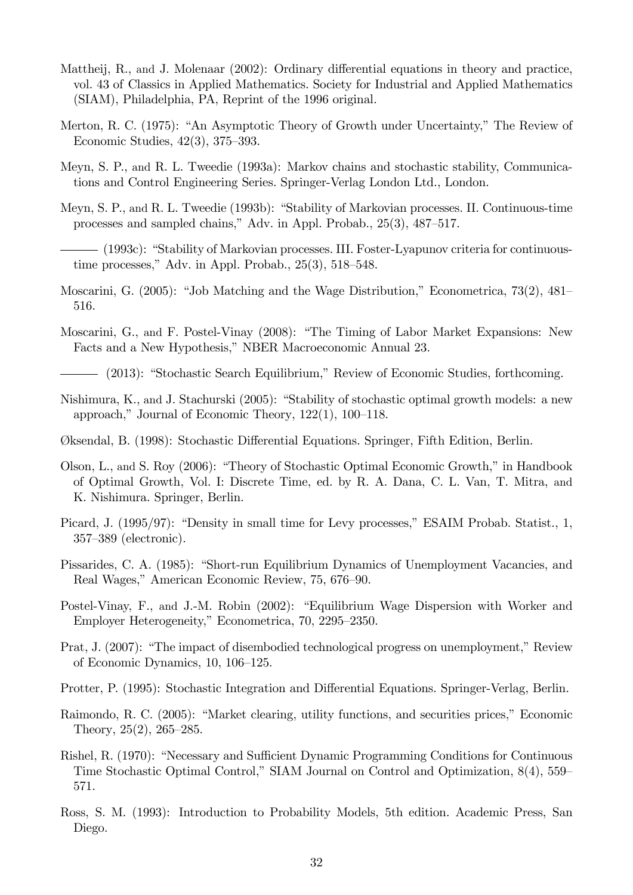- Mattheij, R., and J. Molenaar (2002): Ordinary differential equations in theory and practice, vol. 43 of Classics in Applied Mathematics. Society for Industrial and Applied Mathematics (SIAM), Philadelphia, PA, Reprint of the 1996 original.
- Merton, R. C. (1975): "An Asymptotic Theory of Growth under Uncertainty," The Review of Economic Studies,  $42(3)$ ,  $375-393$ .
- Meyn, S. P., and R. L. Tweedie (1993a): Markov chains and stochastic stability, Communications and Control Engineering Series. Springer-Verlag London Ltd., London.
- Meyn, S. P., and R. L. Tweedie (1993b): "Stability of Markovian processes. II. Continuous-time processes and sampled chains," Adv. in Appl. Probab.,  $25(3)$ ,  $487-517$ .

(1993c): "Stability of Markovian processes. III. Foster-Lyapunov criteria for continuoustime processes." Adv. in Appl. Probab.,  $25(3)$ ,  $518-548$ .

- Moscarini, G.  $(2005)$ : "Job Matching and the Wage Distribution," Econometrica, 73 $(2)$ , 481– 516.
- Moscarini, G., and F. Postel-Vinay (2008): "The Timing of Labor Market Expansions: New Facts and a New Hypothesis," NBER Macroeconomic Annual 23.
- (2013): "Stochastic Search Equilibrium," Review of Economic Studies, forthcoming.
- Nishimura, K., and J. Stachurski (2005): "Stability of stochastic optimal growth models: a new approach," Journal of Economic Theory,  $122(1)$ ,  $100-118$ .
- Øksendal, B. (1998): Stochastic Differential Equations. Springer, Fifth Edition, Berlin.
- Olson, L., and S. Roy (2006): "Theory of Stochastic Optimal Economic Growth," in Handbook of Optimal Growth, Vol. I: Discrete Time, ed. by R. A. Dana, C. L. Van, T. Mitra, and K. Nishimura. Springer, Berlin.
- Picard, J. (1995/97): "Density in small time for Levy processes," ESAIM Probab. Statist., 1, 357–389 (electronic).
- Pissarides, C. A. (1985): "Short-run Equilibrium Dynamics of Unemployment Vacancies, and Real Wages," American Economic Review, 75, 676–90.
- Postel-Vinay, F., and J.-M. Robin (2002): "Equilibrium Wage Dispersion with Worker and Employer Heterogeneity," Econometrica, 70, 2295–2350.
- Prat, J. (2007): "The impact of disembodied technological progress on unemployment," Review of Economic Dynamics,  $10, 106-125$ .
- Protter, P. (1995): Stochastic Integration and Differential Equations. Springer-Verlag, Berlin.
- Raimondo, R. C. (2005): "Market clearing, utility functions, and securities prices," Economic Theory,  $25(2)$ ,  $265-285$ .
- Rishel, R. (1970): "Necessary and Sufficient Dynamic Programming Conditions for Continuous Time Stochastic Optimal Control," SIAM Journal on Control and Optimization,  $8(4)$ ,  $559$ 571.
- Ross, S. M. (1993): Introduction to Probability Models, 5th edition. Academic Press, San Diego.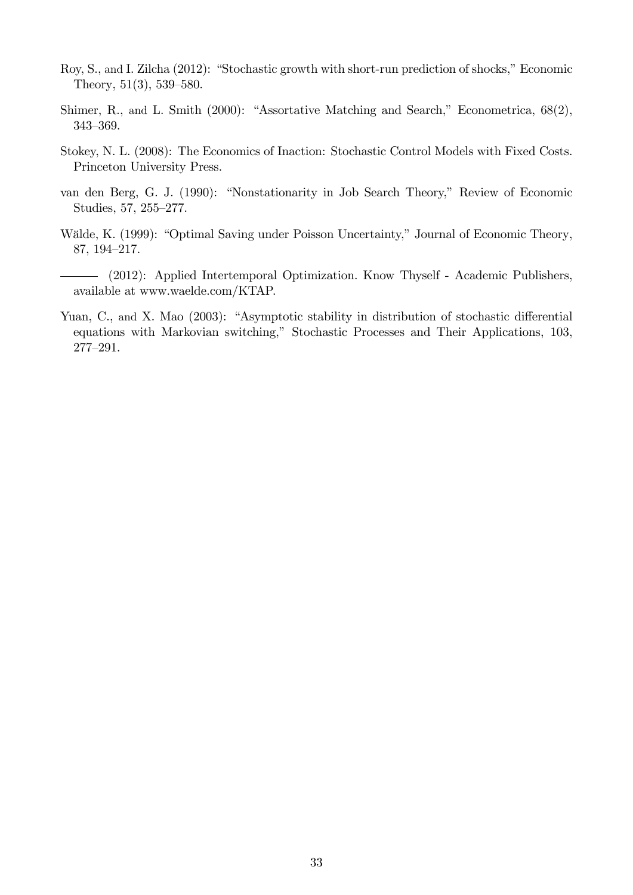- Roy, S., and I. Zilcha (2012): "Stochastic growth with short-run prediction of shocks," Economic Theory,  $51(3)$ ,  $539-580$ .
- Shimer, R., and L. Smith  $(2000)$ : "Assortative Matching and Search," Econometrica,  $68(2)$ , 343-369.
- Stokey, N. L. (2008): The Economics of Inaction: Stochastic Control Models with Fixed Costs. Princeton University Press.
- van den Berg, G. J. (1990): "Nonstationarity in Job Search Theory," Review of Economic Studies, 57, 255-277.
- Wälde, K. (1999): "Optimal Saving under Poisson Uncertainty," Journal of Economic Theory, 87, 194-217.
- (2012): Applied Intertemporal Optimization. Know Thyself Academic Publishers, available at www.waelde.com/KTAP.
- Yuan, C., and X. Mao (2003): "Asymptotic stability in distribution of stochastic differential equations with Markovian switching," Stochastic Processes and Their Applications, 103, 277-291.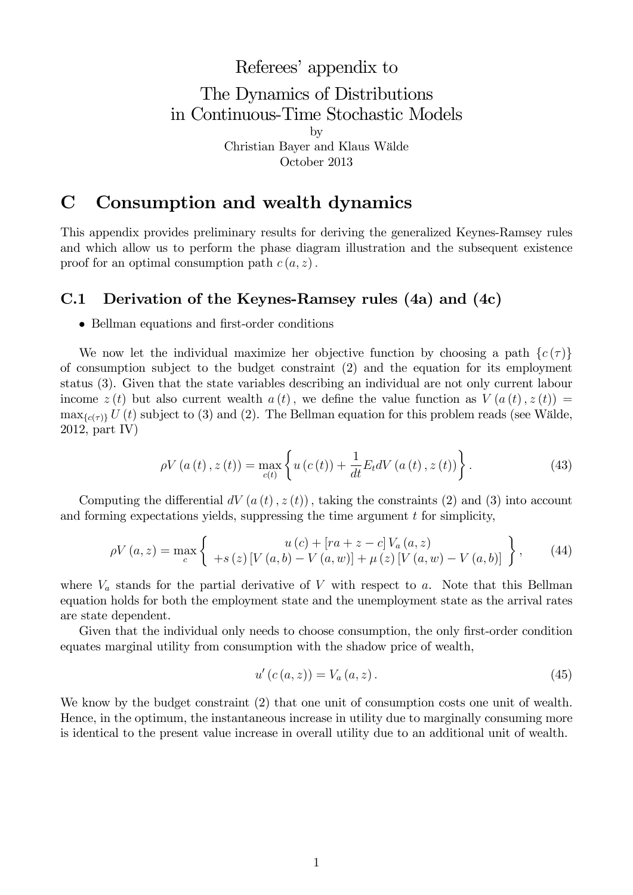# Referees' appendix to The Dynamics of Distributions in Continuous-Time Stochastic Models by Christian Bayer and Klaus W‰lde

October 2013

# C Consumption and wealth dynamics

This appendix provides preliminary results for deriving the generalized Keynes-Ramsey rules and which allow us to perform the phase diagram illustration and the subsequent existence proof for an optimal consumption path  $c(a, z)$ .

## C.1 Derivation of the Keynes-Ramsey rules (4a) and (4c)

#### • Bellman equations and first-order conditions

We now let the individual maximize her objective function by choosing a path  $\{c(\tau)\}\$ of consumption subject to the budget constraint (2) and the equation for its employment status (3). Given that the state variables describing an individual are not only current labour income  $z(t)$  but also current wealth  $a(t)$ , we define the value function as  $V(a(t), z(t)) =$  $\max_{\{c(\tau)\}} U(t)$  subject to (3) and (2). The Bellman equation for this problem reads (see Wälde, 2012, part IV)

$$
\rho V\left(a\left(t\right), z\left(t\right)\right) = \max_{c(t)} \left\{ u\left(c\left(t\right)\right) + \frac{1}{dt} E_t dV\left(a\left(t\right), z\left(t\right)\right) \right\}.
$$
\n(43)

Computing the differential  $dV(a(t), z(t))$ , taking the constraints (2) and (3) into account and forming expectations yields, suppressing the time argument  $t$  for simplicity,

$$
\rho V(a, z) = \max_{c} \left\{ \begin{array}{c} u(c) + [ra + z - c] V_a(a, z) \\ + s(z) [V(a, b) - V(a, w)] + \mu(z) [V(a, w) - V(a, b)] \end{array} \right\},
$$
(44)

where  $V_a$  stands for the partial derivative of V with respect to a. Note that this Bellman equation holds for both the employment state and the unemployment state as the arrival rates are state dependent.

Given that the individual only needs to choose consumption, the only first-order condition equates marginal utility from consumption with the shadow price of wealth,

$$
u'(c(a, z)) = V_a(a, z).
$$
 (45)

We know by the budget constraint (2) that one unit of consumption costs one unit of wealth. Hence, in the optimum, the instantaneous increase in utility due to marginally consuming more is identical to the present value increase in overall utility due to an additional unit of wealth.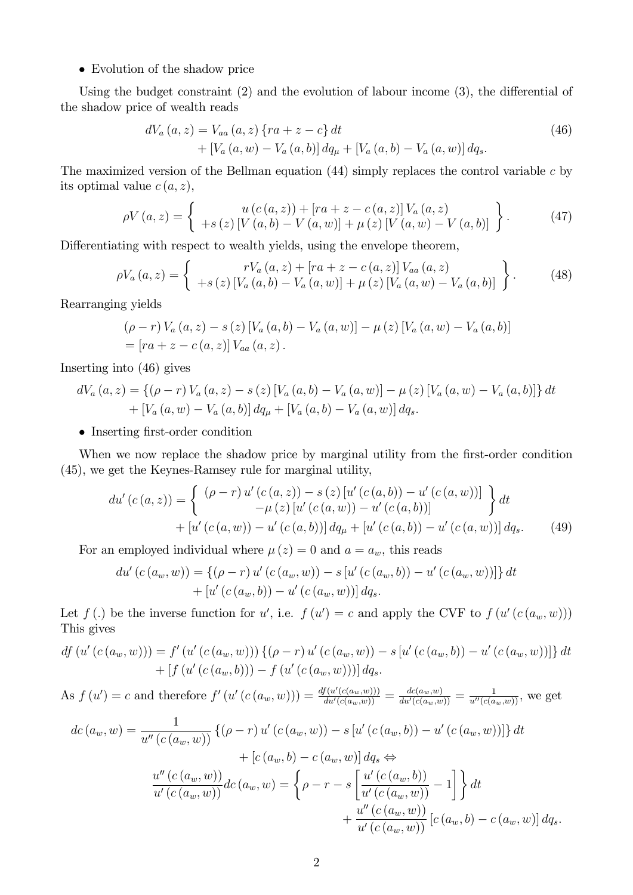#### Evolution of the shadow price

Using the budget constraint  $(2)$  and the evolution of labour income  $(3)$ , the differential of the shadow price of wealth reads

$$
dV_a(a, z) = V_{aa}(a, z) \{ ra + z - c \} dt + [V_a(a, w) - V_a(a, b)] dq_{\mu} + [V_a(a, b) - V_a(a, w)] dq_s.
$$
 (46)

The maximized version of the Bellman equation  $(44)$  simply replaces the control variable c by its optimal value  $c(a, z)$ ,

$$
\rho V(a,z) = \begin{cases} u(c(a,z)) + [ra + z - c(a,z)] V_a(a,z) \\ +s(z) [V(a,b) - V(a,w)] + \mu(z) [V(a,w) - V(a,b)] \end{cases}
$$
 (47)

Differentiating with respect to wealth yields, using the envelope theorem,

$$
\rho V_a(a, z) = \begin{cases} rV_a(a, z) + [ra + z - c(a, z)] V_{aa}(a, z) \\ +s(z) [V_a(a, b) - V_a(a, w)] + \mu(z) [V_a(a, w) - V_a(a, b)] \end{cases}
$$
 (48)

Rearranging yields

$$
(\rho - r) V_a (a, z) - s (z) [V_a (a, b) - V_a (a, w)] - \mu (z) [V_a (a, w) - V_a (a, b)]
$$
  
= [ra + z - c(a, z)] V<sub>aa</sub> (a, z).

Inserting into (46) gives

$$
dV_a(a, z) = \{ (\rho - r) V_a(a, z) - s(z) [V_a(a, b) - V_a(a, w)] - \mu(z) [V_a(a, w) - V_a(a, b)] \} dt + [V_a(a, w) - V_a(a, b)] dq_{\mu} + [V_a(a, b) - V_a(a, w)] dq_s.
$$

• Inserting first-order condition

When we now replace the shadow price by marginal utility from the first-order condition (45), we get the Keynes-Ramsey rule for marginal utility,

$$
du'(c(a, z)) = \begin{cases} (\rho - r) u'(c(a, z)) - s(z) [u'(c(a, b)) - u'(c(a, w))] \\ -\mu(z) [u'(c(a, w)) - u'(c(a, b))] \\ + [u'(c(a, w)) - u'(c(a, b))] dq_{\mu} + [u'(c(a, b)) - u'(c(a, w))] dq_s. \end{cases}
$$
(49)

For an employed individual where  $\mu(z) = 0$  and  $a = a_w$ , this reads

$$
du' (c (a_w, w)) = \{ (\rho - r) u' (c (a_w, w)) - s [u' (c (a_w, b)) - u' (c (a_w, w))] \} dt + [u' (c (a_w, b)) - u' (c (a_w, w))] dq_s.
$$

Let  $f(.)$  be the inverse function for u', i.e.  $f(u') = c$  and apply the CVF to  $f(u'(c(a_w, w)))$ This gives

$$
df (u'(c(a_w, w))) = f'(u'(c(a_w, w))) \{(\rho - r) u'(c(a_w, w)) - s [u'(c(a_w, b)) - u'(c(a_w, w))]\} dt + [f (u'(c(a_w, b))) - f (u'(c(a_w, w)))] dg_s.
$$

As  $f(u') = c$  and therefore  $f'(u'(c(a_w, w))) = \frac{df(u'(c(a_w, w)))}{du'(c(a_w, w))} = \frac{dc(a_w, w)}{du'(c(a_w, w))} = \frac{1}{u''(c(a_w, w))}$ , we get

$$
dc(a_w, w) = \frac{1}{u''(c(a_w, w))} \{(\rho - r) u'(c(a_w, w)) - s [u'(c(a_w, b)) - u'(c(a_w, w))]\} dt + [c(a_w, b) - c(a_w, w)] dg_s \Leftrightarrow \frac{u''(c(a_w, w))}{u'(c(a_w, w))} dc(a_w, w) = \left\{\rho - r - s \left[\frac{u'(c(a_w, b))}{u'(c(a_w, w))} - 1\right]\right\} dt + \frac{u''(c(a_w, w))}{u'(c(a_w, w))} [c(a_w, b) - c(a_w, w)] dg_s.
$$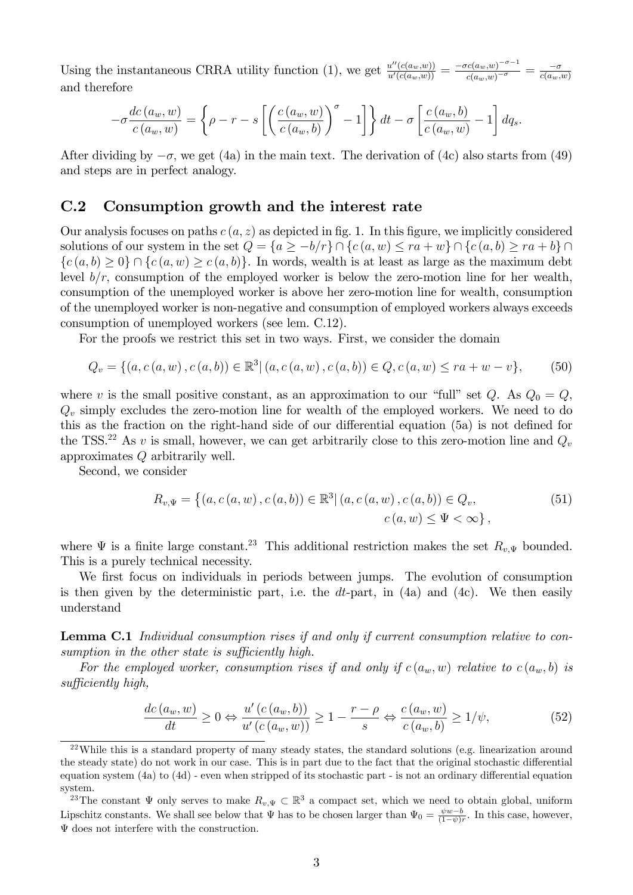Using the instantaneous CRRA utility function (1), we get  $\frac{u''(c(a_w,w))}{u'(c(a_w,w))} = \frac{-\sigma c(a_w,w)^{-\sigma-1}}{c(a_w,w)^{-\sigma}}$  $\frac{\overline{cc(a_w,w)}^{-\sigma}}{c(a_w,w)^{-\sigma}} = \frac{-\sigma}{c(a_w,w)}$ and therefore

$$
-\sigma \frac{dc(a_w, w)}{c(a_w, w)} = \left\{\rho - r - s \left[ \left( \frac{c(a_w, w)}{c(a_w, b)} \right)^{\sigma} - 1 \right] \right\} dt - \sigma \left[ \frac{c(a_w, b)}{c(a_w, w)} - 1 \right] dq_s.
$$

After dividing by  $-\sigma$ , we get (4a) in the main text. The derivation of (4c) also starts from (49) and steps are in perfect analogy.

### C.2 Consumption growth and the interest rate

Our analysis focuses on paths  $c(a, z)$  as depicted in fig. 1. In this figure, we implicitly considered solutions of our system in the set  $Q = \{a \geq -b/r\} \cap \{c (a, w) \leq ra + w\} \cap \{c (a, b) \geq ra + b\} \cap$  ${c(a, b) \ge 0} \cap {c(a, w) \ge c(a, b)}$ . In words, wealth is at least as large as the maximum debt level  $b/r$ , consumption of the employed worker is below the zero-motion line for her wealth, consumption of the unemployed worker is above her zero-motion line for wealth, consumption of the unemployed worker is non-negative and consumption of employed workers always exceeds consumption of unemployed workers (see lem. C.12).

For the proofs we restrict this set in two ways. First, we consider the domain

$$
Q_v = \{(a, c(a, w), c(a, b)) \in \mathbb{R}^3 | (a, c(a, w), c(a, b)) \in Q, c(a, w) \le ra + w - v\},\tag{50}
$$

where v is the small positive constant, as an approximation to our "full" set Q. As  $Q_0 = Q$ ;  $Q<sub>v</sub>$  simply excludes the zero-motion line for wealth of the employed workers. We need to do this as the fraction on the right-hand side of our differential equation  $(5a)$  is not defined for the TSS.<sup>22</sup> As v is small, however, we can get arbitrarily close to this zero-motion line and  $Q_v$ approximates Q arbitrarily well.

Second, we consider

$$
R_{v,\Psi} = \left\{ (a, c(a, w), c(a, b)) \in \mathbb{R}^3 | (a, c(a, w), c(a, b)) \in Q_v, \right. \tag{51}
$$
  

$$
c(a, w) \le \Psi < \infty \right\},
$$

where  $\Psi$  is a finite large constant.<sup>23</sup> This additional restriction makes the set  $R_{v,\Psi}$  bounded. This is a purely technical necessity.

We first focus on individuals in periods between jumps. The evolution of consumption is then given by the deterministic part, i.e. the  $dt$ -part, in  $(4a)$  and  $(4c)$ . We then easily understand

Lemma C.1 Individual consumption rises if and only if current consumption relative to consumption in the other state is sufficiently high.

For the employed worker, consumption rises if and only if  $c(a_w, w)$  relative to  $c(a_w, b)$  is  $sufficiently$  high,

$$
\frac{dc(a_w, w)}{dt} \ge 0 \Leftrightarrow \frac{u'(c(a_w, b))}{u'(c(a_w, w))} \ge 1 - \frac{r - \rho}{s} \Leftrightarrow \frac{c(a_w, w)}{c(a_w, b)} \ge 1/\psi,
$$
\n<sup>(52)</sup>

 $^{22}$ While this is a standard property of many steady states, the standard solutions (e.g. linearization around the steady state) do not work in our case. This is in part due to the fact that the original stochastic differential equation system  $(4a)$  to  $(4d)$  - even when stripped of its stochastic part - is not an ordinary differential equation system.

<sup>&</sup>lt;sup>23</sup>The constant  $\Psi$  only serves to make  $R_{v,\Psi} \subset \mathbb{R}^3$  a compact set, which we need to obtain global, uniform Lipschitz constants. We shall see below that  $\Psi$  has to be chosen larger than  $\Psi_0 = \frac{\psi w - b}{(1 - \psi)r}$ . In this case, however,  $\Psi$  does not interfere with the construction.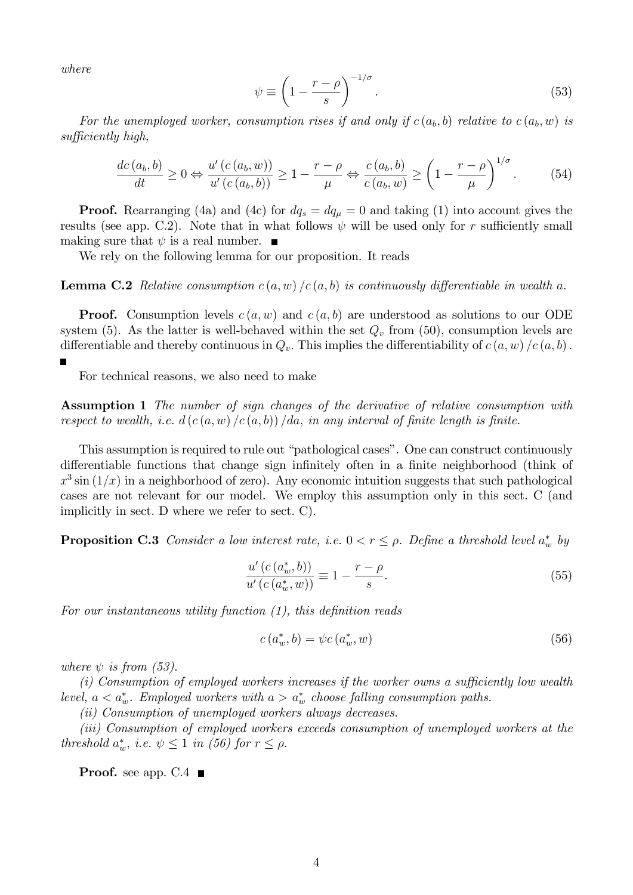where

П

$$
\psi \equiv \left(1 - \frac{r - \rho}{s}\right)^{-1/\sigma}.\tag{53}
$$

For the unemployed worker, consumption rises if and only if  $c(a_b, b)$  relative to  $c(a_b, w)$  is  $sufficiently$  high,

$$
\frac{dc(a_b, b)}{dt} \ge 0 \Leftrightarrow \frac{u'(c(a_b, w))}{u'(c(a_b, b))} \ge 1 - \frac{r - \rho}{\mu} \Leftrightarrow \frac{c(a_b, b)}{c(a_b, w)} \ge \left(1 - \frac{r - \rho}{\mu}\right)^{1/\sigma}.
$$
 (54)

**Proof.** Rearranging (4a) and (4c) for  $dq_s = dq_\mu = 0$  and taking (1) into account gives the results (see app. C.2). Note that in what follows  $\psi$  will be used only for r sufficiently small making sure that  $\psi$  is a real number.  $\blacksquare$ 

We rely on the following lemma for our proposition. It reads

**Lemma C.2** Relative consumption  $c(a, w) / c(a, b)$  is continuously differentiable in wealth a.

**Proof.** Consumption levels  $c(a, w)$  and  $c(a, b)$  are understood as solutions to our ODE system (5). As the latter is well-behaved within the set  $Q_v$  from (50), consumption levels are differentiable and thereby continuous in  $Q_v$ . This implies the differentiability of  $c(a, w) / c(a, b)$ .

For technical reasons, we also need to make

Assumption 1 The number of sign changes of the derivative of relative consumption with respect to wealth, i.e.  $d(c(a, w) / c(a, b)) / da$ , in any interval of finite length is finite.

This assumption is required to rule out "pathological cases". One can construct continuously differentiable functions that change sign infinitely often in a finite neighborhood (think of  $x^3 \sin(1/x)$  in a neighborhood of zero). Any economic intuition suggests that such pathological cases are not relevant for our model. We employ this assumption only in this sect. C (and implicitly in sect. D where we refer to sect. C).

**Proposition C.3** Consider a low interest rate, i.e.  $0 < r \le \rho$ . Define a threshold level  $a_w^*$  by

$$
\frac{u'(c(a_w^*,b))}{u'(c(a_w^*,w))} \equiv 1 - \frac{r-\rho}{s}.\tag{55}
$$

For our instantaneous utility function  $(1)$ , this definition reads

$$
c(a_w^*,b) = \psi c(a_w^*,w) \tag{56}
$$

where  $\psi$  is from (53).

 $(i)$  Consumption of employed workers increases if the worker owns a sufficiently low wealth level,  $a < a_w^*$ . Employed workers with  $a > a_w^*$  choose falling consumption paths.

(ii) Consumption of unemployed workers always decreases.

(iii) Consumption of employed workers exceeds consumption of unemployed workers at the threshold  $a_w^*$ , i.e.  $\psi \leq 1$  in (56) for  $r \leq \rho$ .

**Proof.** see app.  $C.4$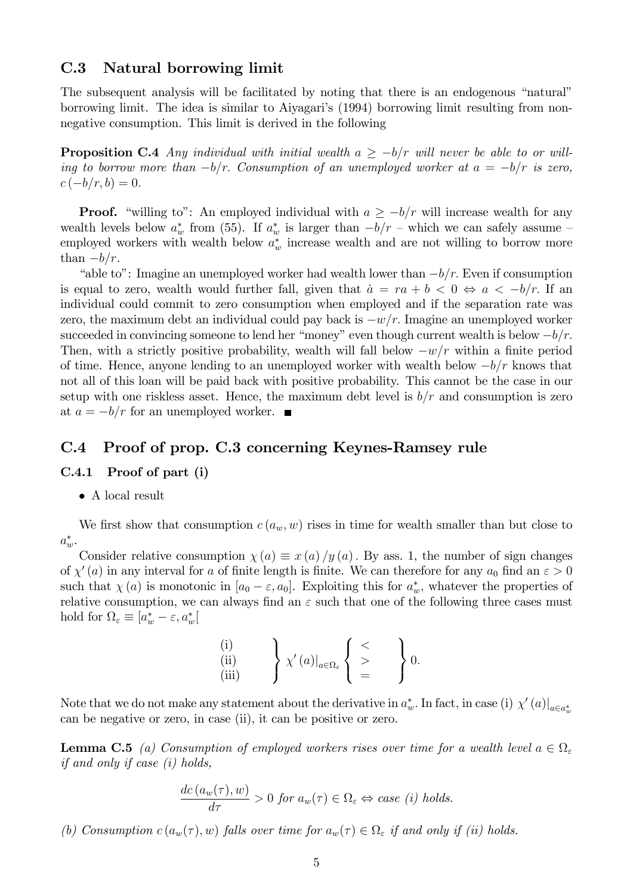### C.3 Natural borrowing limit

The subsequent analysis will be facilitated by noting that there is an endogenous "natural" borrowing limit. The idea is similar to Aiyagari's (1994) borrowing limit resulting from nonnegative consumption. This limit is derived in the following

**Proposition C.4** Any individual with initial wealth  $a \geq -b/r$  will never be able to or willing to borrow more than  $-b/r$ . Consumption of an unemployed worker at  $a = -b/r$  is zero,  $c(-b/r, b) = 0.$ 

**Proof.** "willing to": An employed individual with  $a \geq -b/r$  will increase wealth for any wealth levels below  $a_w^*$  from (55). If  $a_w^*$  is larger than  $-b/r$  – which we can safely assume – employed workers with wealth below  $a_w^*$  increase wealth and are not willing to borrow more than  $-b/r$ .

"able to": Imagine an unemployed worker had wealth lower than  $-b/r$ . Even if consumption is equal to zero, wealth would further fall, given that  $a = ra + b < 0 \Leftrightarrow a < -b/r$ . If an individual could commit to zero consumption when employed and if the separation rate was zero, the maximum debt an individual could pay back is  $-w/r$ . Imagine an unemployed worker succeeded in convincing someone to lend her "money" even though current wealth is below  $-b/r$ . Then, with a strictly positive probability, wealth will fall below  $-w/r$  within a finite period of time. Hence, anyone lending to an unemployed worker with wealth below  $-b/r$  knows that not all of this loan will be paid back with positive probability. This cannot be the case in our setup with one riskless asset. Hence, the maximum debt level is  $b/r$  and consumption is zero at  $a = -b/r$  for an unemployed worker.

## C.4 Proof of prop. C.3 concerning Keynes-Ramsey rule

#### C.4.1 Proof of part (i)

A local result

We first show that consumption  $c(a_w, w)$  rises in time for wealth smaller than but close to  $a^*_{w}$ .

Consider relative consumption  $\chi(a) \equiv x(a)/y(a)$ . By ass. 1, the number of sign changes of  $\chi'(a)$  in any interval for a of finite length is finite. We can therefore for any  $a_0$  find an  $\varepsilon > 0$ such that  $\chi(a)$  is monotonic in  $[a_0 - \varepsilon, a_0]$ . Exploiting this for  $a_w^*$ , whatever the properties of relative consumption, we can always find an  $\varepsilon$  such that one of the following three cases must hold for  $\Omega_{\varepsilon} \equiv [a_w^* - \varepsilon, a_w^*]$ 

$$
\begin{array}{ll}\n(i) \\
(ii) \\
(iii)\n\end{array}\n\bigg\}\n\chi'(a)|_{a\in\Omega_{\varepsilon}}\n\begin{Bmatrix}\n<\\
>\\
=\\
\end{Bmatrix}\n0.
$$

Note that we do not make any statement about the derivative in  $a_w^*$ . In fact, in case (i)  $\chi'(a)|_{a \in a_w^*}$ can be negative or zero, in case (ii), it can be positive or zero.

**Lemma C.5** (a) Consumption of employed workers rises over time for a wealth level  $a \in \Omega_{\varepsilon}$ if and only if case (i) holds,

$$
\frac{dc(a_w(\tau), w)}{d\tau} > 0 \text{ for } a_w(\tau) \in \Omega_{\varepsilon} \Leftrightarrow case (i) holds.
$$

(b) Consumption  $c(a_w(\tau), w)$  falls over time for  $a_w(\tau) \in \Omega_{\varepsilon}$  if and only if (ii) holds.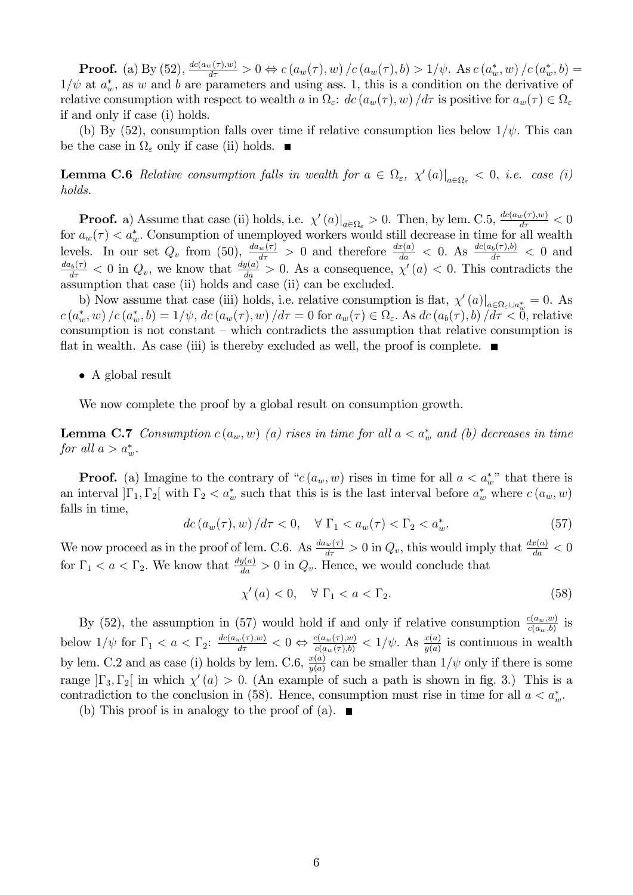**Proof.** (a) By (52),  $\frac{dc(a_w(\tau), w)}{d\tau} > 0 \Leftrightarrow c(a_w(\tau), w) / c(a_w(\tau), b) > 1/\psi$ . As  $c(a_w^*, w) / c(a_w^*, b) =$  $1/\psi$  at  $a_w^*$ , as w and b are parameters and using ass. 1, this is a condition on the derivative of relative consumption with respect to wealth a in  $\Omega_{\varepsilon}$ :  $dc (a_w(\tau), w) / d\tau$  is positive for  $a_w(\tau) \in \Omega_{\varepsilon}$ if and only if case (i) holds.

(b) By (52), consumption falls over time if relative consumption lies below  $1/\psi$ . This can be the case in  $\Omega_{\varepsilon}$  only if case (ii) holds.

**Lemma C.6** Relative consumption falls in wealth for  $a \in \Omega_{\varepsilon}$ ,  $\chi'(a)|_{a \in \Omega_{\varepsilon}} < 0$ , i.e. case (i) holds.

**Proof.** a) Assume that case (ii) holds, i.e.  $\chi'(a)|_{a \in \Omega_{\varepsilon}} > 0$ . Then, by lem. C.5,  $\frac{dc(a_w(\tau),w)}{d\tau} < 0$ for  $a_w(\tau) < a_w^*$ . Consumption of unemployed workers would still decrease in time for all wealth levels. In our set  $Q_v$  from (50),  $\frac{d a_w(\tau)}{d \tau} > 0$  and therefore  $\frac{d x(a)}{d a} < 0$ . As  $\frac{d c(a_b(\tau), b)}{d \tau} < 0$  and  $\frac{d a_b(\tau)}{d \tau} < 0$  in  $Q_v$ , we know that  $\frac{d y(a)}{d a} > 0$ . As a consequence,  $\chi'(a) < 0$ . This contradic assumption that case (ii) holds and case (ii) can be excluded.

b) Now assume that case (iii) holds, i.e. relative consumption is flat,  $\chi'(a)|_{a \in \Omega_{\varepsilon} \cup a_{w}^{*}} = 0$ . As  $c(a_w^*, w) / c(a_w^*, b) = 1/\psi$ ,  $dc(a_w(\tau), w) / d\tau = 0$  for  $a_w(\tau) \in \Omega_{\varepsilon}$ . As  $dc(a_b(\tau), b) / d\tau < 0$ , relative consumption is not constant  $\overline{\phantom{a}}$ -which contradicts the assumption that relative consumption is flat in wealth. As case (iii) is thereby excluded as well, the proof is complete.  $\blacksquare$ 

• A global result

We now complete the proof by a global result on consumption growth.

**Lemma C.7** Consumption  $c(a_w, w)$  (a) rises in time for all  $a < a_w^*$  and (b) decreases in time for all  $a > a_w^*$ .

**Proof.** (a) Imagine to the contrary of " $c(a_w, w)$  rises in time for all  $a < a_w^*$ " that there is an interval  $]\Gamma_1, \Gamma_2[\]$  with  $\Gamma_2 < a_w^*$  such that this is is the last interval before  $a_w^*$  where  $c(a_w, w)$ falls in time,

$$
dc\left(a_w(\tau), w\right)/d\tau < 0, \quad \forall \ \Gamma_1 < a_w(\tau) < \Gamma_2 < a_w^*.\tag{57}
$$

We now proceed as in the proof of lem. C.6. As  $\frac{d a_w(\tau)}{d \tau} > 0$  in  $Q_v$ , this would imply that  $\frac{d x(a)}{d a} < 0$ for  $\Gamma_1 < a < \Gamma_2$ . We know that  $\frac{dy(a)}{da} > 0$  in  $Q_v$ . Hence, we would conclude that

$$
\chi'(a) < 0, \quad \forall \ \Gamma_1 < a < \Gamma_2. \tag{58}
$$

By (52), the assumption in (57) would hold if and only if relative consumption  $\frac{c(a_w,w)}{c(a_w,b)}$  is below  $1/\psi$  for  $\Gamma_1 < a < \Gamma_2$ :  $\frac{dc(a_w(\tau),w)}{d\tau} < 0 \Leftrightarrow \frac{c(a_w(\tau),w)}{c(a_w(\tau),b)} < 1/\psi$ . As  $\frac{x(a)}{y(a)}$  is continuous in wealth by lem. C.2 and as case (i) holds by lem. C.6,  $\frac{x(a)}{y(a)}$  can be smaller than  $1/\psi$  only if there is some range  $\left|\Gamma_3,\Gamma_2\right|$  in which  $\chi'(a) > 0$ . (An example of such a path is shown in fig. 3.) This is a contradiction to the conclusion in (58). Hence, consumption must rise in time for all  $a < a_w^*$ .

(b) This proof is in analogy to the proof of (a).  $\blacksquare$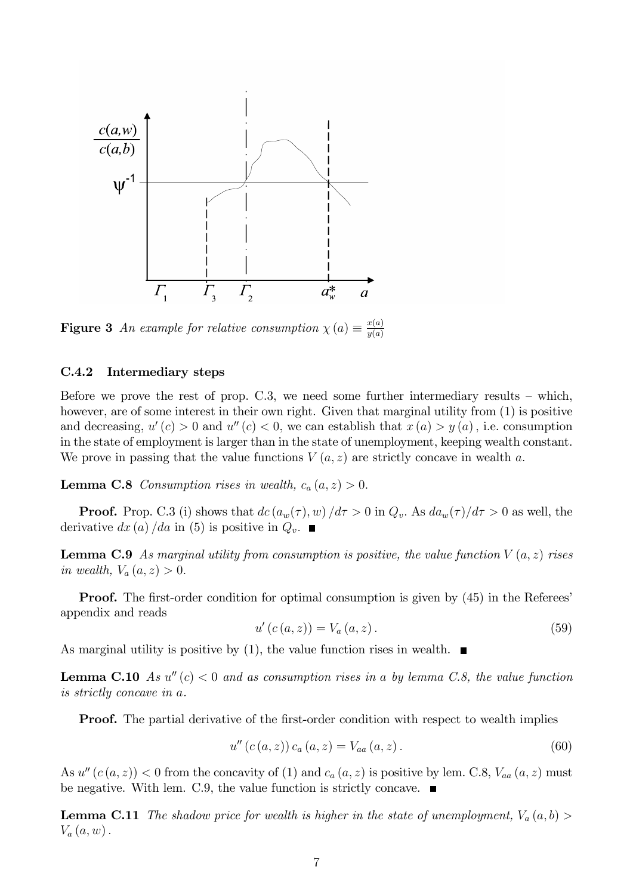

**Figure 3** An example for relative consumption  $\chi(a) \equiv \frac{x(a)}{y(a)}$  $y(a)$ 

#### C.4.2 Intermediary steps

Before we prove the rest of prop.  $C.3$ , we need some further intermediary results – which, however, are of some interest in their own right. Given that marginal utility from  $(1)$  is positive and decreasing,  $u'(c) > 0$  and  $u''(c) < 0$ , we can establish that  $x(a) > y(a)$ , i.e. consumption in the state of employment is larger than in the state of unemployment, keeping wealth constant. We prove in passing that the value functions  $V(a, z)$  are strictly concave in wealth a.

**Lemma C.8** Consumption rises in wealth,  $c_a(a, z) > 0$ .

**Proof.** Prop. C.3 (i) shows that  $dc(u_w(\tau), w)/d\tau > 0$  in  $Q_v$ . As  $da_w(\tau)/d\tau > 0$  as well, the derivative  $dx (a) / da$  in (5) is positive in  $Q_v$ .

**Lemma C.9** As marginal utility from consumption is positive, the value function  $V(a, z)$  rises in wealth,  $V_a(a, z) > 0$ .

**Proof.** The first-order condition for optimal consumption is given by (45) in the Referees' appendix and reads

$$
u'(c(a, z)) = V_a(a, z).
$$
 (59)

As marginal utility is positive by (1), the value function rises in wealth.  $\blacksquare$ 

**Lemma C.10** As  $u''(c) < 0$  and as consumption rises in a by lemma C.8, the value function is strictly concave in a.

**Proof.** The partial derivative of the first-order condition with respect to wealth implies

$$
u''(c(a, z)) c_a(a, z) = V_{aa}(a, z).
$$
 (60)

As  $u''(c(a, z)) < 0$  from the concavity of (1) and  $c_a(a, z)$  is positive by lem. C.8,  $V_{aa}(a, z)$  must be negative. With lem. C.9, the value function is strictly concave.  $\blacksquare$ 

**Lemma C.11** The shadow price for wealth is higher in the state of unemployment,  $V_a(a, b)$  $V_a(a, w)$ .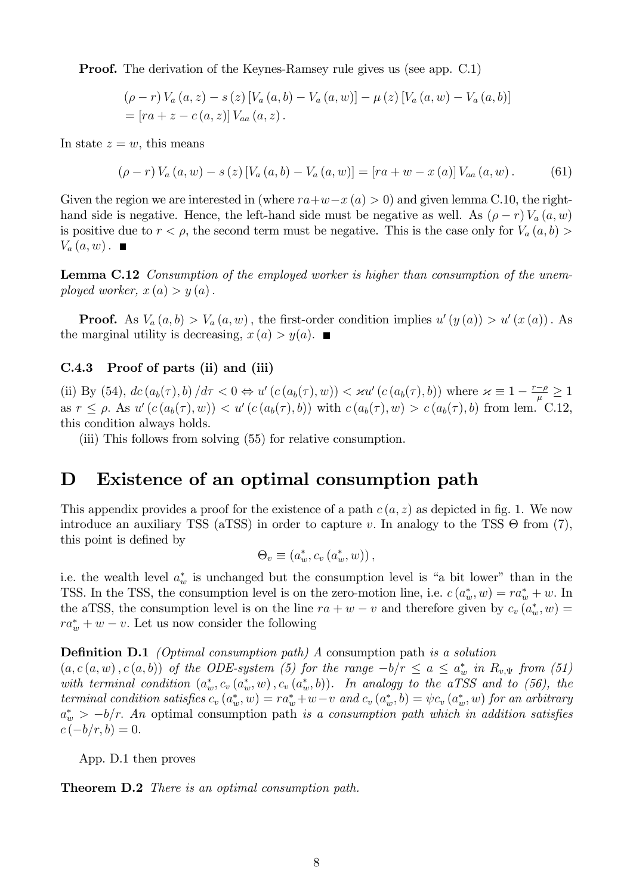Proof. The derivation of the Keynes-Ramsey rule gives us (see app. C.1)

$$
(\rho - r) V_a (a, z) - s (z) [V_a (a, b) - V_a (a, w)] - \mu (z) [V_a (a, w) - V_a (a, b)]
$$
  
= [ra + z - c (a, z)] V<sub>aa</sub> (a, z).

In state  $z = w$ , this means

$$
(\rho - r) V_a (a, w) - s (z) [V_a (a, b) - V_a (a, w)] = [ra + w - x (a)] V_{aa} (a, w).
$$
 (61)

Given the region we are interested in (where  $ra+w-x (a) > 0$ ) and given lemma C.10, the righthand side is negative. Hence, the left-hand side must be negative as well. As  $(\rho - r) V_a (a, w)$ is positive due to  $r < \rho$ , the second term must be negative. This is the case only for  $V_a(a, b)$  $V_a(a, w)$ .

Lemma C.12 Consumption of the employed worker is higher than consumption of the unemployed worker,  $x(a) > y(a)$ .

**Proof.** As  $V_a(a,b) > V_a(a,w)$ , the first-order condition implies  $u'(y(a)) > u'(x(a))$ . As the marginal utility is decreasing,  $x(a) > y(a)$ .

### C.4.3 Proof of parts (ii) and (iii)

(ii) By (54),  $dc(a_b(\tau), b)/d\tau < 0 \Leftrightarrow u'(c(a_b(\tau), w)) < \varkappa u'(c(a_b(\tau), b))$  where  $\varkappa \equiv 1 - \frac{r-\rho}{\mu} \ge 1$ as  $r \leq \rho$ . As  $u'(c(a_b(\tau), w)) < u'(c(a_b(\tau), b))$  with  $c(a_b(\tau), w) > c(a_b(\tau), b)$  from lem. C.12, this condition always holds.

(iii) This follows from solving (55) for relative consumption.

## D Existence of an optimal consumption path

This appendix provides a proof for the existence of a path  $c(a, z)$  as depicted in fig. 1. We now introduce an auxiliary TSS (aTSS) in order to capture v. In analogy to the TSS  $\Theta$  from (7), this point is defined by

$$
\Theta_v \equiv (a_w^*, c_v (a_w^*, w)),
$$

i.e. the wealth level  $a_w^*$  is unchanged but the consumption level is "a bit lower" than in the TSS. In the TSS, the consumption level is on the zero-motion line, i.e.  $c(a_w^*, w) = ra_w^* + w$ . In the aTSS, the consumption level is on the line  $ra + w - v$  and therefore given by  $c_v(a_w^*, w) =$  $ra_w^* + w - v$ . Let us now consider the following

#### **Definition D.1** (Optimal consumption path) A consumption path is a solution

 $(a, c(a, w), c(a, b))$  of the ODE-system (5) for the range  $-b/r \le a \le a_w^*$  in  $R_{v, \Psi}$  from (51) with terminal condition  $(a_w^*, c_v(a_w^*, w), c_v(a_w^*, b))$ . In analogy to the aTSS and to (56), the terminal condition satisfies  $c_v(a_w^*, w) = ra_w^* + w - v$  and  $c_v(a_w^*, b) = \psi c_v(a_w^*, w)$  for an arbitrary  $a^*_{w} > -b/r$ . An optimal consumption path is a consumption path which in addition satisfies  $c(-b/r, b) = 0.$ 

App. D.1 then proves

Theorem D.2 There is an optimal consumption path.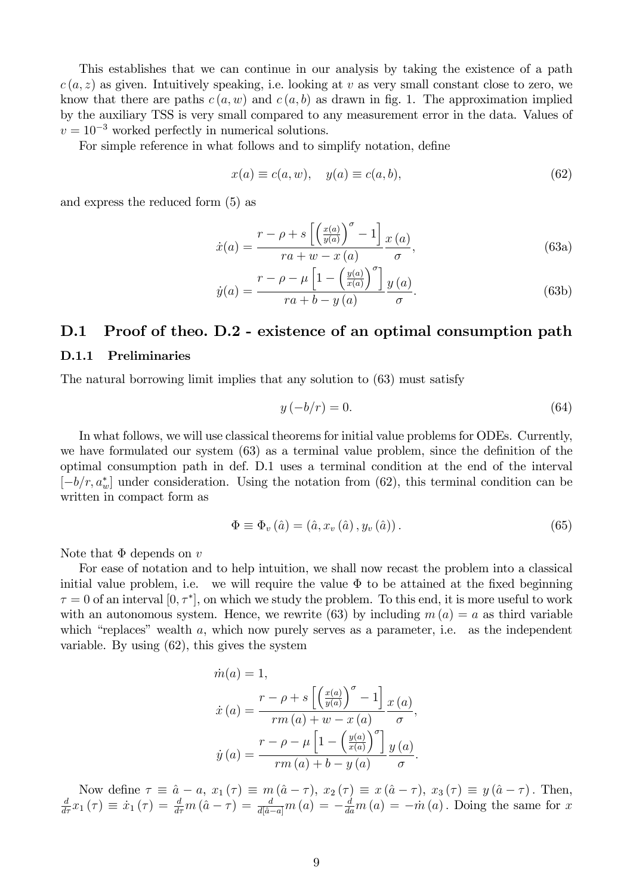This establishes that we can continue in our analysis by taking the existence of a path  $c(a, z)$  as given. Intuitively speaking, i.e. looking at v as very small constant close to zero, we know that there are paths  $c(a, w)$  and  $c(a, b)$  as drawn in fig. 1. The approximation implied by the auxiliary TSS is very small compared to any measurement error in the data. Values of  $v = 10^{-3}$  worked perfectly in numerical solutions.

For simple reference in what follows and to simplify notation, define

$$
x(a) \equiv c(a, w), \quad y(a) \equiv c(a, b), \tag{62}
$$

and express the reduced form (5) as

$$
\dot{x}(a) = \frac{r - \rho + s \left[ \left( \frac{x(a)}{y(a)} \right)^{\sigma} - 1 \right]}{ra + w - x(a)} \frac{x(a)}{\sigma},\tag{63a}
$$

$$
\dot{y}(a) = \frac{r - \rho - \mu \left[1 - \left(\frac{y(a)}{x(a)}\right)^{\sigma}\right]}{ra + b - y(a)} \frac{y(a)}{\sigma}.
$$
\n(63b)

## D.1 Proof of theo. D.2 - existence of an optimal consumption path

#### D.1.1 Preliminaries

The natural borrowing limit implies that any solution to (63) must satisfy

$$
y\left(-b/r\right) = 0.\tag{64}
$$

In what follows, we will use classical theorems for initial value problems for ODEs. Currently, we have formulated our system  $(63)$  as a terminal value problem, since the definition of the optimal consumption path in def. D.1 uses a terminal condition at the end of the interval  $[-b/r, a^*_{w}]$  under consideration. Using the notation from (62), this terminal condition can be written in compact form as

$$
\Phi \equiv \Phi_v \left( \hat{a} \right) = \left( \hat{a}, x_v \left( \hat{a} \right), y_v \left( \hat{a} \right) \right). \tag{65}
$$

Note that  $\Phi$  depends on v

For ease of notation and to help intuition, we shall now recast the problem into a classical initial value problem, i.e. we will require the value  $\Phi$  to be attained at the fixed beginning  $\tau = 0$  of an interval  $[0, \tau^*]$ , on which we study the problem. To this end, it is more useful to work with an autonomous system. Hence, we rewrite (63) by including  $m(a) = a$  as third variable which "replaces" wealth  $a$ , which now purely serves as a parameter, i.e. as the independent variable. By using (62), this gives the system

$$
\dot{m}(a) = 1,
$$
\n
$$
\dot{x}(a) = \frac{r - \rho + s \left[ \left( \frac{x(a)}{y(a)} \right)^{\sigma} - 1 \right] x(a)}{rm(a) + w - x(a)} \frac{x(a)}{\sigma},
$$
\n
$$
\dot{y}(a) = \frac{r - \rho - \mu \left[ 1 - \left( \frac{y(a)}{x(a)} \right)^{\sigma} \right] y(a)}{rm(a) + b - y(a)}.
$$

Now define  $\tau \equiv \hat{a} - a$ ,  $x_1 (\tau) \equiv m (\hat{a} - \tau)$ ,  $x_2 (\tau) \equiv x (\hat{a} - \tau)$ ,  $x_3 (\tau) \equiv y (\hat{a} - \tau)$ . Then,  $\frac{d}{d\tau} x_1 (\tau) \equiv \dot{x}_1 (\tau) = \frac{d}{d\tau} m (\hat{a} - \tau) = \frac{d}{d[\hat{a} - a]} m (a) = -\frac{d}{d a} m (a) = -\dot{m} (a)$ . Doing the same for x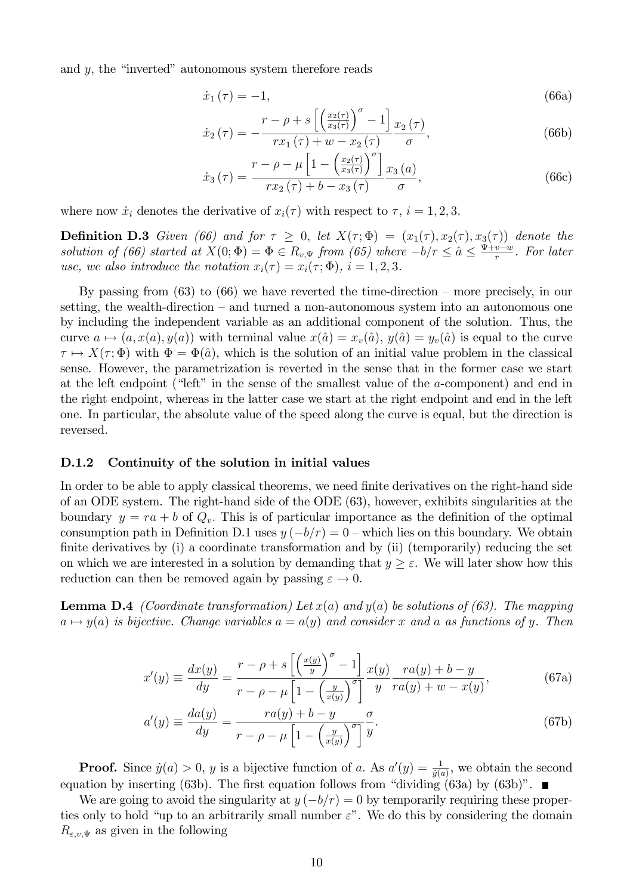and  $y$ , the "inverted" autonomous system therefore reads

$$
\dot{x}_1(\tau) = -1,\tag{66a}
$$

$$
\dot{x}_2(\tau) = -\frac{r - \rho + s \left[ \left( \frac{x_2(\tau)}{x_3(\tau)} \right)^{\sigma} - 1 \right]}{r x_1(\tau) + w - x_2(\tau)} \frac{x_2(\tau)}{\sigma},\tag{66b}
$$

$$
\dot{x}_3(\tau) = \frac{r - \rho - \mu \left[1 - \left(\frac{x_2(\tau)}{x_3(\tau)}\right)^{\sigma}\right]}{r x_2(\tau) + b - x_3(\tau)} \frac{x_3(a)}{\sigma},\tag{66c}
$$

where now  $\dot{x}_i$  denotes the derivative of  $x_i(\tau)$  with respect to  $\tau$ ,  $i = 1, 2, 3$ .

**Definition D.3** Given (66) and for  $\tau \geq 0$ , let  $X(\tau;\Phi) = (x_1(\tau), x_2(\tau), x_3(\tau))$  denote the solution of (66) started at  $X(0; \Phi) = \Phi \in R_{v, \Psi}$  from (65) where  $-b/r \leq \hat{a} \leq \frac{\Psi +v-w}{r}$ . For later use, we also introduce the notation  $x_i(\tau) = x_i(\tau; \Phi)$ ,  $i = 1, 2, 3$ .

By passing from  $(63)$  to  $(66)$  we have reverted the time-direction – more precisely, in our setting, the wealth-direction  $-$  and turned a non-autonomous system into an autonomous one by including the independent variable as an additional component of the solution. Thus, the curve  $a \mapsto (a, x(a), y(a))$  with terminal value  $x(\hat{a}) = x_v(\hat{a}), y(\hat{a}) = y_v(\hat{a})$  is equal to the curve  $\tau \mapsto X(\tau; \Phi)$  with  $\Phi = \Phi(\hat{a})$ , which is the solution of an initial value problem in the classical sense. However, the parametrization is reverted in the sense that in the former case we start at the left endpoint ("left" in the sense of the smallest value of the  $a$ -component) and end in the right endpoint, whereas in the latter case we start at the right endpoint and end in the left one. In particular, the absolute value of the speed along the curve is equal, but the direction is reversed.

#### D.1.2 Continuity of the solution in initial values

In order to be able to apply classical theorems, we need finite derivatives on the right-hand side of an ODE system. The right-hand side of the ODE (63), however, exhibits singularities at the boundary  $y = ra + b$  of  $Q_v$ . This is of particular importance as the definition of the optimal consumption path in Definition D.1 uses  $y(-b/r) = 0$  – which lies on this boundary. We obtain finite derivatives by  $(i)$  a coordinate transformation and by  $(ii)$  (temporarily) reducing the set on which we are interested in a solution by demanding that  $y \geq \varepsilon$ . We will later show how this reduction can then be removed again by passing  $\varepsilon \to 0$ .

**Lemma D.4** (Coordinate transformation) Let  $x(a)$  and  $y(a)$  be solutions of (63). The mapping  $a \mapsto y(a)$  is bijective. Change variables  $a = a(y)$  and consider x and a as functions of y. Then

$$
x'(y) \equiv \frac{dx(y)}{dy} = \frac{r - \rho + s \left[ \left( \frac{x(y)}{y} \right)^{\sigma} - 1 \right]}{r - \rho - \mu \left[ 1 - \left( \frac{y}{x(y)} \right)^{\sigma} \right]} \frac{x(y)}{y} \frac{ra(y) + b - y}{ra(y) + w - x(y)},
$$
(67a)

$$
a'(y) \equiv \frac{da(y)}{dy} = \frac{ra(y) + b - y}{r - \rho - \mu \left[1 - \left(\frac{y}{x(y)}\right)^{\sigma}\right]} \frac{\sigma}{y}.
$$
\n(67b)

**Proof.** Since  $\dot{y}(a) > 0$ , y is a bijective function of a. As  $a'(y) = \frac{1}{\dot{y}(a)}$ , we obtain the second equation by inserting (63b). The first equation follows from "dividing (63a) by (63b)".

We are going to avoid the singularity at  $y(-b/r) = 0$  by temporarily requiring these properties only to hold "up to an arbitrarily small number  $\varepsilon$ ". We do this by considering the domain  $R_{\varepsilon,v,\Psi}$  as given in the following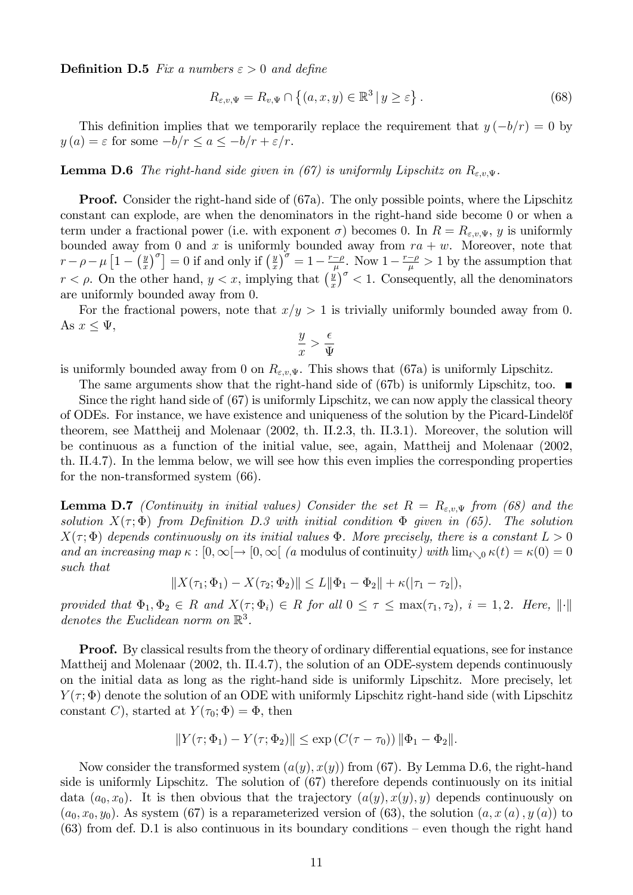**Definition D.5** Fix a numbers  $\varepsilon > 0$  and define

$$
R_{\varepsilon,v,\Psi} = R_{v,\Psi} \cap \left\{ (a,x,y) \in \mathbb{R}^3 \, | \, y \ge \varepsilon \right\}.
$$
 (68)

This definition implies that we temporarily replace the requirement that  $y(-b/r) = 0$  by  $y(a) = \varepsilon$  for some  $-b/r \le a \le -b/r + \varepsilon/r$ .

**Lemma D.6** The right-hand side given in (67) is uniformly Lipschitz on  $R_{\varepsilon,v,\Psi}$ .

**Proof.** Consider the right-hand side of (67a). The only possible points, where the Lipschitz constant can explode, are when the denominators in the right-hand side become 0 or when a term under a fractional power (i.e. with exponent  $\sigma$ ) becomes 0. In  $R = R_{\varepsilon,v,\Psi}$ , y is uniformly bounded away from 0 and x is uniformly bounded away from  $ra + w$ . Moreover, note that  $r - \rho - \mu \left[ 1 - \left( \frac{y}{x} \right) \right]$  $\left[\frac{y}{x}\right)^{\sigma}$  = 0 if and only if  $\left(\frac{y}{x}\right)$  $\frac{y}{x}$  = 1 -  $\frac{r-\rho}{\mu}$ . Now 1 -  $\frac{r-\rho}{\mu} > 1$  by the assumption that  $r < \rho$ . On the other hand,  $y < x$ , implying that  $\left(\frac{y}{x}\right)$  $\int_{x}^{\sqrt{y}}$  < 1. Consequently, all the denominators are uniformly bounded away from 0.

For the fractional powers, note that  $x/y > 1$  is trivially uniformly bounded away from 0. As  $x \leq \Psi$ ,

$$
\frac{y}{x} > \frac{\epsilon}{\Psi}
$$

is uniformly bounded away from 0 on  $R_{\varepsilon,v,\Psi}$ . This shows that (67a) is uniformly Lipschitz.

The same arguments show that the right-hand side of (67b) is uniformly Lipschitz, too. Since the right hand side of (67) is uniformly Lipschitz, we can now apply the classical theory of ODEs. For instance, we have existence and uniqueness of the solution by the Picard-Lindelöf theorem, see Mattheij and Molenaar (2002, th. II.2.3, th. II.3.1). Moreover, the solution will be continuous as a function of the initial value, see, again, Mattheij and Molenaar (2002, th. II.4.7). In the lemma below, we will see how this even implies the corresponding properties for the non-transformed system (66).

**Lemma D.7** (Continuity in initial values) Consider the set  $R = R_{\varepsilon,v,\Psi}$  from (68) and the solution  $X(\tau;\Phi)$  from Definition D.3 with initial condition  $\Phi$  given in (65). The solution  $X(\tau;\Phi)$  depends continuously on its initial values  $\Phi$ . More precisely, there is a constant  $L > 0$ and an increasing map  $\kappa : [0,\infty[ \to [0,\infty[$  (a modulus of continuity) with  $\lim_{t\to 0} \kappa(t) = \kappa(0) = 0$ such that

$$
||X(\tau_1; \Phi_1) - X(\tau_2; \Phi_2)|| \le L||\Phi_1 - \Phi_2|| + \kappa(|\tau_1 - \tau_2|),
$$

provided that  $\Phi_1, \Phi_2 \in R$  and  $X(\tau; \Phi_i) \in R$  for all  $0 \leq \tau \leq \max(\tau_1, \tau_2)$ ,  $i = 1, 2$ . Here,  $\|\cdot\|$ denotes the Euclidean norm on  $\mathbb{R}^3$ .

**Proof.** By classical results from the theory of ordinary differential equations, see for instance Mattheij and Molenaar (2002, th. II.4.7), the solution of an ODE-system depends continuously on the initial data as long as the right-hand side is uniformly Lipschitz. More precisely, let  $Y(\tau;\Phi)$  denote the solution of an ODE with uniformly Lipschitz right-hand side (with Lipschitz constant C), started at  $Y(\tau_0; \Phi) = \Phi$ , then

$$
||Y(\tau; \Phi_1) - Y(\tau; \Phi_2)|| \le \exp(C(\tau - \tau_0)) ||\Phi_1 - \Phi_2||.
$$

Now consider the transformed system  $(a(y), x(y))$  from (67). By Lemma D.6, the right-hand side is uniformly Lipschitz. The solution of (67) therefore depends continuously on its initial data  $(a_0, x_0)$ . It is then obvious that the trajectory  $(a(y), x(y), y)$  depends continuously on  $(a_0, x_0, y_0)$ . As system (67) is a reparameterized version of (63), the solution  $(a, x(a), y(a))$  to  $(63)$  from def. D.1 is also continuous in its boundary conditions – even though the right hand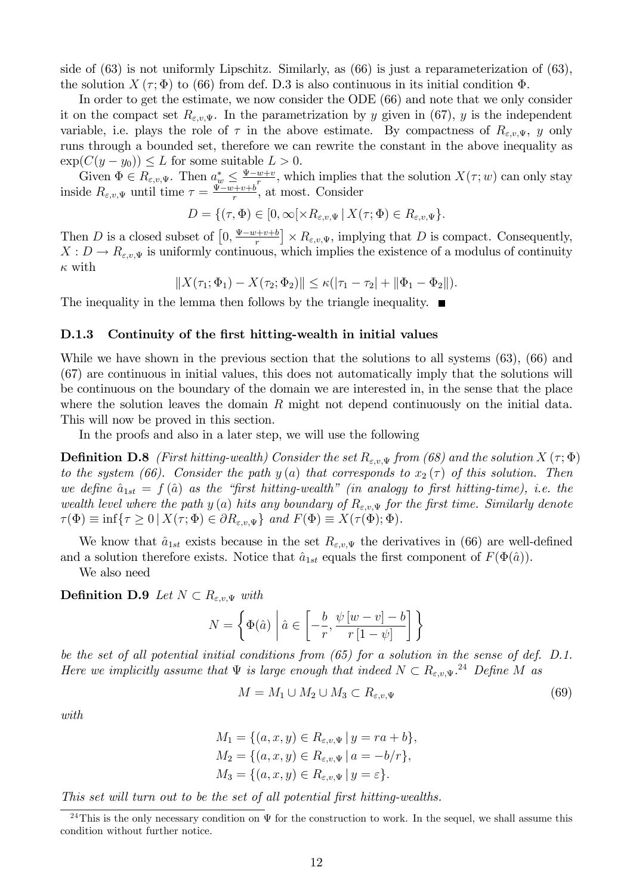side of (63) is not uniformly Lipschitz. Similarly, as (66) is just a reparameterization of (63), the solution X  $(\tau, \Phi)$  to (66) from def. D.3 is also continuous in its initial condition  $\Phi$ .

In order to get the estimate, we now consider the ODE (66) and note that we only consider it on the compact set  $R_{\varepsilon,v,\Psi}$ . In the parametrization by y given in (67), y is the independent variable, i.e. plays the role of  $\tau$  in the above estimate. By compactness of  $R_{\varepsilon,v,\Psi}$ , y only runs through a bounded set, therefore we can rewrite the constant in the above inequality as  $\exp(C(y - y_0)) \leq L$  for some suitable  $L > 0$ .

Given  $\Phi \in R_{\varepsilon,v,\Psi}$ . Then  $a^*_{w} \leq \frac{\Psi - w + v}{r}$ , which implies that the solution  $X(\tau; w)$  can only stay inside  $R_{\varepsilon,v,\Psi}$  until time  $\tau = \frac{\Psi - w + v + b}{r}$ , at most. Consider

$$
D = \{(\tau, \Phi) \in [0, \infty[ \times R_{\varepsilon,v,\Psi} \,|\, X(\tau; \Phi) \in R_{\varepsilon,v,\Psi} \}.
$$

Then D is a closed subset of  $\left[0, \frac{\Psi - w + v + b}{r}\right] \times R_{\varepsilon, v, \Psi}$ , implying that D is compact. Consequently,  $X: D \to R_{\varepsilon,v,\Psi}$  is uniformly continuous, which implies the existence of a modulus of continuity  $\kappa$  with

 $||X(\tau_1; \Phi_1) - X(\tau_2; \Phi_2)|| \leq \kappa(|\tau_1 - \tau_2| + ||\Phi_1 - \Phi_2||).$ 

The inequality in the lemma then follows by the triangle inequality.  $\blacksquare$ 

#### D.1.3 Continuity of the first hitting-wealth in initial values

While we have shown in the previous section that the solutions to all systems (63), (66) and (67) are continuous in initial values, this does not automatically imply that the solutions will be continuous on the boundary of the domain we are interested in, in the sense that the place where the solution leaves the domain  $R$  might not depend continuously on the initial data. This will now be proved in this section.

In the proofs and also in a later step, we will use the following

**Definition D.8** (First hitting-wealth) Consider the set  $R_{\varepsilon,v,\Psi}$  from (68) and the solution  $X(\tau;\Phi)$ to the system (66). Consider the path y (a) that corresponds to  $x_2(\tau)$  of this solution. Then we define  $\hat{a}_{1st} = f (\hat{a})$  as the "first hitting-wealth" (in analogy to first hitting-time), i.e. the wealth level where the path y (a) hits any boundary of  $R_{\varepsilon,v,\Psi}$  for the first time. Similarly denote  $\tau(\Phi) \equiv \inf \{ \tau \geq 0 \, | \, X(\tau; \Phi) \in \partial R_{\varepsilon, v, \Psi} \}$  and  $F(\Phi) \equiv X(\tau(\Phi); \Phi)$ .

We know that  $\hat{a}_{1st}$  exists because in the set  $R_{\varepsilon,v,\Psi}$  the derivatives in (66) are well-defined and a solution therefore exists. Notice that  $\hat{a}_{1st}$  equals the first component of  $F(\Phi(\hat{a}))$ .

We also need

**Definition D.9** Let  $N \subset R_{\varepsilon,v,\Psi}$  with

$$
N = \left\{ \Phi(\hat{a}) \mid \hat{a} \in \left[ -\frac{b}{r}, \frac{\psi[w-v] - b}{r[1-\psi]} \right] \right\}
$$

be the set of all potential initial conditions from (65) for a solution in the sense of def. D.1. Here we implicitly assume that  $\Psi$  is large enough that indeed  $N \subset R_{\varepsilon,v,\Psi}$ .<sup>24</sup> Define M as

$$
M = M_1 \cup M_2 \cup M_3 \subset R_{\varepsilon,v,\Psi} \tag{69}
$$

with

$$
M_1 = \{(a, x, y) \in R_{\varepsilon, v, \Psi} \mid y = ra + b\},\,
$$
  
\n
$$
M_2 = \{(a, x, y) \in R_{\varepsilon, v, \Psi} \mid a = -b/r\},\,
$$
  
\n
$$
M_3 = \{(a, x, y) \in R_{\varepsilon, v, \Psi} \mid y = \varepsilon\}.
$$

This set will turn out to be the set of all potential first hitting-wealths.

<sup>&</sup>lt;sup>24</sup>This is the only necessary condition on  $\Psi$  for the construction to work. In the sequel, we shall assume this condition without further notice.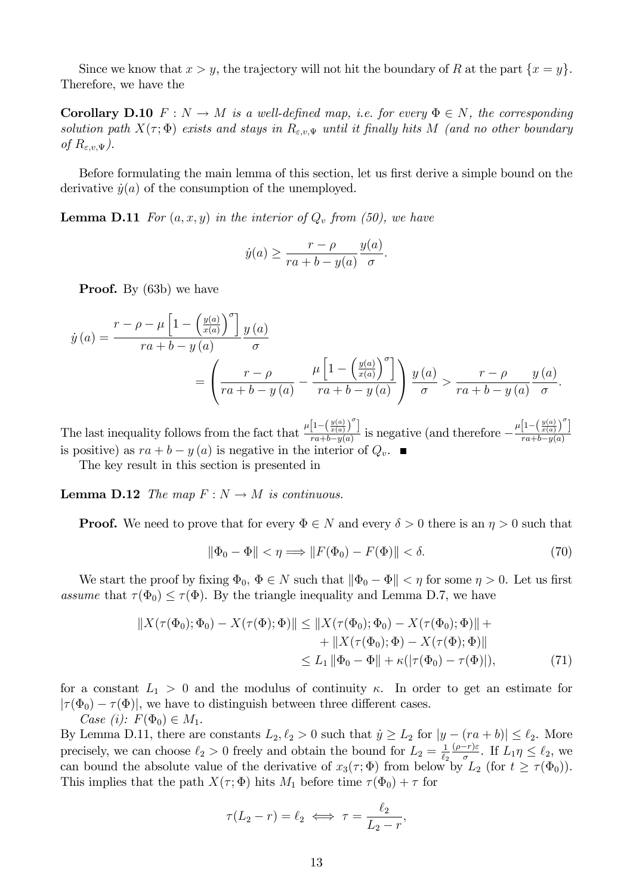Since we know that  $x > y$ , the trajectory will not hit the boundary of R at the part  $\{x = y\}$ . Therefore, we have the

**Corollary D.10**  $F: N \to M$  is a well-defined map, i.e. for every  $\Phi \in N$ , the corresponding solution path  $X(\tau;\Phi)$  exists and stays in  $R_{\varepsilon,v,\Psi}$  until it finally hits M (and no other boundary of  $R_{\varepsilon,v,\Psi}$ ).

Before formulating the main lemma of this section, let us first derive a simple bound on the derivative  $\dot{y}(a)$  of the consumption of the unemployed.

**Lemma D.11** For  $(a, x, y)$  in the interior of  $Q_v$  from (50), we have

$$
\dot{y}(a) \ge \frac{r - \rho}{ra + b - y(a)} \frac{y(a)}{\sigma}.
$$

**Proof.** By (63b) we have

$$
\dot{y}(a) = \frac{r - \rho - \mu \left[1 - \left(\frac{y(a)}{x(a)}\right)^{\sigma}\right] y(a)}{ra + b - y(a)} = \left(\frac{r - \rho}{ra + b - y(a)} - \frac{\mu \left[1 - \left(\frac{y(a)}{x(a)}\right)^{\sigma}\right]}{ra + b - y(a)}\right) \frac{y(a)}{\sigma} > \frac{r - \rho}{ra + b - y(a)} \frac{y(a)}{\sigma}.
$$

The last inequality follows from the fact that  $\frac{\mu\left[1-\left(\frac{y(a)}{x(a)}\right)^{\sigma}\right]}{x^{a}+b-u(a)}$  $\frac{\left[1-\left(\frac{y(a)}{x(a)}\right)^{\sigma}\right]}{ra+b-y(a)}$  is negative (and therefore  $-\frac{\mu\left[1-\left(\frac{y(a)}{x(a)}\right)^{\sigma}\right]}{ra+b-y(a)}$  $ra+b-y(a)$ is positive) as  $ra + b - y(a)$  is negative in the interior of  $Q_v$ .

The key result in this section is presented in

**Lemma D.12** The map  $F : N \to M$  is continuous.

**Proof.** We need to prove that for every  $\Phi \in N$  and every  $\delta > 0$  there is an  $\eta > 0$  such that

$$
\|\Phi_0 - \Phi\| < \eta \Longrightarrow \|F(\Phi_0) - F(\Phi)\| < \delta. \tag{70}
$$

We start the proof by fixing  $\Phi_0$ ,  $\Phi \in N$  such that  $\|\Phi_0 - \Phi\| < \eta$  for some  $\eta > 0$ . Let us first assume that  $\tau(\Phi_0) \leq \tau(\Phi)$ . By the triangle inequality and Lemma D.7, we have

$$
||X(\tau(\Phi_0); \Phi_0) - X(\tau(\Phi); \Phi)|| \le ||X(\tau(\Phi_0); \Phi_0) - X(\tau(\Phi_0); \Phi)|| ++ ||X(\tau(\Phi_0); \Phi) - X(\tau(\Phi); \Phi)||\le L_1 ||\Phi_0 - \Phi|| + \kappa(|\tau(\Phi_0) - \tau(\Phi)|),
$$
\n(71)

for a constant  $L_1 > 0$  and the modulus of continuity  $\kappa$ . In order to get an estimate for  $|\tau(\Phi_0) - \tau(\Phi)|$ , we have to distinguish between three different cases. Case (i):  $F(\Phi_0) \in M_1$ .

By Lemma D.11, there are constants  $L_2, \ell_2 > 0$  such that  $\dot{y} \ge L_2$  for  $|y - (ra + b)| \le \ell_2$ . More precisely, we can choose  $\ell_2 > 0$  freely and obtain the bound for  $L_2 = \frac{1}{\ell_2}$  $\frac{1}{\ell_2} \frac{(\rho-r)\varepsilon}{\sigma}$ . If  $L_1 \eta \leq \ell_2$ , we can bound the absolute value of the derivative of  $x_3(\tau;\Phi)$  from below by  $L_2$  (for  $t \ge \tau(\Phi_0)$ ). This implies that the path  $X(\tau; \Phi)$  hits  $M_1$  before time  $\tau(\Phi_0) + \tau$  for

$$
\tau(L_2 - r) = \ell_2 \iff \tau = \frac{\ell_2}{L_2 - r},
$$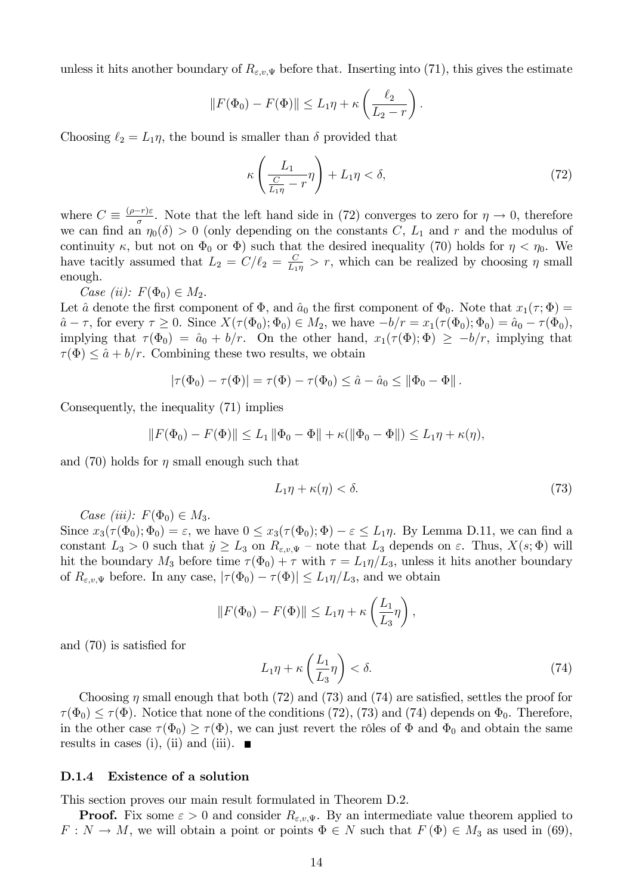unless it hits another boundary of  $R_{\varepsilon,v,\Psi}$  before that. Inserting into (71), this gives the estimate

$$
||F(\Phi_0) - F(\Phi)|| \le L_1 \eta + \kappa \left(\frac{\ell_2}{L_2 - r}\right).
$$

Choosing  $\ell_2 = L_1 \eta$ , the bound is smaller than  $\delta$  provided that

$$
\kappa \left( \frac{L_1}{\frac{C}{L_1 \eta} - r} \eta \right) + L_1 \eta < \delta,\tag{72}
$$

where  $C = \frac{(\rho - r)\varepsilon}{\sigma}$ . Note that the left hand side in (72) converges to zero for  $\eta \to 0$ , therefore we can find an  $\eta_0(\delta) > 0$  (only depending on the constants C,  $L_1$  and r and the modulus of continuity  $\kappa$ , but not on  $\Phi_0$  or  $\Phi$ ) such that the desired inequality (70) holds for  $\eta < \eta_0$ . We have tacitly assumed that  $L_2 = C/\ell_2 = \frac{C}{L_1}$  $\frac{C}{L_1 \eta} > r$ , which can be realized by choosing  $\eta$  small enough.

Case (ii):  $F(\Phi_0) \in M_2$ .

Let  $\hat{a}$  denote the first component of  $\Phi$ , and  $\hat{a}_0$  the first component of  $\Phi_0$ . Note that  $x_1(\tau; \Phi) =$  $\hat{a} - \tau$ , for every  $\tau \geq 0$ . Since  $X(\tau(\Phi_0); \Phi_0) \in M_2$ , we have  $-b/r = x_1(\tau(\Phi_0); \Phi_0) = \hat{a}_0 - \tau(\Phi_0)$ , implying that  $\tau(\Phi_0) = \hat{a}_0 + b/r$ . On the other hand,  $x_1(\tau(\Phi); \Phi) \geq -b/r$ , implying that  $\tau(\Phi) \leq \hat{a} + b/r$ . Combining these two results, we obtain

$$
|\tau(\Phi_0) - \tau(\Phi)| = \tau(\Phi) - \tau(\Phi_0) \leq \hat{a} - \hat{a}_0 \leq ||\Phi_0 - \Phi||.
$$

Consequently, the inequality (71) implies

$$
||F(\Phi_0) - F(\Phi)|| \le L_1 ||\Phi_0 - \Phi|| + \kappa(||\Phi_0 - \Phi||) \le L_1 \eta + \kappa(\eta),
$$

and (70) holds for  $\eta$  small enough such that

$$
L_1 \eta + \kappa(\eta) < \delta. \tag{73}
$$

Case (iii):  $F(\Phi_0) \in M_3$ .

Since  $x_3(\tau(\Phi_0); \Phi_0) = \varepsilon$ , we have  $0 \le x_3(\tau(\Phi_0); \Phi) - \varepsilon \le L_1\eta$ . By Lemma D.11, we can find a constant  $L_3 > 0$  such that  $\dot{y} \ge L_3$  on  $R_{\varepsilon,v,\Psi}$  – note that  $L_3$  depends on  $\varepsilon$ . Thus,  $X(s;\Phi)$  will hit the boundary  $M_3$  before time  $\tau(\Phi_0) + \tau$  with  $\tau = L_1\eta/L_3$ , unless it hits another boundary of  $R_{\varepsilon,v,\Psi}$  before. In any case,  $|\tau(\Phi_0)-\tau(\Phi)| \leq L_1\eta/L_3$ , and we obtain

$$
||F(\Phi_0) - F(\Phi)|| \le L_1 \eta + \kappa \left(\frac{L_1}{L_3} \eta\right),
$$

and  $(70)$  is satisfied for

$$
L_1 \eta + \kappa \left(\frac{L_1}{L_3} \eta\right) < \delta. \tag{74}
$$

Choosing  $\eta$  small enough that both (72) and (73) and (74) are satisfied, settles the proof for  $\tau(\Phi_0) \leq \tau(\Phi)$ . Notice that none of the conditions (72), (73) and (74) depends on  $\Phi_0$ . Therefore, in the other case  $\tau(\Phi_0) \geq \tau(\Phi)$ , we can just revert the rôles of  $\Phi$  and  $\Phi_0$  and obtain the same results in cases (i), (ii) and (iii).  $\blacksquare$ 

#### D.1.4 Existence of a solution

This section proves our main result formulated in Theorem D.2.

**Proof.** Fix some  $\varepsilon > 0$  and consider  $R_{\varepsilon,v,\Psi}$ . By an intermediate value theorem applied to  $F: N \to M$ , we will obtain a point or points  $\Phi \in N$  such that  $F(\Phi) \in M_3$  as used in (69),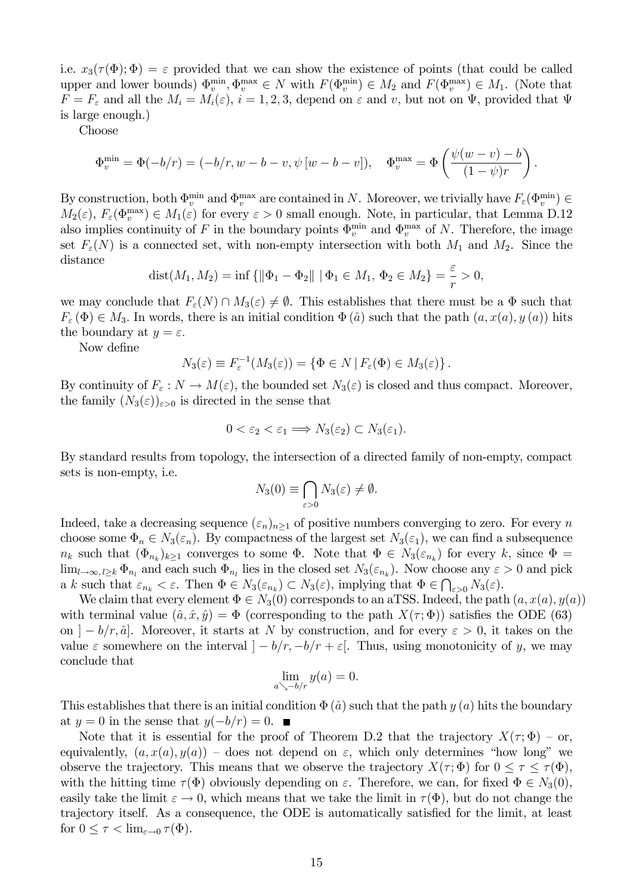i.e.  $x_3(\tau(\Phi); \Phi) = \varepsilon$  provided that we can show the existence of points (that could be called upper and lower bounds)  $\Phi_v^{\min}$ ,  $\Phi_v^{\max} \in N$  with  $F(\Phi_v^{\min}) \in M_2$  and  $F(\Phi_v^{\max}) \in M_1$ . (Note that  $F = F_{\varepsilon}$  and all the  $M_i = M_i(\varepsilon)$ ,  $i = 1, 2, 3$ , depend on  $\varepsilon$  and v, but not on  $\Psi$ , provided that  $\Psi$ is large enough.)

Choose

$$
\Phi_v^{\min} = \Phi(-b/r) = (-b/r, w - b - v, \psi[w - b - v]), \quad \Phi_v^{\max} = \Phi\left(\frac{\psi(w - v) - b}{(1 - \psi)r}\right)
$$

:

By construction, both  $\Phi_v^{\min}$  and  $\Phi_v^{\max}$  are contained in N. Moreover, we trivially have  $F_\varepsilon(\Phi_v^{\min}) \in$  $M_2(\varepsilon)$ ,  $F_\varepsilon(\Phi_v^{\max}) \in M_1(\varepsilon)$  for every  $\varepsilon > 0$  small enough. Note, in particular, that Lemma D.12 also implies continuity of F in the boundary points  $\Phi_v^{\text{min}}$  and  $\Phi_v^{\text{max}}$  of N. Therefore, the image set  $F_{\varepsilon}(N)$  is a connected set, with non-empty intersection with both  $M_1$  and  $M_2$ . Since the distance

dist
$$
(M_1, M_2)
$$
 = inf  $\{\|\Phi_1 - \Phi_2\| \mid \Phi_1 \in M_1, \Phi_2 \in M_2\} = \frac{\varepsilon}{r} > 0,$ 

we may conclude that  $F_{\varepsilon}(N) \cap M_3(\varepsilon) \neq \emptyset$ . This establishes that there must be a  $\Phi$  such that  $F_{\varepsilon}(\Phi) \in M_3$ . In words, there is an initial condition  $\Phi(\hat{a})$  such that the path  $(a, x(a), y(a))$  hits the boundary at  $y = \varepsilon$ .

Now define

$$
N_3(\varepsilon) \equiv F_\varepsilon^{-1}(M_3(\varepsilon)) = \{ \Phi \in N \mid F_\varepsilon(\Phi) \in M_3(\varepsilon) \}.
$$

By continuity of  $F_{\varepsilon}: N \to M(\varepsilon)$ , the bounded set  $N_3(\varepsilon)$  is closed and thus compact. Moreover, the family  $(N_3(\varepsilon))_{\varepsilon>0}$  is directed in the sense that

$$
0 < \varepsilon_2 < \varepsilon_1 \Longrightarrow N_3(\varepsilon_2) \subset N_3(\varepsilon_1).
$$

By standard results from topology, the intersection of a directed family of non-empty, compact sets is non-empty, i.e.

$$
N_3(0) \equiv \bigcap_{\varepsilon > 0} N_3(\varepsilon) \neq \emptyset.
$$

Indeed, take a decreasing sequence  $(\varepsilon_n)_{n>1}$  of positive numbers converging to zero. For every n choose some  $\Phi_n \in N_3(\varepsilon_n)$ . By compactness of the largest set  $N_3(\varepsilon_1)$ , we can find a subsequence  $n_k$  such that  $(\Phi_{n_k})_{k\geq 1}$  converges to some  $\Phi$ . Note that  $\Phi \in N_3(\varepsilon_{n_k})$  for every k, since  $\Phi =$  $\lim_{l\to\infty, l\geq k} \Phi_{n_l}$  and each such  $\Phi_{n_l}$  lies in the closed set  $N_3(\varepsilon_{n_k})$ . Now choose any  $\varepsilon > 0$  and pick a k such that  $\varepsilon_{n_k} < \varepsilon$ . Then  $\Phi \in N_3(\varepsilon_{n_k}) \subset N_3(\varepsilon)$ , implying that  $\Phi \in \bigcap_{\varepsilon > 0} N_3(\varepsilon)$ .

We claim that every element  $\Phi \in N_3(0)$  corresponds to an aTSS. Indeed, the path  $(a, x(a), y(a))$ with terminal value  $(\hat{a}, \hat{x}, \hat{y}) = \Phi$  (corresponding to the path  $X(\tau; \Phi)$ ) satisfies the ODE (63) on  $\vert -b/r, \hat{a} \vert$ . Moreover, it starts at N by construction, and for every  $\epsilon > 0$ , it takes on the value  $\varepsilon$  somewhere on the interval  $|-b/r, -b/r + \varepsilon|$ . Thus, using monotonicity of y, we may conclude that

$$
\lim_{a \searrow -b/r} y(a) = 0.
$$

This establishes that there is an initial condition  $\Phi(\hat{a})$  such that the path y (a) hits the boundary at  $y = 0$  in the sense that  $y(-b/r) = 0$ .

Note that it is essential for the proof of Theorem D.2 that the trajectory  $X(\tau; \Phi)$  – or, equivalently,  $(a, x(a), y(a))$  – does not depend on  $\varepsilon$ , which only determines "how long" we observe the trajectory. This means that we observe the trajectory  $X(\tau; \Phi)$  for  $0 \leq \tau \leq \tau(\Phi)$ , with the hitting time  $\tau(\Phi)$  obviously depending on  $\varepsilon$ . Therefore, we can, for fixed  $\Phi \in N_3(0)$ , easily take the limit  $\varepsilon \to 0$ , which means that we take the limit in  $\tau(\Phi)$ , but do not change the trajectory itself. As a consequence, the ODE is automatically satisfied for the limit, at least for  $0 \leq \tau < \lim_{\varepsilon \to 0} \tau(\Phi)$ .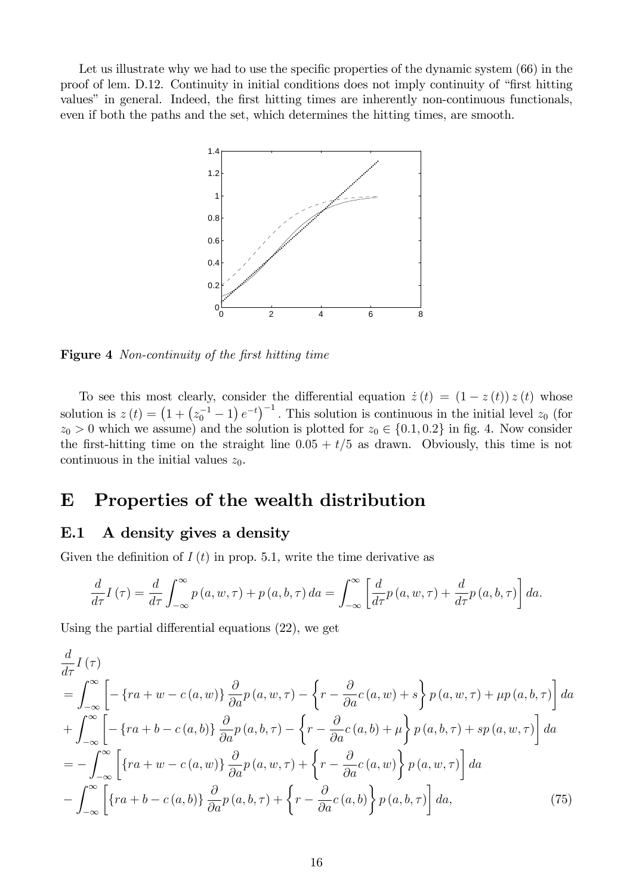Let us illustrate why we had to use the specific properties of the dynamic system (66) in the proof of lem. D.12. Continuity in initial conditions does not imply continuity of "first hitting" values" in general. Indeed, the first hitting times are inherently non-continuous functionals, even if both the paths and the set, which determines the hitting times, are smooth.



Figure 4 Non-continuity of the first hitting time

To see this most clearly, consider the differential equation  $\dot{z}(t) = (1 - z(t)) z(t)$  whose solution is  $z(t) = (1 + (z_0^{-1} - 1) e^{-t})^{-1}$ . This solution is continuous in the initial level  $z_0$  (for  $z_0 > 0$  which we assume) and the solution is plotted for  $z_0 \in \{0.1, 0.2\}$  in fig. 4. Now consider the first-hitting time on the straight line  $0.05 + t/5$  as drawn. Obviously, this time is not continuous in the initial values  $z_0$ .

# E Properties of the wealth distribution

## E.1 A density gives a density

Given the definition of  $I(t)$  in prop. 5.1, write the time derivative as

$$
\frac{d}{d\tau}I(\tau) = \frac{d}{d\tau}\int_{-\infty}^{\infty} p(a, w, \tau) + p(a, b, \tau) da = \int_{-\infty}^{\infty} \left[ \frac{d}{d\tau} p(a, w, \tau) + \frac{d}{d\tau} p(a, b, \tau) \right] da.
$$

Using the partial differential equations  $(22)$ , we get

$$
\frac{d}{d\tau}I(\tau)
$$
\n
$$
= \int_{-\infty}^{\infty} \left[ -\left\{ ra + w - c(a, w) \right\} \frac{\partial}{\partial a} p(a, w, \tau) - \left\{ r - \frac{\partial}{\partial a} c(a, w) + s \right\} p(a, w, \tau) + \mu p(a, b, \tau) \right\} da
$$
\n
$$
+ \int_{-\infty}^{\infty} \left[ -\left\{ ra + b - c(a, b) \right\} \frac{\partial}{\partial a} p(a, b, \tau) - \left\{ r - \frac{\partial}{\partial a} c(a, b) + \mu \right\} p(a, b, \tau) + sp(a, w, \tau) \right] da
$$
\n
$$
= - \int_{-\infty}^{\infty} \left[ \left\{ ra + w - c(a, w) \right\} \frac{\partial}{\partial a} p(a, w, \tau) + \left\{ r - \frac{\partial}{\partial a} c(a, w) \right\} p(a, w, \tau) \right] da
$$
\n
$$
- \int_{-\infty}^{\infty} \left[ \left\{ ra + b - c(a, b) \right\} \frac{\partial}{\partial a} p(a, b, \tau) + \left\{ r - \frac{\partial}{\partial a} c(a, b) \right\} p(a, b, \tau) \right] da, \tag{75}
$$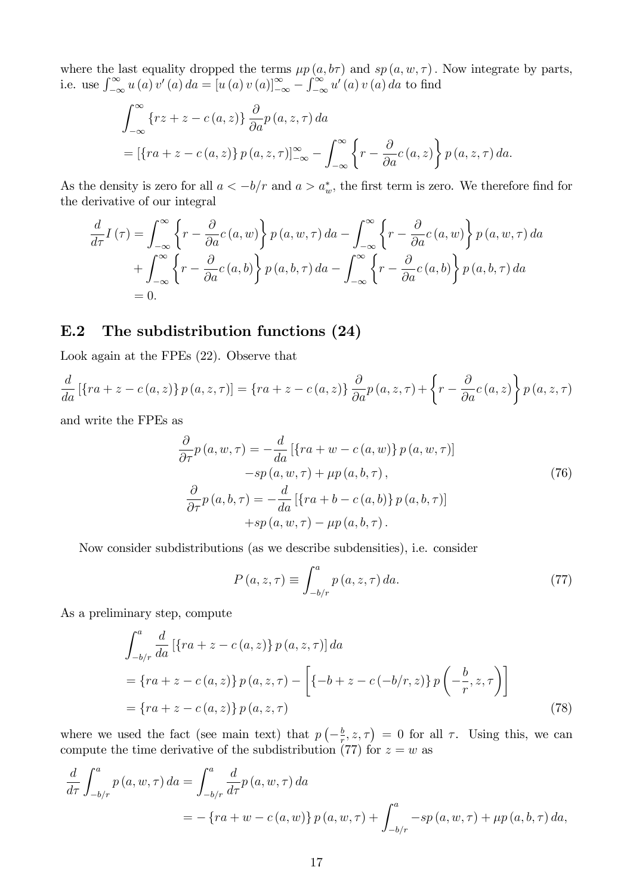where the last equality dropped the terms  $\mu p(a, b\tau)$  and  $sp(a, w, \tau)$ . Now integrate by parts, i.e. use  $\int_{-\infty}^{\infty} u(a) v'(a) da = [u(a) v(a)]_{-\infty}^{\infty} - \int_{-\infty}^{\infty} u'(a) v(a) da$  to find

$$
\int_{-\infty}^{\infty} \{rz + z - c(a, z)\} \frac{\partial}{\partial a} p(a, z, \tau) da
$$
  
=  $[\{ra + z - c(a, z)\} p(a, z, \tau)]_{-\infty}^{\infty} - \int_{-\infty}^{\infty} \{r - \frac{\partial}{\partial a} c(a, z)\} p(a, z, \tau) da.$ 

As the density is zero for all  $a < -b/r$  and  $a > a_w^*$ , the first term is zero. We therefore find for the derivative of our integral

$$
\frac{d}{d\tau}I(\tau) = \int_{-\infty}^{\infty} \left\{ r - \frac{\partial}{\partial a}c(a, w) \right\} p(a, w, \tau) da - \int_{-\infty}^{\infty} \left\{ r - \frac{\partial}{\partial a}c(a, w) \right\} p(a, w, \tau) da \n+ \int_{-\infty}^{\infty} \left\{ r - \frac{\partial}{\partial a}c(a, b) \right\} p(a, b, \tau) da - \int_{-\infty}^{\infty} \left\{ r - \frac{\partial}{\partial a}c(a, b) \right\} p(a, b, \tau) da \n= 0.
$$

## E.2 The subdistribution functions (24)

Look again at the FPEs (22). Observe that

$$
\frac{d}{da} [\{ra + z - c(a, z)\} p(a, z, \tau)] = \{ra + z - c(a, z)\} \frac{\partial}{\partial a} p(a, z, \tau) + \left\{r - \frac{\partial}{\partial a} c(a, z)\right\} p(a, z, \tau)
$$

and write the FPEs as

$$
\frac{\partial}{\partial \tau} p(a, w, \tau) = -\frac{d}{da} [\{ra + w - c(a, w)\} p(a, w, \tau)]
$$
  
\n
$$
-sp(a, w, \tau) + \mu p(a, b, \tau),
$$
  
\n
$$
\frac{\partial}{\partial \tau} p(a, b, \tau) = -\frac{d}{da} [\{ra + b - c(a, b)\} p(a, b, \tau)]
$$
  
\n
$$
+sp(a, w, \tau) - \mu p(a, b, \tau).
$$
\n(76)

Now consider subdistributions (as we describe subdensities), i.e. consider

$$
P(a, z, \tau) \equiv \int_{-b/r}^{a} p(a, z, \tau) da.
$$
 (77)

As a preliminary step, compute

$$
\int_{-b/r}^{a} \frac{d}{da} [\{ra + z - c(a, z)\} p(a, z, \tau)] da
$$
  
=  $\{ra + z - c(a, z)\} p(a, z, \tau) - \left[\{-b + z - c(-b/r, z)\} p\left(-\frac{b}{r}, z, \tau\right)\right]$   
=  $\{ra + z - c(a, z)\} p(a, z, \tau)$  (78)

where we used the fact (see main text) that  $p\left(-\frac{b}{r}\right)$  $(\frac{b}{r}, z, \tau) = 0$  for all  $\tau$ . Using this, we can compute the time derivative of the subdistribution (77) for  $z = w$  as

$$
\frac{d}{d\tau} \int_{-b/r}^{a} p(a, w, \tau) da = \int_{-b/r}^{a} \frac{d}{d\tau} p(a, w, \tau) da
$$
  
=  $-\{ra + w - c(a, w)\} p(a, w, \tau) + \int_{-b/r}^{a} -sp(a, w, \tau) + \mu p(a, b, \tau) da$ ,